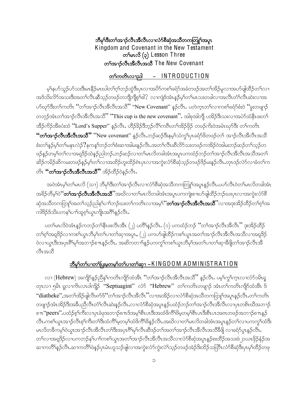## ဘိမှS်ဒီးတSအၫဉ်လီၤအိလီၤလၢလံာ်စိဆုံအသိတကတြူSအပူၤ Kingdom and Covenant in the New Testament တ<sup>5</sup>မာလိ $\left( \rho \right)$  Lesson Three တ<sup>ှ</sup>အာဉ်လီးအီလီးအသီ The New Covenant

#### <u>တ်ကတိယေညါ – INTRODUCTION</u>

မ့<sup>ရ</sup>နပာ်သူဉ်ဟ်သးဒီးမၤနိဉ်မၤဃါတ<sup>၎</sup>ဂ့<sup>၎</sup>ဘဉ်တွဲဒီးပှၤလၢအပိာ်ကစၢ်ခရံာ်အခံတဖဉ်အတ<sup>၎</sup>အိဉ်မူလၢအဟ်ဖျါထိဉ်တ႑်လၢ အဒ်သိးလိ်ာအသးဒီးအတၫ်လီၤဆီသ့ဉ်တဖဉ်တဘိျိဘျိစ့ၫ်ဖါ? လၢကျဲဒ်အံၤန္ဉာိမ့ၫ်တၫ်မၤသးတခါလၢအလီၤတံၫ်လီၤဆဲးလၢအ ဟ်ဃုာ်ဒီးတ<sup>၎</sup>ကတိၤ ''တ<sup>၎</sup>အၫၣ်လီၤအိလီၤအသိ'' ''New Covenant'' နဉ်လီၤ. ပတဲက္ၤတ႑်လၢကစၫ်ခရံာ်စံးဝဲ ''ခွးတဖျၫဉ် တဘ့ဉ်အံၤတ<sup>၎</sup>အၫဉ်လီၤအိလီၤအသိိႛ ႚၴThis cup is the new covenantႛႛ. အါစုအါဘို ပအိဉ်ဒီးသးလၢအပဲာ်ထံနီၤဖးတၤ် အိဉ်ကိဉ်အီစပံးထံ <mark>''Lord's Supper''</mark> နဉ်လီၤႉ ဟိဉ်ခိဉ်ဒိဘုဉ်လိ<sup>ု</sup>ကဝီၤတၫ်အိဉ်ဖှိဉ် တဖဉ်ကိႏဝဲအမံၤဃုာ်ဒီး တၫ်ကတိၤ **''တၫ်အၫှာ်လီၤအိလီၤအသိ''** ''New covenant'' နဉ်လီၤ.ဘဉ်ဆဉ်ဒီးနမ့ၢ်သံကွၢ်ပှၤခရံာ်ဖိတဖဉ်တ႑် အၫာ်လီၤအိလီၤအသိ စံးတ<sup>ု</sup>နဉ်မှ<sup>ု</sup>တ<sup>ု</sup>မနုၤလဲဉ် $?$ နကန<sup>ှ</sup>ဘဉ်တၢိစံးဆၢအါမးနဉ်လီၤ.အတၫ်လီၤဆီလိ်ာသးတဖဉ်ကအိဉ်ဝဲအါမးဘဉ်ဆဉ်တၫ်သ့ဉ်တ ဖဉ်နဉ်တမ့်္ဂါတ႑်လ၊အရူဒိဉ်ထဲနဉ်ညါဘဉ်ႉဘဉ်ဆဉ်လ၊တ႑်မၤလိတခါအံၤအပူၤပကထံဉ်ဘဉ်တ႑်အၢဉ်လီၤအီလီၤအသိအတ႑် ဆိဉ်ကမိဉ်ဆိကမးတဖဉ်နဉ်မ့ါတါလၢအထိဉ်ဟူးထိဉ်ရဲၤပုၤလၢအကွဲးလံာ်စီဆုံသုဉ်တဖဉ်ဒိဉ်မးနဉ်လီၤ.တုၤဒဉ်လဲာ်လၢခံတါက တိုး "တၫ်အၫဉ်လီးအီလီးအသီ" အိဉ်ထိဉ်ဝဲနဉ်လီး.

အဝဲအံၤမ့ါတ1်မၤလိ (သၢ) ဘိမု၊ိဒီးတ1်အၫဉ်လီၤလၢလံာ်စီဆုံအသိတကတြူၫ်အပူၤန္ဉာ်လီၤ.ပဟ်လီၤဝဲတ1်မၤလိတခါအံၤ အခိဉ်တိမ့်)ဝဲ**´´တ<sup>ှ</sup>အာဉ်လီၤအိလီၤအသိ´´**အဃိလၢတ}မၤလိတခါအံၤအပူၤပကကျဲးစၢးပာ်ဖျါထိဉ်ဘဉ်ဃးပှၤလၢအကွဲးလံာ်စိ ဆုံအသိတကတြူ<sup>ရ</sup>အတ<sup>ရ</sup>သူဉ်ညါန<sup>ရ</sup>ပၫ်ာဘုံဃးတၫ်ကတိၤလၢအမှါ**်တၫ်အၫဉ်လီၤအိလီၤအသိ**''လၢအဒုးအိဉ်ထိဉ်တၫ်စ့ၫ်အ ကါဒိဉ်ဒ်သိးပကန<်ပၫ်ထူစ့်္ပယွၤကျိၤအဂ်ိဳနဉ်လီၤ.

ပတ<sup>ၡ</sup>မၤလိဝဲအံၤန္ဉာ်ကဘဉ်တၫ်နီၤဖးလီၤအိၤ (၂) ပတိႝန္ၟာ်လီၤႉ (၁) ပကထံဉ်ဘဉ် ''တၫ်အၫဉ်လီၤအီလီၤ'' ဒုးအိဉ်ထိဉ် တၫ်စ့ၫ်အရှ3်ဉ်လၫကစၫ်ယွၤဘီမုၫ်တ႑်ပၢတ႑်ဆုၫအပူၤႇ (၂) ပကပာ်ဖျံထိဉ်ကစ႑်ယွၤအတ႑်အ႑ာ်လီၤအီလီၤအသိလ႑အရှ3်ဉ် ဝဲလၢယ္ပၤဒီးအပုၤရိႝာမု်အဘ႑ာ်စ႑ာနာလိုး. အဆိကတ႑ၢိန္ဉာပကက္ဂါကစၫ်ယ္ပၤဘိမု်အတ႑်ပၢတ႑်ဆုၢခ်ိဖျိတ႑်အ႑ာဴလီၤအိ လီးအသီ

## <u> ဘီမှ<sup>င်္</sup>တာပောတာပြီးမဲ့တမ့်ဂ်တ်ပောတာ်ဆု – KINGDOM ADMINISTRATION</u>

လၢ (Hebrew) အကျိဉ်နဉ်ညီနှ1်ကတိၤကျိဉ်ထံအီၤ ''တ႑်အၫဉ်လီၤအီလီၤအသီ'' နဉ်လီၤ. ပမ့ါကွ1်က္ၤလၢလံဉ်ခမ်ိၤရှ တုၤလၢ ၅မ်ိဳး ရှလၢကိၤလၤ၀ါကျိုာ် "Septuagint" လံ $5$  "Hebrew" တၫ်ကတိၤတဖျာဉ် အံၤတၫ်ကတိၤကျိဉ်ထံအီၤ ဒ် "diatheke",အတ<sup>၎</sup>အိဉ်ဖျဲလီၤ၈ာ်ဒ်"တၫ်အၫဉ်လီၤအီလီၤ''လၢအအိဉ်လၢလံာ်စီဆုံအသီတကတြူ၊်အပူၤန္ဉာ်လီၤႉတၫ်ကတိၤ တဖျာဉ်အံၤအိဉ်ဒီးအခ်ီပညီလီၤတိၤလီၤဆဲးနဉ်လီၤႉလၢလံာ်စိဆုံအပူၤန္ဉာ်ပထံဉ်ဘဉ်တၫ်အၢဉ်လီၤအီလီၤလၢပုၤတစ်ၤဃီအဘၢဉ် စπ"peers" ပထံဉ်စ့<sup>၎</sup>ကီးလၢပုၤခံဖုအဘၫဉ်စπဒ်အမှ<sup>ု</sup>စီၤပၤဒီးအထံဖိကိ်<sup>ဂြိဖွ</sup>တမှ<sup>ု</sup>စီၤပၤဒီးစီၤပၤအ၈ၤတဖဉ်အဘ႑ဉ်စπန္ဉဉ် လီၤ.ကစၫ်ယွၤအၫဉ်လီၤစ့ၢ်ကိဳးတၫ်ဒီးထံကိ်ၫမ့တမ့ၢ်ထံဖိကိ်ၫဖိန္ဉ်လီၤ.အဃိလၢတၫ်မၤလိတခါအံၤအပူၤန္ဉဉ်တ႑်လၢပကကွ႑်ထံဒီး မၤလိတခ်ိကမ့်ၢ်ဝဲယွၤအၫဉ်လီၤအိလိၤတၫ်ဒီးအပုၤဂိၢိမှၫ်လီၤဆီဒဉ်တၫ်အတၫ်အၫဉ်လီၤအိလိၤအသိခ်ိဖျို လၢခရံဉ်ပူၤန္ဉဉ်လီၤ တၫ်လၢအရှ3်ဉ်လၢပကဘဉ်နှၤ်ပၢၢ်ကစ႑်ယွၤအတ႑်အၫဉ်လီၤအိလီၤအသိလၢလံာ်စိဆုံအပူၤန္ဉာ်စးထိဉ်အသးဖဲ၂၁ယၤဖိုဉ်နံ့ဉ်အ ဆၢကတိႝ႞န္ဉ်လီၤႉဆၢကတိႝ႞ဖဲန္ဉာဴပုၤမံၤဟူသဉ်ဖျါလၢအကွဲးလံာ်ကွဲးလဲ<sup>၎</sup>သူဉ်တဖဉ်အဲဉ်<sup>ဌ</sup>းထိဉ်သတြိၤလံာ်စီဆုံဒီးပုၤမှ႞ထိဉ်တဖု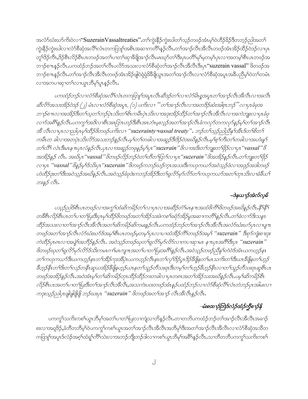အလံာ်ဃံးဃာ်ကိုးဝဲလၫ<mark>"SuzerainVassaltreaties</mark>".တ<sup>ှ</sup>ကွဲးနိဉ်ကွဲးဃါတၫ်သ့ဉ်တဖဉ်အံၤမ့<sup>၎</sup>ဝဲဟိဉ်ခိဉ်ဒိတဘ့ဉ်ညါအတ႑် ကွဲးနိံဉ်ကွဲးဃါလၫလံာ်စီဆုံအလိ်ၤလံၤတကတြူၤ်အစိၤအဆ႑ကတိၤ်နှဉ်လိၤ.တၤ်အ႑ာ်လီၤအိလီၤတဖဉ်အံၤအိဉ်ထိဉ်ဝဲဒဉ်လ႑ပှၤ တူၫိဒိဉ်ကီၤႇဒိဉ်စီၤလိဉ်စီၤပၤတဖဉ်အတၤ်ပၢတၤ်ဆုၫခီဖိျအၫဉ်လီၤမၤဃုာ်တၤ်ဒီးပှၤပတိၢ်မုၢိမ့တမ့ၢ်ပှၤလၢအတမ့ၢိစီၤပၤတဖဉ်အ ဘၫဉ်စπနှဉ်လီၤ.ပကထံဉ်ဘဉ်အတၫ်လီၤပလိာ်အသးလၢလံာ်စီဆုံတၢ်အၫဉ်လီၤအီလီၤဒီးပှၤ"<mark>suzerain vassal</mark>" ဖိတဖဉ်အ ဘၫဉ်စπနဉ်လီၤ.တ<sup>၎</sup>အၫဉ်လီၤအိလီၤတဖဉ်အံၤအိဉ်ဖျံဝဲရှဲရှဲ<sup>88ွ</sup>ဖိုယွπအတ<sup>၎</sup>အၫဉ်လီၤလၫလံာ်စီဆုံအပူၤအခ်ီပညီမှ့<sup>၎</sup>ဝဲတ<sup>၎</sup>တမံၤ လၫအကပၫဆုၫတ႑်လၫယ္ပၤဘိမှ႑်ပူၤန္ဉာ်လိၤႉ

ပကထံဉ်ဘဉ်လၢလံာ်စီဆုံအလိံၤလံၤတကတြူၫ်အပူၤလီၤဆီဒဉ်တ႑်လၢလံာမိၤရှုအပူၤတ႑်အ႑ာလီၤအီလီၤလၢအလီၤ ဆီလိ5်အသးအိဉ်ဝဲဒဉ် (၂) မံၤလၢလံ5စီဆုံအပူၤ, (၁) ပကိးလ႑ ''တ<sup>၎</sup>အ႑ာ်လီၤလၢအတဒိဉ်ဆံးအါစုၤဘဉ်''လၢပုၤခံဖုအ ဘ႑ာ်စ႑ာလၢအအိဉ်ဒီးတ႑်သူတ႑်ဘဉ်ပုဲၤသိးတ႑်စိၤကမဵၤပုဲၤသိးလၢအဒုးအိဉ်ထိဉ်တ႑်အ႑ာဴလီၤအီလီၤလၢအကဲဘူူးလၤပုၤခံဖု လาာ်အရိ<sup>ု</sup>န္*ဉ်လီၤႉပကကွ* ၊်အဒိလၢစီၤအၤြာၤဟဉ်ဒီးစီၤအၤဘံၤမူးလ္*ဉ်*အတ ၊်အၢဉ်လီၤခံကလှာ်တကလှာ်နဉ်မှ ၊်တ ၊်အၢဉ်လီၤ အိ လီၤလၢပုၤလၢညါပုၤမှၫ်ထိဉ်8ိတဗဉ်ပကိးလ႑ "suzerainty-vassal treaty". ဘဉ်တ႑်သူဉ်ညါညီနှ1်အီၤဒ်တ႑်စိတ႑် ကမီၤတ ခါလ႑အတပ္ပဲၤ*သီးလိ်ာအသးဘဉ်နဉ်လီၤ.မ့* ါတ ါတခါလ႑အဆူဉ်ဒီးဒိဉ်ဝဲအဃိနဉ်လီၤ.မ့ ါစ္ ါကီးတ ါတခါလ႑အဟံးနှ ် တ႑်လီ လံၤဒီးမၤန πပ္ $\iota$ လံန $\beta$ လီ $\iota$ .ပု $\iota$ လၢအဆူ $\beta$ တဖုန $\beta$ မ့ $\iota$ ပု $\iota$  "suzerain " $\delta$ လၢအဒိးတ႑ဘူးတ႑် $\beta\beta$ လၢပု $\iota$  "vassal "  $\beta$ အအိဉ်နဉ် လီး. အဃိပ္ပာ "vassal" ဖိတဖဉ်လိဉ်ဘဉ်ဝဲတ႑်တိတ႑်တြာ လာပ္ပာ "suzerain" ဖိအအိဉ်နဉ်လီး.တ႑်ဘူးတ႑်ဖွိဉ် လၢပုၤ "vassal" ဖိနဉ်မှS်သိးပုၤ "suzerain" ဖိတဖဉ်ကဘဉ်ဃဉ်က္ခၤအသးဒီးကဟုကယဉ်အဝဲသုဉ်ဖဲလၢအဒုဉ်အဒါတဖဉ် ဟဲထိဉ်ဒုးတ<sup>ှ</sup>ဒိုးအဝဲသုဉ်အဃိနဉ်လီၤ.အဝဲသုဉ်ခံဖုဒဲးကဘဉ်အိဉ်ဒီးတ႑်ရှလိဉ်မှာ်လိဉ်တ႑်ကဟုကယဉ်အတ႑်တုၤသိးလ႑ခံခ်ီယ႑် ဘးနှဉ် လီး.

# –ဒဲနယ႑ာ်အဲလ်လ့ဓ်

ပသူဉ်ညါဒ်စီၤပၤတဖဉ်လၢအကွ'ၢထံဆိကမိဉ်တ႑်လၢပုၤလၢအဆိဉ်တံ ်မၤန္ πအထံဖိကိ ်ျဖိတဖဉ်အဃိန္နဉ်လီး…နိုႚနိြ တခ်ိစီၤလိဉ်စီၤပၤတ႑်ပၢတ႑်ပြးဒီးပုၤမှ႑်ထိဉ်ဖိတဖဉ်အတ႑်အိဉ်သးဖဲကစ႑်ခရံဉ်အိဉ်မှုအဆ႑ကတိ႑နှဉ်လိၤႇတ႑်ခဲလ႑ာဒိုးသန္ၤ ထိဉ်အသးလၢတၫ်အၫှာ်လီၤအိလီၤအတ႑်ဆိကမိဉ်ဆိကမးနှဉ်လီၤ.ပကထံဉ်ဘဉ်တၫ်အ႑ာ်လီၤအိလီၤအလံာ်ဃံးဃာ်ပုၤလၢပျπ တဖဉ်အတ<sup>၎</sup>အၫဉ်လီၤလံဉ်ဃီးဃာ်ဒ်အမှ<sup>ု</sup>စီၤပၤတဖဉ်မှတမှ႑်ပုၤလၢပၢထံအိဉ်ကိြကဖဉ်ဒ်အမှ<sup>ငှ</sup> "suzerain" ဒီးစှာ်ကျဲးစၢးဒုး ကဲထိဉ်ပုၤၵၤလၢအပျဲ<sup>ရ</sup>အဘိဉ်နဉ်လိၤ. အဝဲသုဉ်တဖဉ်ဃုတ<sup>င္</sup>ရှလိဉ်မှာ်လိဉ်လၤကပၢဆုၢမၤ နှπပုၤအဂိ<sup>ု</sup>ဒ်ိဳးပုၤ "s**uzerain**" &တဖဉ်ဃုတ<sup>ရ</sup>ရှလိ5်မှ5်လိ5်ဒ်သိးကမၤဂၢ<sup>ု</sup>မၤကျπအတ႑်ပၢတ႑်ပြးအဂိါနှဉ်လီၤ.အဝဲသ္*ဉ်တဖဉ်ညီန* ၊်တဲဝဲဒ်အံၤယကဟ္ဉဉ်နၤ တၫ်ကဟုကယာ်ဒီးယကဟုဉ်နၤတၫ်အိဉ်ကုးအိပ္ပဲၤယကဟုဉ်လိၤနၤတ႑်လှၤ်ဒိဉ်ပူၤဒိဉ်စီဖြိုနတ႑်မၤသက်းတ႑်ဒီးယၤစိဖြိုနတ႑်ဟုဉ် နိဟ္ခဉ်နီၤတ<sup>၎</sup>3းတ<sup>ှ</sup>လှဉ်တနိၤဆူယအိဉ်ခ်ိဖြိုနဟ္ဉာ်ယၤနတ႑်သူဉ်တိသးရ၊ဒိးတမ့္ပ်တ႑်ဟ္ဥာ်ခ်ိဟ္ဥနိၤလၢတ႑်သူဉ်တိသးရ၊ဆူစီၤပၤ တဖဉ်အအိဉ်နဉ်လီၤ.အဝဲအံၤမ္ ါတ ါဆိကမိဉ်တုၤထိဉ်ထိဉ်ဘးတခါလ 1ပုၤတ၈ၤအတ ါအိဉ်သးအဃိနဉ်လီၤ.ပမ္ ါဆိကမိဉ်စီၤ လိဉ်စီၤပၤအတ႑်ပၢတ႑်ပြးဒီးတ႑်အ႑ာဴလီၤအီလီၤ,အသကဲးပ၀းတဖဉ်အံၤန္နဉ်ပထံဉ်ဘဉ်လ႑လံဉစိဆုံလီ႑လံၤတဲဘဉ်ပုၤအါမးလ႑ ကဒုးသုဉ်ညါပုၤဖျါဖျိဖျိဖျိ ဘဉ်ဃးပုၤ "suzerain" ဖိတဖဉ်အတ<sup>၎</sup>အၢဉ် လီၤအီလီၤန္နဉ်လီၤ.

# -မံးစထ႑ာဉ်ဘြဲဒ်လံဉ်ထံဉ်*ကွီစ႑ာန်*န

ပကကွြယကိုးကစါယွπဘိမှါအတပ်ပာတါပြးလာကျဲသာဘိန္နဉ်လီၤ.တာတဘိပကထံဉ်ဘဉ်တါအာဉ်လီၤအိလီၤအခၢဉ် စးလၢအရှ3ိဉ်,ခံဘိတဘိမ့်ၫ်ဝဲပကကွ်ၫကစ႑်ယွၤအတ႑်အၫဉ်လီၤအိလီၤအဘိမှ<sup>၎</sup>ဒီးအတ႑်အၫဉ်လီၤအိလီၤလၢလံာ်စိဆုံအသိတ ကတြူၫ်အပူၤဒ်လဲဉ်အစ့ၢ်ထံရူ၊်ကိ်ၤသဲးလၢအဘဉ်ဘိုုးဘဉ်ဒါလၢကစၢ်ယွၤဘိမု၊်အရိၤ်နှဉ်လီၤႉသၢဘိတဘိပကကွၤ်သကိႏကစၤ်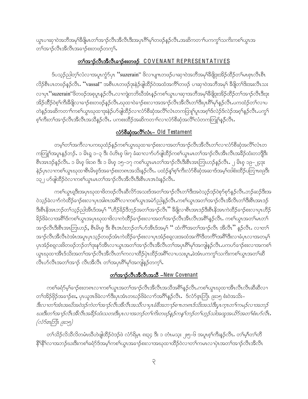ယ္မွာပၢဆုၢ၀ဲအဘိအမုၫ်ိဳဖိုမာတၫ်အၫဉ်လီၤအိလီၤဒီးအပုၫဂိၢိမုၫ်တဖဉ်နှဉ်လီၤႉအဆိကတ႑ၢ်ပကက္ဂၤ်သက်ိးကစၤ်ယွၤအ တၫ်အၫဉ်လီၤအိလီၤအခၢဉ်စးတဖဉ်တက့ၢ်.

## တ္ပါအၫဉ်လီၤအီလီၤခ႑ဉ်စးတဖဉ် COVENANT REPRESENTATIVES

Sပသ္၃်ညါတ့််လံလၢအပူၤကွံာ်ပှၤ ''suzerain'' <sup>8</sup>လၢပျπတဖဉ်ပၢဆှၢ၀ဲအဘိအမုၢိနိဖျိဒုးအိဉ်ထိဉ်တၢ်မၤစှၤလီၤစီၤ လိဉ်စီၤပၤတဖဉ်နဉ်လ<mark>ီၤ. ''vassal''</mark> အစီၤပၤတဖဉ်ဒုးနဲဉ်ဖျ်ထိဉ်ဝဲအထံအကိ်<sup>ရ</sup>တဖဉ် ပၢဆှၢဝဲအဘိအမှ<sup>ရ</sup> ခီဖျိတ<sup>ရ</sup>ဒ်းအးလီၤသး လၢပုၤ "suzerain"ဖိတဖဉ်အစုပူးနှဉ်လီၤႉလၢကျဲတဘိဃိအံၤန္ဉာ်ကစၢ်ယွၤပၢဆုၢအဘိအမှၢ်ခ်ီဖျိဒုးအိဉ်ထိဉ်တၫ်အၫဉ်လီၤဒီးဒုး အိဉ်ထိဉ်ဝဲစ့်ၫက်ိဳးခ်ီဖြိုလၢခ႑ာ်စးတဖဉ်နဉ်လိၤႉဃုထၢဝဲခ႑ာ်စးလၢအအ႑ာ်လီၤအိလိၤတၤ်ဒီးပုၤရိၤ်မုၤ်နှဉ်လီၤႉပကထံဉ်တၤ်လၢပ တဲန္ဥာအဆိကတၫ်ာကစၫ်ယွာဃုထၫဒုးနဲ့ဥပာ်ဖျါထိဥလၫလံာစိဆုံအလိ်ၤလံာကတြူၫ်ပူးအစ့ၫ်ဒ်လဲဥဒ်လဲဥအစ့ၫ်နှဥ်လီၤ.ပက္ဂ႑် စ့ါကီးတါအၫဉ်လီၤအိလီၤအသိန္ဉာ်လီၤႉ ပကစးထိဉ်အဆိကတ႑ါလၢလံာ်စိဆုံအလိႝၤလံတကတြူၫ်န္ဉာ်လီၤႉ

## လံာ်စီဆုံအလိ်ြလံၤ– Old Testament

တမ့်ၢိတၫ်အကိလၢပကဃုထံဉ်နဉ်ကစၢိယ္ပၤဃုထၢခၢဉ်စးလၢအတၢ်အၫဉ်လီၤအိလီၤတၫ်လၢလံာ်စိဆုံအလိံၤလံၤတ ကတြူ်အပူၤန္ဉာိဘဉ်ႉ ၁ မိၤရ္ ၁–၃ ဒီး ဝံဟိၤစ္ ၆း၇ ခံဆၤလၤာ်ဟ်ဖျံထိဉ်ကစၤ်ယွၤမၤတၤ်အၤဉ်လီၤအီၤလီၤအခ်ိဳဉ်ထံးတဘျီဒီး စီးအားဒဉ်နဉ်လီး. ၁ မိၫစု ၆း၁၈ ဒီး ၁ မိၫစု ၁၅–၁၇ ကစါယွာမာတါအာဉ်လီးဒီးစီးအာဘြာဟဉ်နဉ်လီး. ၂ မိၫစု ၁၉–၂၄ဒုး နဲ့ဉ်ပုၤလၢကစၢိယ္ပၤၰထၢစီၤမိၤစ္5အခ႑ာ်စးတ၈ၤအသိးန္ဉာ်လီၤႉ ပထံဉ်န္1စ့ၫ်ကီးလံာ်စီဆုံအဆၢဒ်အမ့ၢ်ထါစံးထိဉ်ပတြ႑ာရဒ္မီး ၁၃၂ ဟ်ဖျါထိဉ်ဝဲလၢကစါယွာမာတါအၫဉ်လီၤအီလီၤဒီးစီးပာအငံးနဉ်လီၤ.

ကစါယွာရှုဒီးအပုာဃုထၢဖိတဖဉ်လီးဆီလိ႒်အသးဒ်အတၢ်အၫဉ်လီၤတၢ်ဒီးအဝဲသူဉ်ဒဉ်ဝဲစုာ်စုာ်နှဉ်လီး.ဘဉ်ဆဉ်ဒီးအ ဝဲသု့ဉ်ခဲလၫာ်ကဲထိဉ်ခ႑ာ်စးလၢပုၤအါ၈ၤအရိSလ႑ကစSယ္ပၤအမဲာ်ညါန္ဉာ်လီၤ.ကစSယ္ပၤအတSအၫဉ်လီၤအီလီၤတSဒီးစီၤအၤဒဉ် ဒိုးစီးနိုအာဘဉ်တၫ်သူဉ်ညါအီၤဒ်အမှ1် 'တိဉ်နိဉ်ဒိဘုဉ်အတၫ်အၫဉ်လီၤ'' နိဖျိလၢစီၤအာဒဉ်ဒိုးစီးနိုအာကဲထိဉ်ခ႑ာ်စးလၢပုၤဟိဉ် နိဉ်ဖိခဲလၢအရိ<sup>ု</sup>ဒ်ကစါယွာအပှာဃုထၢဖိလၢကဲထိဉ်ခၢဉ်စးလၢအတ<sup>ှ</sup>အၫဉ်လီာအီးလီာအရိ<sup>ု</sup>နှဉ်လီာ. ကစါယွာအတ<sup>ှ</sup>မာတ<sup>ြ</sup> အၫဉ်လီၤဒီးစီးအာဘြၤဟဉ်, စီးမိၵစု ဒီး စီးဒၤဝံးဘဉ်တၫ်ဟ်အီၤဒ်အမှ ် '' ထံကိ်္ဂါအတ႑်အၫဉ်လီၤ အိလီၤ'' နဉ်လီၤ. လၢတ႑် အၫဉ်လီၤအီလီၤ၀ဲအံၤအပူၤပုၤသ့ဉ်တဖဉ်အံၤကဲထိဉ်ခ႑ာ်စးလၢပုၤအံဉ်စရလးအထံအကိ်ၤဒိတကိ်ၤအရိ်ၤဒိုးလၢခံပုၤလၢအတမ့်ၤ ပုၤအံဉ်စရူလးဖိတဖဉ်ဘဉ်တၫ်ဒုးနှာ်အီၤလၢယ္ပၤအတ႑်အၫဉ်လီၤအိလီၤတၫ်အပုၤ၈ိၫ်မှၫ်အကျါနှဉ်လီၤ.ပကပာ်ခ႑ာ်စးလၢအကစ႑် ယ္မွာဃုထၢအီၤဒ်သိးအတၫ်အၫဉ်လီၤအိလီၤတၫ်ကလၢထိဉ်ပဲု၊ထိဉ်အရိၤ်လၢပသးပူၤႇခဲ့အံၤပကကွၤ်သက်ိးကစၤ်ယွၤအတၤ်ဆိ လီၤဟ်လီၤအတၫ်အၢဉ် လီၤအီလီၤ တၫ်အပုၤ၈ိၫမှၫ်အကျဲနှဉ်တက့ၫ်.

## တSအာဉ်လီးအီလီးအသီ –New Covenant

ကစါ်ခရံှာမ့်ါခၢဉ်စးတ၈ၤလၢကစါယွာအတါအၢဉ်လီၤအိလီၤအသိအဂ်ိါနှဉ်လီၤ.ကစါယွာဃုထၢအိၤလီၤလီၤဆီဆီလၢ တၫ်အိဉ်ဖိုဉ်အခၢဉ်စး, ပုၤယူဒၤဖိခဲလၢာ်ဒီးပုၤအံၤတဃဉ်ဖိခဲလၢာ်အဂ်ိၢန္ဉာလီၤ. ဒ်လံာ်ဇူးဘြီၤ ၉း၁၅ စံးဝဲအသိး– ဒီးလၢတၫ်အံၤအဃိအဝဲဒဉ်ကဲတၫ်အ႑ာ်လီၤအီလီၤအသီလ႑ပုၤခံခ်ိအဘ႑ာ်စ႑ာတရာဒ်သိးအသံဒီးပုၤက္ၤတ႑်ကမဉ်လ႑အဘဉ် ဃးဒီးတၫ်အ႑ာ်လီၤအိလီၤအခဵဉ်ထံးသတးဒီးပုၤလၢအဘဉ်တ႑်ကိဴးတဖဉ်နဉ်ကန႑်ဘဉ်တ႑်ဟ္ဥသါအထူအယိာ်အတ႑်စံးပာ်လီၤ.  $(\frac{1}{2} - \frac{1}{2})$ 

တၫ်သိဉ်လိသိလိတမံၤဃိိဟဲဖျါထိဉ်ဝဲဒဉ်ဖဲ လံာ်ရိမ့ၤ ၈း၃၄ ဒီး ၁ တံၤမသ္း ၂း၅–၆ အပူၤစ့ၫ်ကီးနဉ်လီၤႉ တ႑်မ့္ဂ်ါတ႑်တိ နို<sup>ရွ</sup>ိရလၫအဘဉ်ဃးဒီးကစ<sup>႑</sup>ခရံှာ်ဒ်အမှ့<sup>၎</sup>ကစ႑်ယွၤအခ႑ာ်စးလၢအၰထ႑ထိဉ်ဝဲလ႑တ႑်ကမၤလ႑ပုဲၤအတ႑်အ႑ာဉ်လီၤအီလီၤ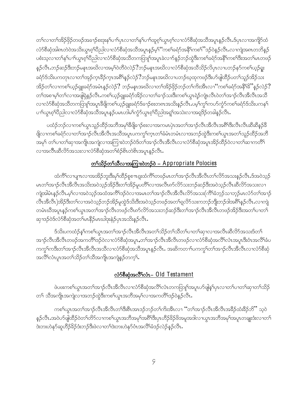တၫ်လၢတၫ်အိဉ်ဖှိဉ်တဖဉ်အခၢဉ်စးဒုးနှၤ်ပၢၤ်ပှၤလၢတ႑်နှၤ်ပၢၤ်ထူစ့ၤ်ယွၤစ့ၤ်လၢလံာ်စီဆုံအသိအပူၤန္ဉာ်လီၤ.ဒ်ပှၤလၢအကျိာ်ထံ လံာ်စီဆုံအါဂၤတဲဝဲအသိးယွာၤ့ၵ်ပီညါလၫလံာ်စီဆုံအသိအပူၤန္ ဉ်မ့<sup>၎ ''</sup>ကစ<sup>႖</sup>ခရံာ်အနိ<sup>၎</sup>ကစ<sup>၎''</sup>ဒဉ်ဝဲန္ ဉ်လီၤႉလၫကျဲအဂၤတဘိန္ ဉ် ပစံးသလောတ<sup>ရ</sup>န<sup>ေ</sup>ျာကွားစွာပြီးသွားလည်း စော့ဆောက်သည်။ အမှုသော အသည် အသည် အသည် အသည် အသည် အသည် အသည် ပ န5ုလီၤ.ဘဉ်ဆဉ်ဒီးဘဉ်မနၤအဃိလၢအမ့ၢ်ဝဲတိဝဲလဲဉ် $?$ ဘဉ်မနၤအဃိလၢလံာ်စီဆုံအသိသိဉ်လိပှၤလၢပဘဉ်နာ်ကစၢ်ယှဉ်ရူး ခရံာ်ဒ်သိးပကတုၤလၢတၫ်အုဉ်က္ $\mathbb{I}$ ခ်ိုက္ၤအ<sup>ရွ</sup>်နဉ်လဲဉ် $?$ ဘဉ်မနၤအဃိလၢပဘဉ်ဃ့ထုကဖဉ်ဒီးဟ်ဖျံထိဉ်ပတၫ်သူဉ်အိဉ်သး အိဉ်တ1်လၫကစ1်ယှဉ်ရျူးခရံာ်အမံၤန္ဉာလဲဉ် $?$  ဘဉ်မနၤအဃိလ႑တ႑အိဉ်ဖှိဉ်ဘဉ်တ1်ကိုးအီၤလ႑'်ကစ1်ခရံာ်အနီ1 $\mathrm{\textit{S}}$ ိန္ဉာလဲဉ် $?$ ာ<br>တၫ်အစၫမ့ၢ်တၫ်လၫအဖျိရဲနှဉ်လီၤႉကစၫ်ယှဉ်ရူးခရံာ်အိဉ်လၫတၫ်ခၫဉ်သးဒီးကစၫ်ယွπရဲဉ်ကျဲπလီၤဝဲတၫ်အၫဉ်လီၤအိလီၤအသိ လၢလံာ်စိဆှံအသိတကတြူၫ်အပူၤခီဖျိကစၫ်ယှဉ်ရှူးခရံာ်ဒ်ခ႑ာ်စးတၵၤအသိးနှဉ်လီၤ.ပမ့ၢ်ကွၢ်ကပာ်ကွံာ်ကစၢ်ခရံာ်ဒ်သိးပကန۱် ပၢါယ္ပၤစ္ပါဝိညါလၫလံာ်စီဆုံအသိအပူၤန္ဉာဴပမၤဟါမ႑်က္ပံာ်ယ္ပၤစ္ပါဝိညါအရူၤ်အသဲးလ႑အရဒိဉ်တခါန္ဉာ်လီၤ

ပထံဉ်ဘဉ်လၢကစါယွာသူဉ်ထိဉ်အဘိအမုၢိနိဖျိုချာ်စးလၢအကမာပှဲာအတၤ်အၢဉ်လီာအီလီာအစိၢိဒီးလီာလီာဆီဆီနဉ်နိ ဖြိုလၢကစါ်ခရံာ်လၢတါအၢဉ်လီၤအိလီၤအသိအပူၤပကကွါ်က္ၤတါခံမံၤတမံၤလၢအဘဉ်ထွဲဒီးကစါယွၤအတါသူဉ်ထိဉ်အဘိ အမု<sup>ှ</sup> တ<sup>ှ</sup>ပၢတ<sup>ှ</sup>ဆှၢအကျိုးအကျဲလၢအကြုံးဝဲဘဉ်ဝဲဒ်တၢ်အၫဉ်လီၤအီလီၤလၢလံာ်စိဆုံအပူၤအိဉ်ထိဉ်ဝဲလၢတၢ်ဆၢကတိ်၊ လၫအလီၤဆီလိ်ာအသးလၫလံာ်စီဆုံအတ<sup>ြ</sup>စံဉ်စိၤတဲစိၤအပူၤန္ဉာ်လီၤ.

# <u>တ<ာ်သိဉ်တ<ာ်သီလညာကြားဝဲဘဉ်ဝဲ – Appropriate Polocies</u>

ထံကိ်ၤလာပျπလာအအိဉ်ဘူးဒီးမှၤ်ထိဉ်စူစπရူးထံကိ်ၤတဖဉ်မၤတၤ်အာဉ်လီၤအိလီၤတၤ်လိာ်အသးနှဉ်လီၤ.ဒ်အဝဲသ့ဉ် မၤတ<sup>႖</sup>အၫာ်လီၤအိလီၤအသိႏၶာဝဲသုဉ်အိဉ်ဒီးတၫ်အိဉ်မူပတိႝၤ်လ႑အလီၤ၈ာ်လိာ်သႏၥာဉ်ဆဉ်ဒီးအဝဲသုဉ်လီၤဆီလိာ်အသႏလ႑ ကျဲအါမံၤန္ဉာ်လီၤ.မ့္ပ်လၢအဝဲသူဉ်အထံအက်ိဳၤဒဉ်ဝဲလၢအမၤတၤ်အၫဉ်လီၤအီလီၤလိဉ်အသး(က်ိဳၤ်ခံဘုဉ်သၢဘုဉ်မၤလံဉ်တၤ်အၫဉ် လီၤအီလီၤ)အိဉ်ဒီးတၤ်လၢအဝဲသ့ဉ်ဘဉ်အိဉ်မူထွဲဒ်သိးဒီးအဝဲသ့ဉ်တဖဉ်အတၤ်ရှလိ5်သးကဘဉ်ဘိုုးဘဉ်ဒါအရိ်္ဂနှဉ်လီၤ လၢကျဲ တမံၤဃိအပူၤန္ဉာ်ကစၫ်ယွၤအတၫ်အၫဉ်လီၤတဖဉ်လီၤ၈ာ်လိာ်အသးဘဉ်ဆဉ်ဒီးတၫ်အၫဉ်လီၤအိလီၤတဖဉ်အိဉ်ဒီးအတ႑်ပၢတ႑် ဆုၫဒဉ်ဝဲဒ်လံာ်စီဆုံအတၢ်မၤနိ5ုမၤဃါဒုးနဲဉ်ပုၤအသိးနဉ်လီၤ.

ဒ်သိးပကထံဉ်န<်ကစ<်ယွာအတ်အာဉ်လီာအီလီာအတ်သိဉ်တ်သီတ်ပာတ်အာလာအလီာဆီလိ်ာအသးဒ်တ် အၫဉ်လီၤအိလီၤတဖဉ်အကတိႝၤ်ဒဉ်ဝဲလၢလံာ်စိဆုံအပူၤႇတၤ်အၫဉ်လီၤအိလီၤတဖဉ်လၢလံာ်စိဆုံအလိၤ်လံၤအပူၤဒီးဝံၤအလိၤ်ခံပ ကက္ဂါကဒီးတၫ်အၫဉ်လီၤအိလီၤအသိလၫလံာ်စိဆုံအသိအပူၤန္ဉာ်လီၤႉ အဆိကတ႑ၢ်ပကက္ဂါတၫ်အၫဉ်လီၤအိလီၤလၫလံာ်စိဆုံ အလိ်ိၢလံၤပူၤအတ႑်သိဉ်တ႑်သိအကျိုၤအကျဲန္ဉာ်တက္န္ပါ.

## လံာ်စီဆုံအလိ််ာလံၤ– Old Testament

ဖဲပဖးကစါယွာအတၢိအာဉ်လီာအီလီာလာလံာ်စီဆုံအလိံၤလံာကတြူၫ်အပူာဟ်ဖျိန္းပှာလာတၤ်ပာတၤ်ဆု၁တၤ်သိဉ် တၫ် သိအကျိုးအကျဲလၫအဘဉ်ထွဲဒီးကစါယွာအဘိအမု)်လၫအကတိႝၤဒဉ်ဝဲနှဉ်လိုး

ကစါယွၤအတ<sup>ၡ</sup>အၫဉ်လီၤအိလီၤတ<sup>ၡ</sup>ဒီးစီၤအၤဒဉ်ဘဉ်တါကိႏအီၤလၢ ''တ<sup>ၡ</sup>အၫဉ်လီၤအိလီၤအခ်ိဉ်ထံးခ်ိဉ်ဘိ'' သ့ဝဲ န5ုလီၤႉအဝဲပာ်ဖျါထိဉ်ဝဲတၫ်တိ5်လ႑ကစၫ်ယွπအဘိအမုၢ်အရိၢိဒိီးပှၤဟိဉ်နိဉ်ဖိအမူအဒါလ႑ယွπအဘိအမုၢ်အပူၤတချုးဒံးလ႑တ႑် ဒဲးဘးဟဲနှာ်ဆူဟိဉ်ခိဉ်ဒံးဘဉ်ဒီးဖဲလၢတၫ်ဒဲးဘးဟဲနှာ်ဝံၤအလိံၫ်ခံဒဉ်လဲဉ်နှဉ်လီၤ.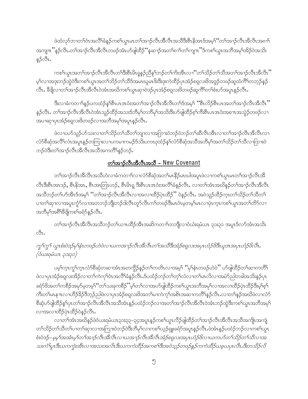ဖဲထံလှာ်ဘၢတၫ်ဝံၤအလိၢိခံနဉ်ကစၢ်ယွာမၤတၫ်အၫဉ်လီၤအီလီၤအသိဒီးစီၤနိအာဒ်အမှၤ်ဴတၫ်အ႑ာဴလီၤအီလီၤအ၈ၫ႑ အကျ $\pi$ ိန $\hat{\beta}$ လီၤ.တၫ်အၫ $\hat{\beta}$ လီၤအိလီၤတဖ $\hat{\beta}$ အံၤဟ်ဖျါထိ $\hat{\beta}$ ိန့်ဆၢ $\hat{\beta}$ အတၫ်ရာၢ်တၫ်ကျ $\pi$ ိဒ်ကစၢ်ယွားအဘိအမုၢ်အိ $\hat{\beta}$ ဝဲအသိး န္ဉာလီၤ.

ကစါယွာအတါအၫဉ်လီၤအီလီၤတါဒီးစီးမိၤရုန္ဉဉ်သိုနှါဘဉ်တါကိုးအီၤလၫဴဴတၫ်သိဉ်တၫ်သိအတၢ်အၫဉ်လီၤအီလီၤ'' မ့<sup>၎</sup>လၢအဒုးဘဉ်ထွဲဝဲဒီးကစ<sup>႑</sup>ယွπအတ<sup>၎</sup>သိဉ်တ႑်သိဒ်အမာဃူမာဖိးဒီးဒုးကဲထိဉ်ပှာအံဉ်စရလးဖိအဒူဉ်တဖဉ်ဆူထံကိြတဘ့ဉ်နဉ် လီၤႉ ခ်ီဖြိုလာတၫ်အၫဉ်လီၤအိလီၤဝဲအံၤအဃိကစၫ်ယွၤဆုၫဝဲဒဉ်ပှၤအံဉ်စရလးဖိတဖဉ်ဆူကိ်ၤ်တၫ်စီးပာ်အပူၤန်ှဉ်လီၤႉ

.<br>ဒီးလၢခံကတၫၢိန္ဉာပကထံဉ်န<်ါစီၤပၤဒၤဝံးအတ<sup>ု</sup>အၫဉ်လီၤအိလီၤတၫ်ဒ်အမှ<sup>၎</sup> ''စီၤလိဉ်စီၤပၤအတ<sup>ု</sup>အၫဉ်လီၤအီလီး'' န5ုလီၤႉ တၫ်အၫဉ်လီၤအိလိၤဝဲအံၤသူဉ်ထိဉ်အသးဒ်ဘိမုၢ်တဘိမုၢ်အသိးဒီးဟ်ဖျ်ထိဉ်စ့ၢ်ကိုးစီၤပၤဒၤဝံးအစ႑ာအသွဲဉ်တဖဉ်လ႑ .<br>အပၫဆုၫပှၤအံဉိစရလးဖိတဖဉ်လၫအဘိအမုၢိအပူၤန္ဉာလီၤ

ဖဲလၢပဟ်သူဉ်ဟ်သးလၢတၫ်သိဉ်တၫ်သိတၫ်ဘျာလၢအကြားဝဲဘဉ်ဝဲဘဉ်တၫ်ဆီလီၤအီၤလၢတၫ်အၫဉ်လီၤအီလီၤလၢ လံာ်စီဆုံအလိ်<sup>ရ</sup>လံၤအပူၤန္ဉာိတကြၤးလၢပကမၢကမဉ်§သိးပကၰထံဉ်နှၤ်လံာ်စီဆုံအသိအဘိမှၤ်အတၤ်သိဉ်တၤ်သီလၢကြၤးဝဲ ဘဉ်ဝဲဒီးတၫ်အၫဉ်လီၤအိလီၤအသိအကတိႝၤန္ဉာ်ဘဉ်.

#### တြိုအာဉ်လီးအီလီးအသီ – New Covenant

တၫ်အၫဉ်လီၤအိလီၤအသိဟဲလၢခံကတ႑ာ်လၢလံာစိဆုံအတ႑်မၤနိဉ်မၤဃါအပူၤဖဲလၢကစ႑်ယွၤမၤတ႑်အၫဉ်လီၤအိ လီၤဒီးစီၤအၤဒဉ်, စီၤနိအၤ, စီၤအၤဘြၤဟဉ်, စီၤမိၤရ္ ဒီးစီၤပၤဒၤဝံးအလိၢ်ခံနဉ်လီၤ. လၢတၢ်အံၤအဃိနဉ်တၢ်အ႑ာ်လီၤအီလီၤ အသိဘဉ်တၫ်ဟ်အီၤဒ်အမှ1် ''တၫ်အၫဉ်လီၤအိလီၤလၢအလၢထိဉ်ပုံၤထိဉ်'' ဝဲနဉ်လီၤႉ အဝဲသူဉ်ထိဉ်ကူၤတၫ်သိဉ်တ႑်သိတ႑် ပၢတၫဆုၫလၢအပူၤက္စံာ်လၢအတဘဉ်ဘိုုးဘဉ်ဒါလီၤတုာ်လီၤကၫ်တဖဉ်ဒီးမၤဝံၤမဲ့တမ့ၢ်မၤလၢပဲ၊က္ၤကစၫ်ယ္လၤအတ႑်တိာ်လ႑ အဘိမုၫ်အရိ<sup>ု</sup>ဒိဖျိကစၢ်ခရံာ်နဉ်လီၤ.

တၫ်အၫဉ်လီၤအိလီၤအသိဘဉ်တၫ်ယπထိဉ်အိၤအဆိကတၫၢ်တဘျီလၢဝံယံးရမံယၤ ၃၁း၃၁ အပူၤဒ်လာ်အံၤအသိး  $\mathcal{S}_1$ .

# ကွ ်ကွ ်ယွာစံးဝဲဒဉ်မှ ်နံးတဖဉ်ဟဲဝဲလ ဃကအ ဉာလီးအီလီးတ ်အသီဒီးအံဉ်စရူလးအပုံးဟံဉ်ဖိဒီးယူအအပုံးဟံဉ်ဖိလီး (ဝံယးရမံယၤ ၃၁း၃၁)

ပမ့်ၢ်က္ၤကွ်ၤက္ၤလံာ်စီဆုံတဆၢအံၤအတက္ဂ်ီဉ်နည်တၤ်ကတိၤလၢအမ့ၤ်မုံနဲၤတဖဉ်ဟဲဝဲႆႛ ပာ်ဖျါထိဉ်တၤ်ဆၢကတိႝၤ ဖဲလၢပှၤအံဉ်စရလးအိဉ်လၢတ<sup>ြ</sup>ကဲကု<sup>ှ</sup>ဝံၤအလိ<sup>ု</sup>ခံနဉ်လီၤ.ဒ်ပထံဉ်ဘဉ်တ<sup>ှ</sup>ုလံလၢတ<sup>ှ</sup>မၤလိလၢအမဲာ်ညါတခါအသိးနဉ်ပှၤ ခရံှာ်ဖိအတၤ်ကစိဉ်အမှာ်မှတမှၤ်ဴတၤ်သးခုကစိဉ်ိႆမ့ၤ်တၤ်လၢအပာ်ဖျါထိဉ်ကစၤ်ယွၤအဘိအမှၤ်လၢအလၢထိဉ်ပဲုၤထိဉ်ဒီးမ့ၤ်စ့ၤ် ကိဳးတၫ်မၤန႑ာလၫဟိဉ်ခိဉ်ဒိဘ္ဉာညါဖဲလ႑ပုၤအံဉ်စရူလးဖိအတ႑်မ႑ကဲကု႑်အစိၤအဆ႑ကတိႝ႑န္နဉ်လီၤႉလ႑တ႑်နှဉ်အဃိဖဲလ႑လံဉ် စီဆုံပာ်ဖျထိဉ်နှၤ်ပှၤတၤ်အၫဉ်လီၤအိလီၤအသိအံၤန္ဉာ်ပထံဉ်ဘဉ်လ႑အတၤ်အၫဉ်လီၤအိလီၤဝဲအံၤဘဉ်တွဲဒီးကစၤ်ယွၤအဘိအမုၤ် လၫအလၫထိိဉ်ပဲုၤထိိဉ်ဝဲန္ဉာ်လီၤ.

လၢတၫ်အံၤအဃိန္ဥပဲဝံယးရမံယၤ၃၁း၃၃–၃၄အပူၤန္ဥဂာစ႑်ယ္မွၤလိုဥဖျံထိဥ်တ႑်အၫဥဴလီၤအိလီၤအသိအကျိုၤအကျဲ တၫ်သိဉ်တၫ်သိတၫ်ပၢတၫ်ဆှၫလၢအကြၫးဝဲဘဉ်ဝဲဒီးဘိမုၫ်လၢကစၫ်ယှဉ်ရှူးခရံဉ်အပူၤန္ဉာ်လီၤ.ဖဲအံၤန္ဉာ်ပထံဉ်ဘဉ်လၢကစၫ်ယွၤ စံးဝဲဒဉ်–မ့မ့'၊အအံၤမ့'၊တ'၊အ႑ာဴလီၤအီလီၤလၢယအ႑ာဴလီၤအီလီၤအံဉ်စရူလးအပုၤဟံဉ်ဖိလ႑ယကပာ်တ'၊သိဉ်တ'၊သီလ႑အ သးကံ Yု၊ ဒီးယကကွဲးအီၤလၢအသးအလိၤဒီးယကကဲထိဉ်အကစၫ်ဒီးအဝဲသုဉ်တဖဉ်နဉ်ကကဲထိဉ်ယခုယပုၤလိၤ.ဒီးတသိဉ်လိ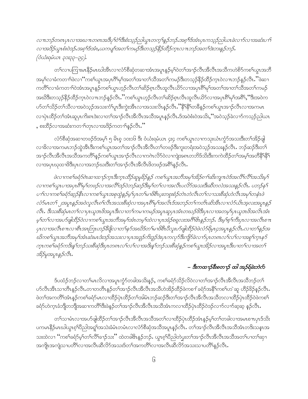လ πဘဉ်တရာပုၤလ ၊အဃ πတရာအဒီပု႑်ဝဲ႑်ဒီးစံးသုဉ်ညါယွၤတက္ ၊်န္)်ဘဉ်.အစ္ ၊်ဒ်အံၤပုၤကသုဉ်ညါယၤခဲလ ၊ာ်လ ၊အဆံးပ ၊ ၊် လၫအဒိဉ်ယွၤစံးဝဲဒဉ်.အစုၫ်ဒ်အံၤ,ယကပျ႑်အတ႑်ကမဉ်ဒီးတသုဉ်နိဉ်ထိဉ်က္ၤလ πဘဉ်အတ႑်ဒဲးဘးနှဉ်ဘဉ်. (ဝံယံးရမံယၤ ၃၁း၃၃–၃၄).

တၫ်လၢပကြၢးမၤနိၵိမၤဃါအိၤလၢလံာ်စိဆုံတဆၢအံၤအပူၤန္6မ့်ၫဝဲတၫ်အၫဉ်လီၤအိလီၤအသိကဟဲစိ႒်ကစ႑်ယွၤအဘိ အမုၢိလၢခံကတၢၢိဖဲလၢ '´ကစၢိယ္ပၤအပှၤဂိၢိမုၢ်အတၢ်အၢတၢ်သိအတၢ်ကမဉ်ဒီးတသ္ဉ်နိုဉ်ထိဉ်က္ၤဝဲလ႑ာဘုန္ဉဉ်လိၤ…ိဲဖဲဆ႑ ကတိႝ႞လၫခံကတ႑်ါ၀ဲအံၤအပူၤန္ဉာ်ကစ႑်ယွၤဟ့ဉ်လီၤတ႑်ဆိဉ်စုၤလီၤထူလီၤယိဉ်လ႑အပုၤ၈ိႝႃမှ႞အတ႑်အၫတ႑်သိအတ႑်ကမဉ် အဃိဒီးတသ္ဉ်နိုဉ်ထိဉ်က္ၤဝဲလ႑ာဘဉ်နဉ်လိၤႉ''ကစၫ်ယွၤဟ္ဥာ်လီၤတ႑်ဆိုန်ဂၤလိၤထူလီၤယိဉ်လ႑အပှၤရိၱမု∫အရိိ∫,''ဒီးအဝဲက လၢပှဲၤထိဉ်တၫ်အံၤဆူပှၤကိႏၵၤဒဲးလၢတၫ်အၫဉ်လီၤအိလီၤအသိအပူၤန္ဉဉ်လီၤႉဒ်အဝဲစံးဝဲအသိႏႇဴအဝဲသ္ဉခ်ဲလၫာ်ကသ္ဉဉ်ညါယၤ ှစးထိဉ်လၢအဆံးကတၫ်တုၤလၢအဒိဉ်ကတၫ်နဉ်လီၤ.''

လံာ်စီဆုံအဆၢတဖဉ်ဒ်အမ့် ၅ မိၤစ္ ၁၀း၁၆ ဒိုး ဝံယံးရမံယၤ ၄း၄ ကစါယွπလၢကသုးယံၤက္ငံာ်အသးဒိုးတၫ်အိဉ်ဖျါ လၢခိလၢအကမၤဘဉ်ထွဲအီၤဒီးကစၢ်ယွၤအတၫ်အၢဉ်လီၤအိလိၤတၢ်တဖဉ်ဒီးကူးတရံးအဝဲသ့ဉ်အသးနဉ်လီၤႉ ဘဉ်ဆဉ်ဒီးတ႑် အၫဉ်လီၤအီလီၤအသီအကတိႝ႞န္ဉာ်ကစ႑်ယ္လၤအၫဉ်လီၤလၫကဂဲၤလိာ်ဝဲလၫကျဲအ၈ၤတဘိဒ်သိးဒီးကကဲထိဉ်တ႑်အမ့∫အတိနိ<sup>ု</sup>နိ<sup>ု</sup> လၫအပုၤဃုထၫဖိဒီးပုၤလၫအဘဉ်ဃးဒီးတၫ်အၫဉ်လီၤအီလီၤဖိတဖဉ်အ<sup>ရွ</sup>်နှဉ်လီၤ.

ဖဲလ 1ကစ<sup>ၡ</sup>ခရံာ်စဲၤဆ 1ထ 1ဉ်က္1 ဒီးက္1 ထိဉ်ဆူမူခ်ိန်နှဉ် ကစ<sup>ၡ</sup>ယွၤအဘီအမု ်အိဉ်၈ 1 ်ဆီးကျ π ဝဲဒ်အလီ ်လီ ်အသိးမ့ ် လၢကစၢိယ္မွၤပၢအပုၤရီးမုၫ်တဖ္ဉလၢအလီးဒြာဴဝဲဘဉ်ဆဉ်ဒီးမ့ၫ်တ႑်လၢအလီၤပလိာ်အသးဒီးဆီတလဲအသးနှဉ်လီၤ. ပဘဉ်နှ႑် ပ႑်လ႑ကစ႑်ခရာဴခ်ဆူဉ်နိုးလ႑ကစ႑်ယ္မွာအစုတ္ပဲန္ ဉိမ္ ပု႑တ႑်မ႑ပိစီၤပူးတစူးစံဉ်တဲၤတဲလိၤတ႑်လ႑သႏစီဆုံဟဲလိၤအမှ႑်တနံၤဖဲ လံာ်မၤတ႑် ၂အပူးနှဉ်အဝဲလူလီး၈႑်လီးအသးစီဆုံလၢအပုၤ၈ိ႑မှ ၊်အလိၤဒ်အဘဉ်တ႑်ကတိၤဆိအီးလၤလံာ်ယိၤအူလးအပူးနှဉ် လီး. ဒီးသးစီဆုံမၤတ႑်လ႑ပုၤယူအဖိအပူၤဒီးလ႑တ႑်ကမ႑ကမဉ်အပူၤဆူပုၤအံၤတဃဉ်ဖိဒီးပုၤလ႑အတမူ႑်ပုၤယူအဖိအလိၤအံၤ မ့်က်လာအပာ်ဖျါထိဉ်ဝဲလကာစါယွာအဘိအမှာ်အံၤတမ့်ကြဲလာပုာအံဉ်စရူလးအဂိါမိးနှဉ်ဘဉ်. ဒီးမှု စ့်ကြီးပုၤလာအလီၤစ $\pi$ ပုၤလၢအလီၤစ႑ာလၢစီၤအၤြာၤဟဉ်ခ်ဳပ္ပိုလၢတ႑်နှာ်အဃိဒ်တ႑်မၢဗိစီၤပီလူးဟ်ပျံထြိဉ်ဝဲပဲလံာ်ရိမ္၊၄အပူၤန္နဉ်လီၤ.လၢတ႑်နှဉ်အ ဃိကစ<ယ္မွာအဘိအမှ<sup>ငှ</sup>အံၤဆဲးမာဒံးဒဉ်အသးလၢပုၤအဒူဉ်ကိုးဒူဉ်ဒဲးပုၤကလှာ်ဒီးကျိုာ်ခဲလၢာ်ပုၤတ၈ၤလ႑်လ႑လၢအစူ<sup>ငှ</sup>က္ငၤနှာ် က္၊ကစၢိခရံာ်ကဒိးနၵ်ဘဉ်သးစိဆုံဒီးပု၊တ၈ၤလၤ်လၤ်လၢအဒိးနဂ်ဘဉ်သးစိဆုံနဉ်ကစၤ်ယွၤအိဉ်လၢအပူ၊ဒီးပၢတၤ်လၢအတ႑် အိဉ်မှအပူးနှဉ်လီး.

## – ဒီးကထ႑ာဴဒီးစတ႑ာဴ ထါ အဉ်ရ်ခဲးဘဲလ်

ဒ်ပထံဉ်ဘဉ်လၢတၢ်မၤလိလၢအပူၤကွံာ်တခါအသိးန္ဉာ်, ကစၢ်ခရံှာ်သိဉ်လိဝဲလၢတၢ်အၢဉ်လီၤအီလီၤအသီဘဉ်တ႑် ဟ်လီၤအီၤသၢတိၤန္ဉာ်လီၤ.တၢတတိၤန္ဉာ်တၫအၫဉ်လီၤအိလီၤအသိဟဲအိဉ်ထိဉ်ဖဲကစ႑်ခရံာ်အနိၲၤကစၤ်ဟဲ ဆူ ဟိဉ်ခ်ိဉ်န္ဉာ်လီၤ. ဖဲတၫ်အကတိႝၫအံၤန္ဉာ်ကစၫ်ခရံှာ်မၤလၢထိဉ်ပုံၤထိဉ်တ႑်အါမံၤဘဉ်ဆဉ်ဒီးတ႑်အၫဉ်လီၤအိလီၤအသိတလၢထိဉ်ပုံၤထိဉ်ဝဲဖဲကစ႑် ခရံာ်ဟဲက္နာခံဘိုတဘိုုအဆၢကတိ<sup>ရှ</sup>ဒီးဖဲန္ ဉ်တၫ်အၫဉ်လီၤအိလီၤအသိအံၤကလၢထိဉ်ပဲုၤထိဉ်ဝဲဒဉ်လ႑ာ်လ႑ာ်ဆ့ဆ့ နဉ်လီၤ

တၫ်သၢမံၤလၢအဟ်ဖျါထိဉ်တၫ်အၫဉ်လီၤအိလီၤအသိအတ႑်လၢထိဉ်ပှဲၤထိဉ်အံၤန္ဉာမ့ၫ်တၫ်တခါလၢအမၤစπပုၤဒ်သိး ပကမၤနိဉ်မၤဃါယွၤၵ့ၫ်ပိညါအရှုၫ်အသဲးခံမံၤတမံၤလၢလံာ်စိဆုံအသိအပူၤန္ဉာ်လီၤ. တၫ်အၫဉ်လီၤအိလီၤအသိအံၤတဒိးသန္ၤအ သးထဲလၢ ''ကစၢိခရံာ်မ့ၢ်တၫ်လိၢိခ႑ာ်သး'' ထဲတခါဇိၤန္ ဉ်ဘဉ်. ယွၤစ့ၢ်ပိညါတဲပွးတၫ်အ႑ာ်လီၤအီလီၤအသိအတၫ်ပၢတၫ်ဆု႑ အကျိုးအကျဲသၢပတိိၤ်လၢအလီၤဆီလိ်ာအသးဒ်တၤ်အကတိၤ်လၢအလီၤဆီလိ်ာအသးသၢပတိၢ်နှဉ်လီၤ.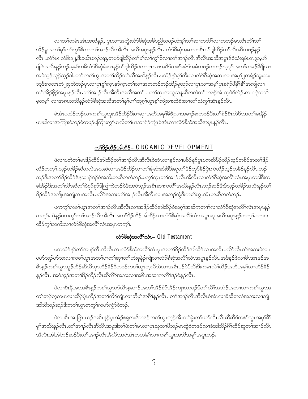လၢတၫ်တမံၤအံၤအဃိန္၌, ပုၤလၢအကွဲးလံာ်စီဆုံအခ်ဳပညီတဖဉ်ဟံးန္1်တၫ်ဆၢကတိၤ်လၢကဘဉ်မၤလီၤတံၤ်တ႑် အိဉ်မူအတၤ်မှၤ်လၤ်ကွၤ်စိလၤတၤ်အၫဉ်လီၤအိလီၤအသိအပူၤန္ဉဉ်လီၤႉ လံာ်စီဆုံအဆၤတနိၤဟ်ဖျါထိဉ်တၤ်လီၤဆီတဖဉ်နဉ် လီၤႉလံာ်မး သဲ၆း၁၂,ဒီး၁ယိၤဟဉ်၁း၉,တပာ်ဖျံထိဉ်တ႑်မှၤ်လၤ်ကွၤ်စိလၤတၤ်အၤဉ်လီၤအီလီၤအသိအပူၤဒ်ဝံယံးရမံယၤ၃၁,ပာ် ဖျါဝဲအသိးနဉ်ဘဉ်.မှမ ်တခ်ီလံာ်စီဆုံခံဆၢနှဉ်ဟ်ဖျါထိဉ်ဝဲလၢပုၤလၢအပိာ်ကစ ်ာရံာ်အခံတဖဉ်ကဘဉ်ဃ့ပျ ်အတ ်ကမဉ်ခီဖြိုလၢ အဝဲသူဉ်လှဉ်သူဉ်ခါပတာ်ကစါယွာအတၫ်သိဉ်တၫ်သိအဃိန္ဉာ်လီၤ.ပထံဉ်နှၤ်စ့ၤ်ကီးလၢလံာ်စီဆုံအဆၢလၢအမ့ၤ်၂ကရံဉ်သူး၁၁း ၁၃ဒီးကလၤတံ၂း၄တဲဘဉ်ပုၤလၢပုၤစူ်က္ၤနှာ်က္ၤတၤ်လၢအတဘဉ်ဘဉ်အိဉ်မူဃုာ်လၢပုၤလၢအမ့ါ်ပုၤခရံာ်ဖိနိ<sup>ုင္မွ</sup>ြအကျါလၢ တၫ်အိဉ်ဖှိဉ်အပူၤန္ဉာ်လီၤ.တၫ်အၫဉ်လီၤအိလီၤအသိအတ႑်ပၢတ႑်ဆုၢအထူသန္နဆီတလဲတၫ်တဖဉ်အံၤသ့ဝဲဒ်လဲဉ်.လၫကျဲတဘိ မ့တမ့်၊ လၢအရာတဘိနဉ်လံာ်စိဆုံအသိအတ႑်နှၤ်ပ႑်ထူစ့႑်ယွာစ့႑်ကျဲးစၢးထဲစံးဆၢတ႑်သံကွ႑်အံၤနဉ်လီၤ

ခဲအံၤပထံဉ်ဘဉ်လၢကစၢ်ယွၤဒုးအိဉ်ထိဉ်ဒီးပၢဆုၢအဘိအမှၢ်ခ်ိဖြုလၢအခၢဉ်စးတဖဉ်ဒီးတၢ်စံဉ်စိၤတဲစိၤအတၤ်မၤနိဉ် မာဃါလၫအကြၫးဝဲဘဉ်ဝဲတဖဉ်ပကြၫးကွ<sup>၎</sup>မာလိတ႑်ပၫဆုၫရဲဉ်ကျဲၤဝဲအံၤလၫလံာ်စိဆုံအသိအပူၫန္ဉာလီၤ.

# တ<sup>68</sup>ဉ်ထိဉ်အါထိဉ်– ORGANIC DEVELOPMENT

ဖဲလၢပတဲတၫ်မၤဒိဉ်ထိဉ်အါထိဉ်တၫ်အၫဉ်လီၤအီလီၤ၀ဲအံၤလၢန္ဉာ်လၢပခိဉ်နှာ်ပူၤပကဆိမိဉ်ထိဉ်သူဉ်တခိဉ်အတၫ်ဒိဉ် ထိဉ်တက့်ၤ.သ့ဉ်တခိဉ်ဆိတလဲအသးဖဲလၢအဒိဉ်ထိဉ်လၢတၫ်ချံဆံးဆံးဖိဒိီးဆူတၫ်ဒိဉ်တုာ်ခိဉ်ပှဲၤကဲထိဉ်သ့ဉ်တခိဉ်နှဉ်လီၤ.ဘဉ် ဆဉ်ဒီးအတ<sup>ရဒ္ဌ</sup>ဉ်ထိဉ်ဒ်နဆၫဉ်ဒဉ်ဝဲအသိးတဆိတလဲဘဉ်ႉပက္ဂ<sup>ရ</sup>က္ၤတ<sup>ရ</sup>အၫဉ်လီၤအိလိၤလၫလံာ်စိဆုံအလိ်ၢလံၤအပူၤတခါဒီးတ ခါအိဉ်ဒီးအတၫ်လီၤဆီတၫ်၀ဲစုာ်စုာ်ဒ်ကြၫးဝဲဘဉ်ဝဲဒီးအဝဲသ့ဉ်အစိၤဆၢကတိႝၤ်အသိးန္ဉာ်လီၤ.ဘဉ်ဆဉ်ဒီးဒ်သ့ဉ်တ<sup>ဌ</sup>ဉ်အသိးနှဉ်တ႑် ဒိဉ်ထိဉ်အကျိုအကျဲလၢအလိၤပလိာ်အသးတၫ်အၫဉ်လီၤအီလီၤလၢအဘဉ်ထွဲဒီးကစၢ်ယွၤအံၤတဆိတလဲဘဉ်.

ပကကွ်ကစၢိယ္ပၤအတၫ်အၫဉ်လီၤအီလီၤလၢအဒိဉ်ထိဉ်အါထိဉ်ဝဲအစ့ၢ်အဆိကတ႑ၢ်လၢလံာ်စီဆုံအလိၤ်လံၤအပူၤန္ဉဉ် တက္န1်. ဖဲန္ဥပကက္ဂါတၫအၫၣလီၤအီလီၤအတ႑်ဒိဉ်ထိဉ်အါထိဉ်လၢလံာ်စီဆုံအလိၤ်လံၤအပူၤဆူအသိအပူၤန္ဥတက္န1်.ပကစး ထိဉ်ကွ ်သက်ိးလၢလံာ်စီဆုံအလိ်ိ၊လံၤအပူၤတက္ ်၊.

# လံာ်စီဆုံအလိ်<sup>ရ</sup>လံၤ– Old Testament

ပကထံဉ်နှၤ်တၤ်အၫဉ်လီၤအီလီၤလၢလံာ်စီဆုံအလိၤ်လံၤပူၤအတၤ်ဒိဉ်ထိဉ်အါထိဉ်လၢအလီၤပလိာ်လီၤက်အသးဖဲလၢ ပဟ်သူဉ်ဟ်သးလၢကစၢ်ယွာအတ႑်ပၢတ႑်ဆုၢတ႑်ဟီးစုနဲဉ်ကျဲလၢလံာ်စီဆုံအလိၤ်လံာအပူာနှဉ်လီာ.အဒိန္ဉာ်ဖဲလၢစီာအားဒဉ်အ း<br>နံပြည်သည် အသုံးများ အသုံးပြည်နည်း အသုံးအသုံးအသုံးပြည်နှင့် အသုံးပြည်နည်း မြောက်ကို အသုံးပြည်န နဉ်လီၤႉ အဝဲသ့ဉ်အတ<sup>၎ဌ</sup>ဉ်ထိဉ်လီၤဆီလိာ်အသးလၢအစိၤအဆၢကတိႝၤဒဉ်ဝဲနဉ်လီၤႉ

ဖဲလၢစီးနိအာအစိၢန္ဉာိကစါယွာဟ်လီးနှဆ႑ာ်အတၢ်အိဉ်စံာ်အိဉ်ကျπတဖဉ်ဒ်တၢ်လိၢ်အဘံဉ်အဘၫလၢကစါယွာအ တၫ်ဘဉ်တဲ့ကမၤလၢထိဉ်ပုံၤထိဉ်အတၫ်တိ႒်ကျဲၤလၢဘိမှၫ်အရိၢိန္ဉာ်လီၤႉ တၫ်အၫဉ်လီၤအီလီၤ၀ဲအံၤလၢခံဆိတလဲအသးလၢကျဲ အါဘိဘဉ်ဆဉ်ဒီးကစါယွာတကွါကဟ်ကွံ၁်ဝဲဘဉ်.

ဖဲလၢစီးအာဘြာဟဉ်အစိၢန္ဉာိပုၤအံ့ဉ်စရူလးဖိတဖဉ်ကစၫ်ယွာဟ့ဉ်အီၤတၫ်ခွဲးတ႑်ယာ်လီၤလီၤဆီဆီဒ်ကစ႑်ယွာအပုၫ်ရိ မှา်အသိးန္5်လီၤ.တၫ်အၫှာ်လီၤအိလီၤအမူဒါတၫ်ဖံးတၫ်မၤလၢပုၤဃုထၫဖိဘှဉ်မၤထွဲဝဲတဖဉ်လၫခံအါထိဉ်ရိၫ်ထိဉ်ဆူတ႑်အၫှာ်လီၤ အီလီၤအါအါဘဉ်ဆဉ်ဒီးတၫ်အၫဉ်လီၤအီလီၤအဝဲအံၤတဟါမ႑်လၢကစ႑်ယွၤအဘိအမှ႑်အပူၤဘဉ်.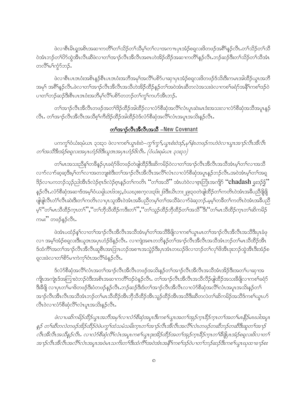ဖဲလၢစီးမိၢရှုအစိၤအဆၢကတိႝၤ်တ႑်သိဉ်တ႑်သိမ့ၤ်တၤ်လၢအကπပှၤအံဉ်စရလးဖိတဖဉ်အ<sup>ရွ</sup>်ရနဉ်လိၤႉတၤ်သိဉ်တၤ်သိ ဲအံၤဘဉ်တ<sup>ရ</sup>ပ်ိာထွဲအီၤလီၤဆီဖဲလၢတၫ်အၫဉ်လီၤအိလီၤအ၈ၤဟဲအိဉ်ထိဉ်အဆ႑ကတိၫနှဉ်လီၤ.ဘဉ်ဆဉ်ဒီးတၫ်သိဉ်တၫ်သီအံၤ တလိ်<sup>ရ</sup>မ်ာ်ကွဲ၁်ဘ**ှ**်.

ဖဲလၫစီၤပၤဒၤဝံးအစိၤန္ဉာစီၤပၤဒၤဝံးအဘိအမှၫ်အလိ႑်ပစိဉ်ပ႑ဆု႑ပုၤအံ့ဉ်စရူလးဖိတဖဉ်ဒ်သိးဒီးကမၤအါထိဉ်ယွၤအဘိ အမှ1် အရိ<sup>ု</sup>နှဉ်လီၤ.ဖဲလၢတၫ်အၫဉ်လီၤအိလီၤအသိဟဲအိဉ်ထိဉ်နဉ်တၫ်အဝဲအံၤဆီတလဲအသးဖဲလၢကစၫ်ခရံာ်အနိ<sup>ု</sup>ကစၫ်ဒဉ်ဝဲ ပၢတၫ်ဘဉ်ဆဉ်ဒီးစီၤပၤဒၤဝံးအဘိမုၢ်လိၢ်ပစိဉ်တဘဉ်တၢ်ကွၢ်ကပဉ်အီၤဘဉ်.

တၫ်အၫဉ်လီၤအိလီၤတဖဉ်အတၫ်ဒိဉ်ထိဉ်အါထိဉ်လ႑လံာ်စိဆုံအလိၤ်လံၤပူၤဆဲးမၤဒံးအသးလ႑လံာ်စိဆုံအသိအပူၤန္ဉဉ် လီၤ. တၫ်အၫဉ်လီၤအိလီၤအသိစ့ၫ်ကီးဒိဉ်ထိဉ်အါထိဉ်ဝဲဒ်လံာစိဆုံအလိံြလံၤအပူၤအသိးနဉ်လီၤ.

#### တြိုအာဉ်လီးအီလီးအသီ –New Covenant

ပကကွ<sup>ှ</sup>ဝံယံးရမံယၤ ၃၁း၃၁ ဖဲလၫကစ<sup>ှ</sup>ယွၤစံးဝဲ–*ကွ<sup>ရ</sup>ကွ¶်ယွၤစံးဝဲဒဉ်ႇမု<sup>ု</sup>နံၤတဖဉ်ကဟဲဝဲလ႑ယွၤအ႑ာဴလီၤအီလီၤ* တၫ်အသိဒီးအံ့>်စရူလးအ၄ၤဟံဉ်ဖိဒီးယူအအ၄ၤဟံဉ်ဖိလီၤ. (ဝံယံးရမံယၤ ၃၁:၃၁)

တၫ်မၤအသးညီနှၤ်တခ်ိန္ဥပုၤခရံာ်ဖိတဖဉ်တဲဖျထိဉ်ဒီးဆိကမိဉ်ဝဲလၢတ႑်အၫဉ်လီၤအီလီၤအသိအံၤမ့ၢ်တ႑်လၢအသိ လၫာ်လၫာ်ဆ့ဆ့ဒီးမ့ါတါလၢအတဘျးစဲဒီးတါအၫဉ်လီၤအိလီၤအလိႝၤလၤလံာ်စိဆုံအပူၤန္ဉာ်ဘဉ်လီၤ.အဝဲအံၤမ့ါတါအရု ဒိဉ်လ ပကဘဉ်သူဉ်ညါအီၤဒ်လဲဉ်စုၤဒ်လဲဉ်စုၤန္ ဉ်တ႑်ကတိၤ '်တ႑်အသိ'' အံၤဟဲ၀ဲလၢဇ့ၤဘြံၤအကျိဉ် ''chadash ခွးဒဉ်န္ခ်'' န5ုလီၤႉလံာ်စိဆုံအဆၤဒ်အမ့်္ဂုဝံယရှါယၤ၆၁း၄,ဝံယဃူးစက္ခလး၃၆း၂၆ဒီးယိၤဘး၂၉း၃၀တဲဖျါထိဉ်တ႑်ကတိၤဝဲအံၤအခ်ဳပညီဖိုဖြို ဖျံဖျံလီၤတံၤ်လီၤဆဲးဒီးတၤ်ကတိၤလၢပုၤသူအိၤဝဲအံၤအခ်ဳပညီတမ့ၤ်တၤ်အသိခဲလၫာ်ခဲဆ့ဘဉ်.မ့မ့ၤ်တခ်ီတၤ်ကတိၤဝဲအံၤအခ်ဳပညီ မ့<sup>၎</sup>ိတ<sup>ု</sup>မၢသိထိဉ်က္၊တ<sup>၎</sup>'','´တၫ်ဘိုသိထိဉ်ကဒီးတ<sup>၎''</sup>,'´တၫ်သူဉ်ထိဉ်ဘိုထိဉ်တၫ်အသိ''ဒီး'´တၫ်မၢသိထိဉ်က္၊တၫ်ဆိကမိဉ် ကမး'' တဖဉ်နဉ်လီၤ.

ဖဲအံၤပထံဉ်နှၤ်လၢတၤ်အၫဉ်လီၤအိလီၤအသိအံၤမ့ၢ်တၤ်အသိခ်ိဖြိုလၢကစၤ်ယွၤမၤတၤ်အၫဉ်လီၤအိလီၤအသိဒီးပုၤခံဖု လၢ အမ့<mark>်</mark>၊အံဉ်စရလးဒီးယူဒာအပှာဟံဉ်<sup>8</sup>နဉ်လီၤ. လၢကျဲအ၈ာတဘိနဉ်တ<sup>ှ</sup>အာဉ်လိၤအိလီၤအသိအံၤဘဉ်တ<sup>ှ</sup>မၤသိထိဉ်အိၤ ဒ်ထံကိ်<sup>ု</sup>အတ<sup>ှ</sup>အာဉ်လီၤအိလီၤဆူစီၤအာဘြာဟဉ်အစπအသွဲဉ်ဒီးပှၤအံၤတဃဉ်<sup>8ွ</sup>လၢဘဉ်တ<sup>ှ</sup>လု<sup>ဂြ</sup>ဖိအီၤဒုးဘဉ်ထွဲအီၤဒီးအံဉ်စ ရူလးဖဲလၢတ<sup>ှ</sup>စိ>်မၢကဲကုၢိတံအလိ်<sup>ရ</sup>ခံနှဉ်လီၤ.

ဒ်လံာ်စီဆုံအလိ်ိၢလံၤအတၫ်အၫှာ်လီၤအိလီၤတဖဉ်အသိးနှဉ်တၫ်အၫှာ်လီၤအီလီၤအသိအံၤအိဉ်ဒီးအတ႑်ပၢဆုၢအ ကိုုုအကွဲုုဒ်အကြားဝဲဘဉ်ဝဲဒီးအစိၤအဆၢကတိႝၤ်ဒဉ်ဝဲနှဉ်လီၤ. တၤ်အၫဉ်လီၤအီလီၤအသိလီဉ်ဖျဲထိဉ်အသးခီဖိုုလၢကစၤ်ခရံှာ် ဒီးခ်ီဖျိ လၢပုၤတၫ်မၢဖိတဖဉ်ဒီးဝံတဖဉ်နဉ်လိၤ.ဘဉ်ဆဉ်ဒီးဒ်တၫ်အၫဉ်လီၤအိလီၤလၢလံာ်စီဆုံအလိၤ်လံၤအပူၤအသိးနှဉ်တ႑် အၫဉ်လီၤအီၤလီၤအသိအံၤဘဉ်တၫ်မၤသိထိဉ်အီၤဘိုသိထိဉ်အီၤသူဉ်ထိဉ်အီၤအသိဒိီးဆီတလဲတၫ်ဆိကမိဉ်အသိဒ်ကစၢ်ယွၤဟ် လီၤဝဲလၢလံာ်စီဆုံလိ်ၤလံုပူးအသိးနဉ်လိုၤ.

ဖဲလ ၊ပဆိကမိဉ်ထိဉ်ယွၤအဘိအမှ<sup>ု</sup>လ ၊လံာ်စီဆုံအပူ၊ဒီးကစ<sup>႑</sup>ယွၤအတ<sup>၎</sup>အှဉ်က္၊ ခ်ိဉ်က္၊ တ<sup>၎</sup>အတ ်မၢ နိဉ်မၤဃါအပူ၊ န္႔ တ႑်ဆီတလဲတဖုဉ်အိဉ်ထိဉ်ဝဲဖဲ့ပက္ဂၤ်ထံသမံသမိးက္႑တ႑်အ႑ဉ်လီၤအိလီၤအလိၤ်လာဖဉ်တဆီဘဉ်တဆီဒီးဆူတၤ်အ႑ဉ် .<br>လီၤအိလီၤအသိနဉ်လီၤ. လ ၢလံ၁ိစိဆိုလီၫ်လံၤအပူၤကစၫ်ယွၤဒုးအိဉ်ထိဉ်အတ႑်အုဉ်က္ၤခိဉ်က္ၤတ႑်စိဖိုပ္ပၤအံဉ်စရ္ဂလးဖိလ ၊တ႑် .<br>အ႑ာဴလီၤအီလီၤအလီၫလံၤအပူၤအဝဲမၤသက်းတ႑်အထံကီၫအဝဲအံၤအနီၫကစ႑်ဒဉ်ဝဲပ႑တ႑်ဘဉ်ဆဉ်ဒီးကစ႑်ယွၤဃုထ႑ခ႑ာ်စုး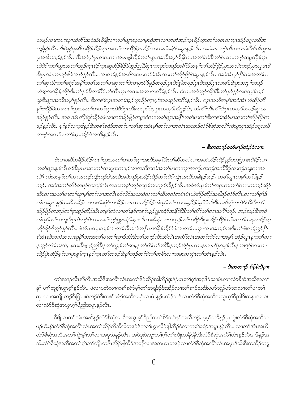တဖဉ်လ 1ကပ 1ဆု 1ထံကိ် 1အဝဲအံ1 ခ်ိဖိုလ 1ကစ 1ယွ1 ဃုထ 1မှၤရှိအၤလ 1ကဟဲအုဉ်က္1 ခ်ိဉ်က္1 တ 1်တၐၤလ 1ပုၤအံဉ်စရှလးဖိအ ကျိနဉ်လီၤ. ဒီးဖဲနဉ်နဆိကမိဉ်ထိဉ်က္ၤအတ႑်လၢထိဉ်ပုဲၤထိဉ်လၢကစ႑်ခရံဉ်အပူၤန္နဉ်လီၤ. အဝဲမၤလၢပုဲၤစီၤပၤအဝံးဒီးစီၤမိၤရူအ မူအဒါတဖဉ်နဉ်လီၤ. ဒီးအဝဲမှ ၊်ပုၤတၐၤလၢအမၤဖျံထိဉ်ကစ ၊်ယွၤအဘိအမှ ၊်ဒီဖျိလၢအတ ၊်သံဒီးတ ၊်ဂဲၤဆၢထ႑ာ်သမှုထိဉ်က္ၤ ဟဲစိ႒်ကစၢ်ယွၤအတၤ်အှဉ်ကူးခ်ိဳဉ်ကူးဆူဟိုဉ်ခိဉ်ဒီဘူဉ်ညါဒီးပုၤကလှာ်တဖဉ်အစိါဒ်အမှု၊်တၤ်အိဉ်ဖိုဉ်,ပုၤအသီတဖဉ်,ပုၤယူအဖိ ဒီးပုၤအံၤတဃ္ဉဴဗိခဲလ႑ာ်န္ဥလိၤ. လ႑တ႑်န္ဥအဃိအဝဲပ႑တ႑်ခဲအံၤလ႑တ႑်အိဥတိုဥအပူၤန္ဥလိၤ. အဝဲအံၤမ္န႑ိနိ႑သးအတ႑်ပ႑ တ႑်ဆု ၊ဒီးကစ႑်ခရံာ်အနီ ၊်ကစ႑်အတ႑်ပ႑ဆု ၊တ႑်ဖဲလ ၊ပုၤ ပိဉ်မှဉ်တဖဉ်,ပုၤ ပိဉ်ခါတဖဉ်,ပုၤ ဖိသဉ်,ပုၤ သးစ႑်,ဒီးပုၤ သးပု႑်တဖဉ် ဟဲဆူအအိဉ်,အိဉ်ဒီးတ႑်နှာ်ဒီးတ႑ိပြီးယ႑်လီးကူးအသးအဆ႑ကတိ႑န္နဉ်လီး .ဖဲလ႑အဝဲသူဉ်အိဉ်ဒီးတ႑်နှာ်နှဉ်အဝဲသုဉ်ဘဉ် ထွဲဒီးယွၤအဘိအမှၫ်နှဉ်လီၤ. ဒီးကစ႑်ယွၤအတ႑်အှဉ်ကူၤခိုဉ်ကူၤမှ႑်အဝဲသူဉ်အဂိၢ်နှဉ်လီၤ. ယွၤအဘိအမှ႑်အဝဲအံၤကဲထိဉ်ဘိ မှfဖးဒိုဉ်ဖဲလ ၊ကစ ်ယွၤအတ ်ပ ၊တ ်ဆု ၊ဟဲစိဉ်ပုၤကိုးကလှာ်ဒဲး, ပုၤကလှာ်ကိုးဒူဉ်ဒဲး, ထံကိ်ၤကိုးကိ်းဒိုးပုၤကလှာ်တဖဉ်ဆူ အ အိဉ်နဉ်လီၤ. အဝဲ အံၤအိဉ်ဖျံထိဉ်ဝဲဖဲလ 1တ ်အိဉ်ဖိုဉ်အပူၤဖဲလ 1ကစ ်ယွၤအနီ ်ကစ ်ပ 1တ ်ဒီးကစ ်၊ခရံဉ်ပ 1ဆု 1တ ်၊အိဉ်ဖိုဉ်တ ဖဉ်နဉ်လီး. မူးနဉ်သက္ခဒ်နဉ်ဒီးကစါးခရုံဉ်အတပ်၊ ကာါဆု၊အံၤမူ၊်တပ်လ၊အလဲၤအသးဒ်လံဉ်စီဆုံအလီးလံၤပူးပု၊အံဉ်စရူလးဖိ တဖဉ်အတ႑်ပၢတ႑်ဆုၢအိဉ်ဝဲအသိးနှဉ်လီး.

#### – ဒီးကထ႑ာ်စတံၒ႑ာ်ထံဉ်ဝဲလπ

ဖဲလ ၊ပဆိကမိဉ်ထိဉ်ကစ ်ယွာၤအတ ်ပ ၊တ ်ဆု ၊အဘိအမှ ်ဒီးတ ်ဆီတလဲလ ၊အဟဲအိဉ်ထိဉ်နဉ်ပတကြာ ၊းဆိမိဉ်လ ၊ ကစ†ယ္ပၤန္5လီၤ၈၁်ဒီးပ္1ပၫဆု႑တ႑်လ႑ပျ႑ာတဖဉ်လ႑အဆီတလဲအတ႑်ပ႑တ႑အကျိုးအကျဲအသိခ်ိဖျိလ႑ကျဲသနလ႑အ လိ<sup>င္</sup>၊ လံၤတမ္<sup>၎</sup>တ႑်လၤအဘဉ်ဘူးဘဉ်ဒါအဃိအဝဲဘဉ်ဒုးအိဉ်ထိဉ်တ႑်တိဉ်ကျဲၤအသိတခါနည်ဘဉ်. ကစ႑်ယ္လၤတမ္<sup>၎</sup>တ႑်နှဉ် ဘဉ်. အဝဲအတ႑်တိဉ်တဖဉ်ကဘဉ်လဲၤအသးတစ္႑်ဘဉ်တစ္န႑်တပယ္ပာ်ဃိန္နဉ်လီၤ.အဝဲအံၤမ္န၂်တ႑်အစူၤကတ႑႑်လၤပကဘဉ်ထံဉ် အီၤလၢအတၤ်ပၢတၤ်ဆုၢမ့ၤ်တၤ်လၢအလီၤ၈ာ်လိာ်အသးဖဲလၢတၤ်ဆီတလဲတမံၤမံၤဟဲအိဉ်ထိဉ်အခါဒဉ်လဲာ်လီၤႉလၢတၤ်စုၤ်ဒ် အံၤအပူၤ န္ဥပပဆိကမိဉ်လၤကစၫ်ခရံှာ်တအိဉ်လ႑ာလၤဟိဉ်ခိဉ်အံၤမ္ ်ာကၤာအရှဒိဉ်ဝဲမ္ ်ဒသိးဒီးသးစိဆုံကဟဲဒ်သိးဒီးတ႑် အိဉ်ဖိုဉ်ကဘဉ်တ ်ာဒုးဆူဉ်ထိဉ်အီၤတမ့်၊်ထဲလ ၊တ ်နဉ်ကစ ်ယှဉ်ရှူးခရံဉ်အနီ ်ါဒိီးတ ်၊လိ်၊တ ်၊လၤအဂီ်၊ဘဉ်. ဘဉ်ဆဉ်ဒီးအဝဲ အံၤမ္ โတ ်သဘျှဒိႆးစုၤ ဝဲဘဉ်ဝဲလ ၊ကစ ်ယှဉ်ရှူးခရံဉ်ဆု ၊လိၤ သးစီဆုံလ ၊ကဟ္ဥာ်တ ်၊ကစီဉ်ဒီးဒုးအိဉ်ထိဉ်တ ်မၤတ ်သးခုကစီဉ်ဆူ ဟီဉ်ခိဉ်ဒီဘုဉ်နှဉ်လီး. ဖဲအံၤပထံဉဘဉ်လ႑တ႑်ဆီတလဲတနီးဟဲအိဉ်ထိဉ်၀ဲဖဲလ႑တ႑်ပ႑ဆု႑လ႑အဘဉ်ဃးဒီးတ႑်ဖံးတ႑်ညှဉ်နို႑ ခိအံၤဆီတလဲအသးဆူနီ ်သးအတ ်ပ ၊တ ်ဆု ၊ဒ်သိးဒီးတ ်၊အ ၊ဉ်လီၤအိလီၤအလီၤ်လံၤအတ ်၊တိဉ်လ ၊အမ္ ်၊ အဲဉ်ယွၤနကစ ်၊လ ၊ နသူဉ်ကံ်သးလဲ, နသးဒီးဖျာဉ်ညါဒီးနတၤ်ကူဉ်တၤ်ဆး,နတၤ်ဂံၤ်တၤ်ဘါဒီးနဘဉ်အဲဉ်ပုၤလၢနဃၤာန်အဲဉ်လီၤနသးဒဉ်ဝဲကလ႑ ထိံဉဴပွဲၤထိံဉဴမ္'ါလ႑ပုၤစ္ပ္ပါက္႑န႒်က္႑တ႑်တမွဴဦးန္ ၫဘၟဴတ႑်စိတ႑်ကမီၤလ႑ကမၤလ႑ပွဲၤတ႑်အံ႑န္နဉ်လိၤ

#### – ဒီးကထ႑ာ စံန်မဲးဒီန႑း

တၫ်အၫဉ်လီၤအီလီၤအသိဒီးအလိႝၤ်လံၤအတ႑်ဒိဉ်ထိဉ်အါထိဉ်ဒုးနဲဉ်ပုၤတ႑်စ့ၫ်အရှဒိဉ်သၢမံၤလၢလံာ်စိဆုံအသိအတ႑် နှ1် ပၢါထူစ့ါယွာစ့ါနှဉ်လီာ. ဖဲလာပတဲလာကစါခရံဉ်မ့ါတါအရှုဒိဉ်ဒီးအိဉ်လာတါခၢဉ်သးဒီးပဟ်သူဉ်ဟ်သးလာတါပာတါ ဆုၫလၫအကျိုၤဘဉ်ဒီးကြၫးဝဲဘဉ်ဝဲဒီးကစါခရံဉ်အဘိအမှါသၢမံၤန္ဉဉ်ပထံဉ်ဘဉ်လ႑လံာ်စိဆုံအသိအယွၤစ္ပါပိညါဒိးသန္ၤအသး လၫလံာ်စိဆုံအယွာစေ့ါ်ပိညါအပူာနဉ်လီာ.

ခ်ိဖျိလၢတၫ်အံၤအဃိန္ဉ်လံာ်စိဆုံအသိအယွၤၵ့ၫိပိညါတဟဲစိာ်တ႑်နာ်အသိဘဉ်. မ့မ့ၢ်တခ်ိန္ဉ်ပုၤကွဲးလံာ်စိဆုံအသိတ ဖဉ်ဟံးနှၤ်လံာ်စီဆုံအလိၤ်လံၤအတၤ်သိဉ်လိသီလိတဖဉ်ဒ်ကစၤ်ယွၤလိဉ်ဖျါထိဉ်ဝဲလၤကစၤ်ခရံာ်အပူၤနှဉ်လီၤ. လၤတၤ်အံၤအဃိ လံာ်စိဆုံအသိအတၫ်ကွဲးမ့ၢ်တ႑်လၢအစုၤဝဲနှဉ်လိုၤ. အဝဲဒုးစဲးဘူးတ႑်စ့ၫ်တ႑်ကျိုတနိုၤနီးဒီးလံာ်စိဆုံအလိံြလံၤန္ဉ်လိၤ. ဒ်နှဉ်အ သိးလံာ်စိဆုံအသိအတၫ်စ့ၫ်တ႑်ကျုံတနိၤအိဉ်ဖျါထိဉ်အဘျိုလၢအကယၤတဖဉ်လၢလံာ်စိဆုံအလိၤ်လံၤအပူၤဒ်သိးဒီးကဆိဉ်တခူ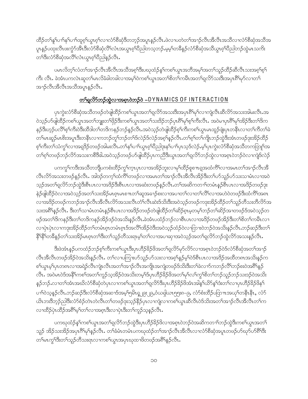ထိဉ်တၫ်နှၤ်ပၫ်နှၤ်ပၫ်ထူစ့ၫ်ယွၤစ့ၫ်လၢလံာ်စိဆုံဒိတဘ့ဉ်အပူၤန္ဉာ်လီၤ.ဖဲလၢပတဲတၫ်အၫဉ်လီၤအီလီၤအသိလၢလံာ်စိဆုံအသိအ ႃ୷နဉ်ပထုံးလီၤဖဴးကွံာ်အီၤဒီးလံာ်စီဆုံလီၫလံၤအယွၤစ္ၫ်ပညတြသဘဉ်ႉမ့မ့ၫ်တခ်ိန္ဉာလံာ်စိဆုံအသိယွၤစ္ၫ်ပညတည်ထွဲမၤသကိႏ ႜ<br>ႜၮႝႜႝႜႋၸႆၣၜႝၴႜၯႝအလဵိ<sup>႖</sup>လံၤယ္ပၤၵ့ၫၲ၀ိညါနၣလဵိၤႉ

ပမၤလိတ့ၫ်လံတၫ်အၫဉ်လီၤအိလီၤအသိအၵ့ၫ်ဒီးပဃုထံဉ်နှၤ်ကစၤ်ယွၤအဘိအမှၢ်အတၤ်သူဉ်ထိဉ်ဆီလီၤသးအၵ့ၫ်စ့႑် ကီး လီၤ. ခဲအံၤပကလဲၤဆူတၫ်မၤလိခံခါတခါလၢအမ့္ပ်ာတစ႑်ယ္ပၤအတ႑်စိတ႑်ကမီၤအတ႑်ရလိဉ်သးဒီးအပှၤရိႆာမှဉ်လၢတ႑် အၫဉ်လီၤအီလီၤအသီအပူၤန္နဉ်လီၤ.

#### တြရလိုက်တွင်လဲ့လျှောက်တော့လို့ - DYNAMICS OF INTERACTION

ပုၤကွဲးလံာ်စိဆုံအသိတဖဉ်တဲဖျါထိဉ်ကစ<ယွၤအတ႑်ရလိာ်အသးဒီးအပုၤ၈ိ႑မှၤ်လၤကျဲလီၤဆီလိာ်အသးအါမးလီၤ.အ ဝဲသ့ဉ်ဟ်ဖျ်ထိဉ်ကစ<sup>၎</sup>ယွπအတ<sup>၎</sup>ဘျူးတ<sup>၎</sup>ဖှိဉ်ဒီးကစါယွπအတ<sup>၎</sup>သးဒိဉ်ဘဉ်ပှπရိ<sup>ု</sup>မှ<sup>ရ</sup>စ့်ကြီးလီၤ. အဝဲမၢပှπရိ<sup>ု</sup>မှော်အိဉ်ဒီးတ<sup>၎ဌ</sup>က နဉ်ဒီးဟ့ဉ်ပလိိ<sup>ု</sup>စ့<sup>၎</sup>ကိုးဝဲဒီးထိဒါတၫ်တဒိကနဉ်ဘဉ်နဉ်လိၤႉအဝဲသ့ဉ်တဲဖျါထိဉ်စ့ၫ်ကီးကစၢ်ယွာမာထူဉ်ဖျဲးပှာတနိၤလၢတၫ်ကိတ႑်ခဲ တၫိမၤဆူဉ်မၤစိးအပူ၊ဒီးတနိၱၤလၢကဘဉ်တူၢ်ဘဉ်တၫ်ဒ်လဲဉ်ဒ်လဲဉ်အစ့ၢ်နှဉ်လီၤ.တၢ်စ့ၢ်တၢ်ကျိုးဘဉ်ထွဲဒီးအံၤတဖဉ်ဒုးအိဉ်ထိဉ် စ့ါကီးတ<sup>ှ</sup>သံကွှါလၢအရှဒိဉ်တဖဉ်အါမးလီၤ.တ<sup>ှ</sup>နှါပၢါယွၤစ့ါပိညါဒုးနှါပၢါပှၤသ့ဒ်လဲဉ်.မ့ါပှၤကွဲးလံာ်စိဆုံအသိတကတြူါအ တၫ်စ့ၫ်တဖဉ်ဘဉ်လိ်ာအသးကစိဒိဓါ.အဝဲသ့ဉ်တဖဉ်ဟ်ဖျ်ထိဉ်ပှၤကညီဒီးယွာအတ႑်ရှလိ်ာဘဉ်ထွဲလၢအစ့ၤဝဲဘဉ်ဝဲလၢကျဲဒ်လဲဉ်

ပကကွါကဒီးအသိတဘိျပကစံးထိဉ်ကွါက္၊ပှၤလၢအအိဉ်ဘူးလၢမုါထိဉ်စူစπရရအထံကိါလၢအမၤတါအၫဉ်လီၤအိ လီၤလိာ်အသးတဖဉ်နဉ်လီၤႉ အါဒဉ်တက့်ၢထံကိ်ၢတဖဉ်လၢအမၤတၢ်အၢဉ်လီၤအိလီၤအိဉ်ဒီးတၫ်ပာ်သူဉ်ပာ်သးသၢမံၤလၢအဝဲ သ့ဉ်အတၢိရူလိ⁄ာ်ဘဉ်ထွဲဒီးစီၤပၤလၢအဒိဉ်ဒီးစီၤပၤလၢအဆံးတဖဉ်နဉ်လီၤ.တၢ်အဆိကတၫၢ်တမံၤန္ဉာိစီၤပၤလၢအဒိဉ်တဖဉ်ဒုး နဲှဉ်ဖျံထိဉ်ဝဲလၢအဝဲသ့ဉ်အတ<sup>၎</sup>သးအိဉ်မၤစ္ၤမၤစ႑ာတၫ်ဆူအခ႑ာ်စးလၢအပၢတ႑်လၤတ႑်လိ<sup>႖</sup>လၢအဟဲဝဲတဖဉ်ဒီးထံကိ်ၤအစၤ ာ<br>လာအဒိဉ်တဖဉ်ကဘဉ်အၫဉ်လီၤအီလီၤလိဉ်အသးလီၤတံၤ်လီၤဆဲးဒ်သိးဒီးအဝဲသ့ဉ်တဖဉ်ကဒုးအိဉ်ထိဉ်တၤ်သူဉ်တီသးတိလိဉ်အ သးအရိ<sup>ု</sup>နှဉ်လီၤႉ ဒီးတ<sup>ှ</sup>သၢမံၤတမံၤန္**ဉ်စီၤပၤလၢအဒိဉ်တဖဉ်တဲဖျ**ထိဉ်တၫ်ဆိဉ်စုၤမ့တမ့<sup>၎</sup>ဘဉ်တၫ်ဆိဉ်အၢတဖဉ်ဒ်အဝဲသ့ဉ်တ ဖဉ်အတ<sup>၎ဌ</sup>ကနဉ်ဒီးတ<sup>၎</sup>တဒိကနဉ်အိဉ်ဒဉ်ဝဲအသိးနဉ်လီၤ.ခဲအံၤပထံဉ်ဘဉ်လၢစီၤပၤလၢအဒိဉ်တဖဉ်အိဉ်ဒီးတ<sup>၎</sup>စိတ<sup>၎</sup>ကမီၤလၢ လၢပှဲၤပှဲၤလၢကဒုးအိဉ်ထိဉ်တၫ်တမံၤစ္ပ္ပာတမံၤစ္ပ္၊ဒ်အလိၤ်အိဉ်ဝဲဒီးအဝဲသ္ဉ်ထံဉ်ဝဲလၢကြားဝဲဘဉ်ဝဲအသိးနဉ်လိၤ.ဘဉ်ဆဉ်ဒီးတ႑ ႜ<sup>႙ႜ႙ၘႜ</sup>႞တၶိနၣဴတၫ်သးအိဉ်မၤစ္၊တၫၲဒီးတၫသူဉ်တိသးရၤမ့ၢ်တၫ်လၢအပၫဆုၫအဝဲသုဉ်အတၫရလိာ်ဘဉ်ထွဲလိာ်အသးနဉ်လိၤႉ

ဒီးဖဲအံၤန္ဉာပကထံဉ်ဘဉ်စ့ၫ်ကီးကစ႑်ယွာဒီးပုၤဟိဉ်ခိဉ်ဖိအတ႑်ရှလိ႒်မှာ်လိ႒်လၢအစ္ပ္ပာဝဲဘဉ်ဝဲဒ်လံာစိဆုံအတ႑်အၫဉ် လီၤအီလီၤတဖဉ်အိဉ်ဝဲအသိးနဉ်လီၤႉ တ႑်လၫပကြ႑းဟာ်သူဉ်ဟာသးလ႑အစ့်၊နှဉ်မှၢ်ဝဲဒ်စီၤပၤလ႑အဒိဉ်အထိတၵၤအသိးနဉ်က စါယွာမ့ါပုၤတၵၤလၢအရဲဉ်လီၤကျဲၤလီၤအတၫ်အၫဉ်လီၤအကျိုၤအကျဲတဖဉ်ဒ်သိးဒိီးတၫ်ခဲလၫာ်ကဘဉ်လိႝၤ်ဘဉ်စးဝဲအ<sup>ရွ</sup>ိရနှဉ် လီၤႉ အဝဲမၤဝဲဒ်အနိ<sup>ရ</sup>ကစ<sup>႑</sup>အတၫ်ကူဉ်သ့အိဉ်ဝဲအသိးတမ့<sup>၎</sup>ဒ်ပှၤဟိဉ်<sup>ဌ</sup>ဉ်ဖိအတ႑်မုၤ်လၤ်ကွ<sup>႖</sup>စိတၤ်ဘဉ်သူဉ်ဘဉ်သးဒဉ်ဝဲအသိး နှဉ်ဘဉ် လၢတၫ်အံၤအဃိလံာ်စိဆှံတဲပှၤလၢကစၫ်ယွၤအတၫ်ရလိာဒီးပှၤဟိဉ်<sup>8</sup>ဉ်ဖိအံၤအါန၊်ယိာနှၤ်ဒံးတ႑်လၢပှၤဟိဉ်<sup>8</sup>ဉ်ဖိန<sup>၎</sup> ပၫ်)ဝဲသ့နဉ်လီၤ.ဘဉ်ဆဉ်ဒီးလံာ်စိဆုံအဆၢဒ်အမ့္ကြာမိၤရ္ျ၉း၂၉,ဝံယရှါယၤ၅၅း၈–၉, လံာ်စံးထိဉ်ပတြာ πအယုှ်တနိုၤနိ႑, လံာ် ယိၤဘးဒိဘုဉ်ညါဒိးလံာ်စံဉ်တဲၤတဲလိၤတၫ်တဖဉ်ဒုးသ့ဉ်နိဉ်ပုၤလၢကျဲလၢကစၫ်ယွၤဆီလီၤ၀ဲဒ်သိးအတ႑်အၫဉ်လီၤအီလီၤတ႑်က လၢထိဉ်ပုံ၊ ထိဉ်အ<sup>ရွ</sup>်မှ<sup>ြ</sup>တ်လၢအစု၊ဒီးလၢပုံ၊ဒီးတၢ်ကူဉ်သ့နဉ်လီ၊

ပကဃုထံဉ်န<sup>ှ</sup>ကစ<sup>၎</sup>ယွၤအတ<sup>ှ</sup>ရလိာ်ဘဉ်ထွဲဒီးပှၤဟိဉ်<sup>၌</sup>ဉ်<sup>8</sup>လၢအစ့ၤဝဲဘဉ်ဝဲအဆိကတၫၢ်ဘဉ်ထွဲဒီးကစၢ်ယွၤအတ<sup>ှ</sup> သူဉ် အိဉ်သးအိဉ်အပှၤဂိ<sup>ရ</sup>မှ<sup>ု</sup>နှဉ်လိၤ. တ<sup>ရှ</sup>ခံမံၤတမံၤပကဃုထံဉ်တ<sup>ရ</sup>အၫဉ်လီၤအိလီၤလၢလံာ်စိဆုံအပူၤတဖဉ်ဟ်ဃှာ်ပာရိ<sup>ရ</sup>အိႏ တၫိမၤကွၫိဒီးတ႑်သူဉ်တိသးရာလၫကစၫ်ယွာအပှာဃုထၢဖိတဖဉ်အ<sup>ရွ</sup>႖နာ်လီၤ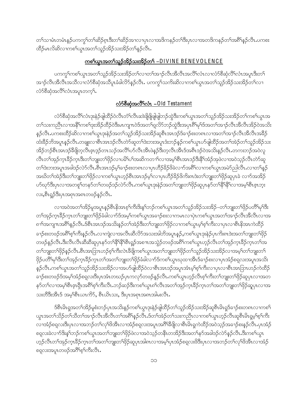တၫ်သၢမံၤတမံၤန္ဉာ်ပကကွၫ်တၫ်ဆိဉ်စုၤဒီးတၫ်ဆိဉ်အၫလၢပှၤလၢအဒိကနဉ်တၢိဒီးပှၤလၢအတဒိကနဉ်တၫ်အရိၢိန္ဉာ်လီၤ.ပကစး ထိဉ်မၤလိဆိလၢကစ<sup>႑</sup>ယွၤအတ<sup>၎</sup>သူဉ်အိဉ်သးအိဉ်တ<sup>၎</sup>နဉ်လီၤ*.* 

# <u>ကစါယွာအတါသူဉ်အိဉ်သးအိဉ်တ - DIVINE BENEVOLENCE</u>

ပကကွ<sup>ှ</sup>ကစ<sup>ှ</sup>ယွာအတှကျွည်အိဉ်သးအိဉ်တှကလာတှအာဉ်လီးအိလီးအလိ<sup>ု</sup>လံုလာလံာ်စိဆုံလိ<sup>ု</sup>လံုအပူးဒီးတှ အၫဉ်လီၤအီလီၤအသီလၢလံာ်စီဆုံအသိပူၤခံခါလိာ်နဉ်လီၤ. ပကကွၢ်သက်ိးဆိလၢကစၢ်ယွၤအတၢ်သူဉ်အိဉ်သးအိဉ်တၢ်လၢ လံာ်စီဆုံအလိ်ၤလံၤအပူၤတက္်၊.

# <u>လံာ်စီဆုံအလိ<sup>ု</sup>လံ- - 01d Testament</u>

လံာ်စီဆုံအလိ်<sup>ရ</sup>လံၤဒုးနဲဉ်ဖျါထိဉ်ဝဲလီၤတံ်ရလီၤဆဲးဖြိဖြိုဖျိဖျ်ဘဉ်ထွဲဒီးကစါယွၤအတ<sup>၎</sup>သူဉ်အိဉ်သးအိဉ်တ<sup>၎</sup>ကစါယွၤအ တၫ်သးကညီၤလၢအနိ<sup>၎</sup>ကစၫ်ဒုးအိဉ်ထိဉ်ဝဲဒီးမာကျπဝဲဒ်အတၫ်ရှလိာ်ဘဉ်ထွဲဒီးအပုာရိ<sup>ု</sup>မှၫ်ဒ်အတၫ်အၫဉ်လီၤအိလီၤအိဉ်ဝဲအသိး နှဉ်လီၤႉပကစးထိဉ်ဆိလၢကစၢ်ယွာဒုးနဲဉ်အတ႑်သူဉ်အိဉ်သးအိဉ်ဆူစီာအာဒဉ်ဒ်ခ႑ာ်စးတ၈ာလၢအတ႑်အာဉ်လီၤအိလီၤအခိဉ် ထံးခ်ိႆဉ်ဘိအပူၤန္ဉာ်လီၤ.တချူးလၢစီၤအာၤဒဉ်လီၤတဲာ်ဆူတၫ်ဒဲးဘးအပူၤဒံးဘဉ်နဉ်ကစၫ်ယွၤဟ်ဖျါထိဉ်အတၫ်အဲဉ်တ႑်သူဉ်အိဉ်သး အိဉ်ဘဉ်စီၤအၤဒဉ်ခီဖျိတ့လီၤဇ့ၤဒ့ဉ်တၤသဉ်အလီ်၊ဟ်လီၤအီၤဖဲနဉ်ဒီးတ့လီၤအီၤဒ်အစီၤဒဉ်ဝဲအသိးနှဉ်လီၤႉတကးဘဉ်အဝဲလူ လီၤတၫ်အုဉ်က္ၤဒိဉ်က္ၤဒိီးတၫ်ဘျုးတၫ်ဖှိဉ်လၢပမိၫ်ပၫ်အဆိကတ႑ာ်လၢအမ့ၢ်စီၤအၤဒဉ်ဒိးနိ႑်အဲဉ်အုဖဲလၢအဝဲသ့ဉ်လီၤတဲာ်ဆူ တၫ်ဒဲးဘးအပူၤအခါဒဉ်လဲ၁်လီၤ.စီၤအာၤဒဉ်မ့ှ်ျခာဉ်စးတ၈ၤလၢပှၤဟိဉ်8်ဉ် $8$ ခဲလၫာ်အဂိါလၫကစ႑်ယွπအမဲှညှပလီၤ.လၢတ႑်နှဉ် အဃိတၫ်အဲဉ်ဒီးတၫ်ဘျုးတၫ်ဖှိဉ်လၢကစၢ်ယွၤဟ့ဉ်စီၤအၤဒဉ်မ့ၢ်လၢပှၤဟိဉ်ခိဉ်ဖိကိႏၵၤဒဲးတၫ်ဘျုးတၫ်ဖှိဉ်ဆူပှၤခဲ လၫာ်အအိဉ် ဟ်ဃုာ်ဒီးပှၤလၢအတစူ်တနာ်တၫ်တဖဉ်ဒဉ်လဲာ်လီၤ.ကစၫ်ယွၤဒုးနဲဉ်အတၫ်ဘျုးတၫ်ဖှိဉ်ဆူပှၤနာ်တၫ်နိ<sup>ု</sup>နိ<sup>ု</sup>လၢအမ့<sup>ှ</sup>စိၤဇ့ၤဘ့း လး,စီးရှဉ်ဒီးပုၤအရာၤအရာတဖဉ်နဉ်လီး.

လၢအဝဲအတၫ်အိဉ်မူအပူၤန္ဉာစီၤနိအာစ့ၫ်ကီးဒိးန္1ဘဉ်ကစၢ်ယွၤအတၫ်သူဉ်အိဉ်သးအိဉ်–တၫ်ဘျုးတၫ်ဖှိဉ်ပတိႝၤမုၤ်ဒိး တၫ်အှဉ်က္aခိဉ်က္aတ႑်ဘူးတ႑်ဖိုဉ်ခံခါလ႑ာ်ဒ်အမ့္ပ်ာကစ႑်ယွာအခ႑ာ်စဴးလ႑ကမာလ႑ပှဲၾစာပ်ယွာအတ႑်အာ႑ာ်လီအသီလီအေ ၈ၫிအကျπအ<sup>စ္ဂရ</sup>နဉ်လီၤ.ဒ်ိစီၤအၤဒဉ်အသိးနဉ်တ<sup>ရ</sup>အဲဉ်ဒီးတ<sup>ရ</sup>ဘူးတ<sup>ရ</sup>ဖှိဉ်လၢကစ<sup>ရ</sup>ယွာမ့<sup>ရ</sup>စ့<sup>ရ</sup>က်ိဳးလၢပှၤလၢစီ၊နိအၤကဲထိဉ် ခၢဉ်စးတဖဉ်အရိ<sup>ု</sup>စ့<sup>ရ</sup>ကီးနဉ်လီၤႉလၢကျဲလၢအလီၤဆီလိ5်အသးအါဘိအပူၤန္ဉာ်,ကစၢ်ယွၤဒုးနဲ့ဉ်ပုၤကိးၵၤဒဲးအတၫ်ဘူးတၫ်ဖိုဉ် တဖဉ်နဉ်လီၤ.ဒီးလီၤလီၤဆီဆီဆူပှၤနဉ်တ်ရန်ရန်ရစီၤရှဉ်အစ πအသွဲဉ်တဖဉ်အရိ<sup>ရ</sup>ကစ<sup>ရ</sup>ယွπဟှဉ်လီၤတ<sup>ရ</sup>အုဉ်က္πခိဉ်ကွπတ<sup>ရ်</sup>အ တၫ်ဘျုးတၫ်ဖှိဉ်နဉ်လီၤ.စီၤအာဘြာၤဟဉ်စ့ၫ်ကီးလဲၤဒီဖျိကစၫ်ယွၤအတၫ်ဘျုးတၫ်ဖှိဉ်တ႑်သူဉ်အိဉ်သးအိဉ်လၢအမ့ၢ်တၫ်ဘျုးတ႑် ဖိုဉ်ပတိႝ႞မု႞ဒီးတ႞အှဉ်က္ၤခ်ိဉ်က္ၤတ႞အတ႞ဘျုးတ႞ဖိုဉ်ခံခါလ႑ာ်ဒ်ကစ႑်ယွၤဃုထ႑အိၤဒ်ခ႑ာ်စးလ႑ပုၤအံဉ်စရူလးအပူၤအသိး နှဉ်လီၤႉကစၫ်ယွၤအတ႑်သူဉ်အိဉ်သးအိဉ်လၢအဟ်ဖျါထိဉ်ဝဲလၢစီၤအၤဒဉ်အပူၤအံၤမ့ၢ်စ့ၫ်ကီးလၢပုၤလၢစီၤအၤဘြၤဟဉ်ကဲထိဉ် ခ႑ာ်စးတဖဉ်ဒ်အမ့်၊အံဉ်စရလးဒီးပှၤအံၤတဃဉ်ပှၤကလုာ်တဖဉ်နဉ်လိၤ.ကစါယွၤဟ့ဉ်လီၤစ့ါကီးတ<sup>ရ</sup>ဘျုးတ<sup>ရ</sup>ဖှိဉ်ဆူပှၤလၢအတ နှာ်တၫ်လၢအမှ<sup>ု</sup>စိၤဇ့ၤရှိၤအ<sup>ရွ</sup>်ရာကီးလီၤ.ဘဉ်ဆဉ်ဒီးကစ<sup>႑</sup>ယွၤရာလီၤအတ႑်အုဉ်က္ၤခိဉ်က္ၤတ႑်အတ႑်ဘျုးတ႑်ဖှိဉ်ဆူပှၤလၢအ သးတိဒီးအီၤဒ် အမှS်စီၤယၤကိS, စီၤယိၤသး, ဒီးပုၤအရာၤအရာအါမးလီၤ.

ဒ်စီၤမိၤရှအတၫ်အိဉ်မူစံးဘဉ်ပုၤအသိးန္ဉာ်ကစ႑်ယွၤဒုးနဲ့ဉ်ဖျံထိဉ်တ႑်သူဉ်အိဉ်သးအိဉ်ဆူစီၤမိၤရှဒ်ခ႑ာ်စးတၵၤလ႑ကစ႑် ယ္ပၤအတ႑်သိဉ်တ႑်သိတ႑်အ႑ဉ်လီၤအိလီၤတ႑်အစိြန္ဥာလီၤႉဒ်တ႑်အဲဥတ႑်သးကညီၤလ႑ကစ႑်ယွၤဟ္ဥာလီၤဆူစီၤမိၤရုမ္နါစ့႑်ကီး လၢအံဉ်စရူလးဒီးပုၤလၢအဘဉ်တၫ်လှ<sup>ရ</sup>ဖိအိၤလၢအံဉ်စရူလးအပူၤအဂ်ိ<sup>ရ</sup>ဒိဖျိလၢစိၤမိၤရူကဲထိဉ်အဝဲသ့ဉ်အခ႑ာ်စးနှဉ်လီၤ.ပုၤအံဉ် စရလးခဲလၫာ်ဒိးန1်ဘဉ်ကစ1်ယွၤအတ1်ဘျုးတ<sup>၎</sup>ဖှိဉ်ဖဲလၢအဝဲသ့ဉ်တနိၤတအိဉ်ဒီးအတ1်နာ်အခါဒဉ်လဲာ်နဉ်လီၤ.ဒီးကစ1်ယွၤ ၯၣၳလီၤတၫၲအုၣဴက္ၤဒႝၣၲက္ၤတၫၲအတၫဘျႏဴတၫႝဖိုၣဴဆူပုၤအါ၈ၤလၢအမ့ၢိပုၤအံၣဴစရ္ရလႈဖိဒီးပုၤလၢအဘၣဴတၫၳလုၫိဖိအိၤလၢအံၣ စရလးအပူၤတဖဉ်အဂိါစ့ါကီးလီၤ.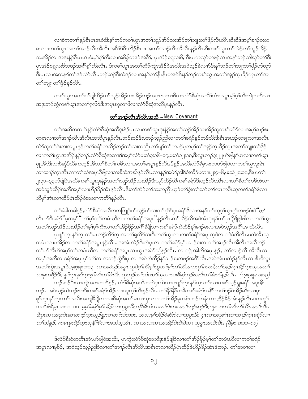လၢခံကတၫါန္ဉာိစီၤပၤဒၤဝံးဒိးန္1ဘဉ်ကစါယွၤအတ<sup>ၡ</sup>သူဉ်အိဉ်သးအိဉ်တါဘျုးတ<sup>ရ</sup>ဖှိဉ်လီၤလီၤဆီဆီဒ်အမ့ါခ႑ာ်စးတ ၈ လၫကစါယွာအတ<sup>ြ</sup>အၫဉ်လီာအီလီာအရိ<sup>ု</sup>ဒ်စီလိဉ်စီးပာအတ<sup>ြ</sup>အၫဉ်လီာအီလီာနဉ်လီာ ဒီးကစါယွာတ<sup>ှ</sup>အဲ့ဉ်တ<sup>ှ</sup>သူဉ်အိဉ် သးအိဉ်လၢအဒုးနဲ့ဉ်စီၤပၤဒၤဝံးမ့<sup>ရ</sup>စ့်ၫကီးလၢအဖိခွါတဖဉ်အ<sup>8</sup>ါ်,ပှၤအံဉ်စရလးဖိ, ဒီးပှၤကလုဉ်တဖဉ်လၢအန<sup>ှ</sup>ါဘဉ်သါဃုာ်တ<sup>ရဒ္</sup>ဒီး ပုၤအံဉ်စရူလးဖိတဖဉ်အရိဂ်စ့ဂ်ကီးလီၤ. ဒ်ကစဂ်ယွၤအတဂ်တိာ်ကျဲၤအိဉ်ဝဲအသိးအဝဲသုဉ်ခဲလ႑ာ်ဒိးနှဂ်ဘဉ်တဂ်ဘူူးတဂ်ဖိုဉ်ဟ်ဃုဉ် ဒီးပုၤလၢအတနဉ်တၫ်ဒဉ်လဲဉ်လီၤ.ဘဉ်ဆဉ်ဒီးထဲဒဉ်လၢအနဉ်တ႑်နိုၤနီၤတဖဉ်ဒိးန္1ဘဉ်ကစ႑်ယွၤအတ႑်အှဉ်ကူၤခိဉ်က္ၤတ႑်အ တ႑်ဘူး တ႑်ဖိုဉ်နဉ်လီး.

ကစၢိယ္ပၤအတၫ်ဟ်ဖျါထိဉ်တၫ်သူဉ်အိဉ်သးအိဉ်ဘဉ်အပှၤဃုထၢဖိလၢလံာ်စီဆုံအလိံၤ်လံၤအပူၤမ့ၢ်စ့ၫ်ကီးကျဲတဘိလ႑ အဒုးဘဉ်တွဲကစ<sup>ၡ</sup>ယ္ပၤအတ<sup>ၡ</sup>ရလိာ်ဒီးအပှၤဃုထၢဖိလၢလံာ်စီဆုံအသိပူၤန္ဉာလီၤ.

#### တ<sup>ှ</sup>အာဉ်လီးအီလီးအသီ –New Covenant

တၫ်အဆိကတ႑ၢိန္ဉ်လံာ်စိဆုံအသိဒုးနဲ့ဉ်ပုၤလၢကစၫ်ယွၤဒုးနဲ့ဉ်အတ႑်သူဉ်အိဉ်သးအိဉ်ဆူကစၫ်ခရံာ်လၢအမ့ၢ်ခ႑ာ်စး တ၈ၤလၢတၫအၫဉ်လီၤအိလီၤအသိပူၤန္ဉာလိၤတဉ်ဆဉ်ဒီးပဘဉ်သုဉ်ညါလၢကစၫ်ခရာန်ဉ်တဒ်သိးဒီးစီၤအာဒဉ်တချူးလၢအလီၤ တဲာ်ဆူတၫ်ဒဲးဘးအပူၤန္ဉာ်ကစၢ်ခရံာ်တလိဉ်ဘဉ်တ႑်သးကညီၤတ႑်ပျၤ်တ႑်ကမဉ်မ့တမ့ၤ်တၤ်အုဉ်က္ၤဒီဉ်က္ၤအတၤ်ဘျုးတၤ်ဖှိဉ် ာ ကာစာ်ယွာအအိဉ်နဉ်ဘဉ် လံာစိဆုံအဆာဒ်အမှာ်လံာ်မးသဲ၃း၁၆–၁၇,မးသဲ၁၂း၁၈,ဒီးလူာကဉ်၃း၂၂ပာ်ဖျနှာ်ပှာလာကစာ်ယွာ ၛုဒာီးဒီးသးစိဆုံဒ်သိးကဟ့ဉ်အီၤတ<sup>ု</sup>စိတ<sup>ု</sup>ကမီၤလၢအတ<sup>ု</sup>မာပူးနဉ်လီၤ.ဒ်နဉ်အသိးလံာရိမ္း၈း၁၁ပာ်ဖျါဝဲလၢကစၢ်ယွာဒုး၈ဲၤ ဆၫထၫဉ်က႑အိၤလၢတၫ်သံအပူၤခ်ိဖြိုလ႑သးစိဆုံအဃိနဉ်လီၤ.လ႑နဉ်အမဲာ်ညါဒ်စံးထိဉ်ပတ႑ာ၂း၄–၆,မးသဲ၂၈း၁၈,ဒီးမၤတ႑် ၂း၃၁–၃၃ပာ်ဖျဲဝဲအသိးကစ<sup>႑</sup>ယွπဒုးနဲဉ်အတ<sup>ု</sup>သူဉ်အိဉ်သးအိဉ်ဒီးယုာ်ထိဉ်ထိကစၫ်ခရံာ်ဒီးဟ့ဉ်လီၤအီၤလၢတ<sup>ြ</sup>စိတၤ်ကမီၤဖဲလၢ အဝဲသူဉ်ထိဉ်အဘိအမုၢိလၫဟိဉ်နိဉ်အံၤန္ဉာ်လီၤ.ဒီးတၫ်အဲဉ်တ႑်သးကညီၤဟ့ဉ်တ႑်ခွဲးတ႑်ယာ်တ႑်လၤကပီၤဆူကစ႑်ခရံာ်ဖဲလ႑ ဘိမု်ဒာံၤလၢထိဉ်ပှဲၤထိဉ်ဝဲအဆၢကတိ်နှဉ်လီၤ.

တၫ်ခံခါတခါနဉ်ႇလံာ်စီဆုံအသိတကတြူၫ်ပာ်သူဉ်ပာ်သးတ႑်ဂ့ၢ်ဒ်ပုၤခရံာ်ဖိလၢအနှၤ်ပၢၤ်ထူဂ့ၤ်ယွၤဂ့ၤ်တဖဉ်စံးဝဲ်တာ လီၤက်ဒီးခရံာိႛိမ့တမ့ၤ်ံဴတၫ်မ့ၤ်တၫ်တမံၤဃီလၢကစၫ်ခရံဉ်အပူၤႛႆန္ဉာ်လီၤႉတၫ်သိဉ်လိအဝဲအံၤဒုးန႑်ပၢၤ်ပုၤဖိုဖြိုဖျါဖျါလၢကစ႑်ယွၤ အတ<sup>ၡ</sup>သူဉ်အိဉ်သးအိဉ်တ<sup>ရ</sup>မ့<sup>ရ</sup>စ့်ကြီးလၢတ<sup>ရ</sup>အိဉ်ဖိုဉ်အင်္ဂါနီဖြုလၢကစါခရံာ်ကဲထိဉ်နှၤ်ခ႑ာစ်းလၢအဝဲသုဉ်အင်္ဂါအ ဃိလီၤ.

.<br>'ပုၤစူ<sup>ရ်</sup>က္ၤနာ်က္ၤတၫ်မၤဘဉ်လိာ်က္ၤအတ႑်ရလိာ်သးဒီးကစ႑်ယ္ပၤလၤကစၫ်ခရံာ်အပူၤသ့ဝဲလၤကျဲခံဘိလီၤ ပတဲအီၤသ့ တမံၤလၢပအိဉ်လၢကစါ်ခရံာ်အပူၤန္နဉ်လီၤႉ အအံၤအဲဉ်ဒိုးတဲပုၤလၢကစါ်ခရံာ်မှါပခၢဉ်စးလၢတါအၢဉ်လီၤအီလီၤအသိဘဉ် တၫိဟ်အီၤဒ်အမ့ၢ်တၢ်တမံၤဃီလၢကစၢ်ခရံာ်အပူၤလၢယ္ပၤအမဲာ်ညါနဉ်လီၤႉ လၢကျဲ အါဘိအပူၤန္ဉာ်, တၢ်အၫဉ်လီၤအီလီၤလၢ အမှၫ်အတိလၢခရံာ်အပူးမှၫ်တၫ်လၢအဘဉ်ထွဲဒီးပုံၤလၢအဝဲကဲထိဉ်နှၤ်ခ႑ာ်စးတဖဉ်အင်္ဂါလီၤ.အဝဲအံၤပထံဉ်နှၤ်အီၤလၢစီၤပီလူး ာတ႑်ကွဲးအပူၤဖဲအူးဖူးစူး၁း၁၃*− လ ၊အဝဲဒဉ်အပူၤ,သုဝဲစ့ ၊်ကိုးန ၊ဟူတ ၊မ့ ၊်တ ၊်တိအကလု ၊်ကထါ,တ ၊အုဉ်က္၊ 8ိုဉ်က္၊ သုအတ*ြ၊ သႏၶုကစီဉ်ဒီး, စူၫ်က္နာနဉ်က္နာစ္ၫကီးတ႑်ပံုဒီး, သုဘဉ်တ႑်ဃံၤဃာ်သုလ႑သးစီဆုံဘဉ်ဃးဒီးတ႑်စီးပာ်နှဉ်လီၤ. (အူးဖူးစူး ၁း၁၃)

ဘဉ်ဆဉ်ဒီးလၫကျဲအဂၤတဘိန္ဉာ်, လံာ်စီဆုံအသိတတဲပုၤထဲလၢပုၤစူၫ်က္ၤနာ်က္ၤတၫ်လၢကစၫ်ယ့ဉ်ရူးခရံာ်အပူ၊ မိၤ ဘဉ်. အဝဲသူဉ်တဲဘဉ်ဃးဒီးကစါခရံာ်အိဉ်လၢပပူးစ့ါကီးနှဉ်လီၤ. တ<sup>ရဇ္</sup>ဒြိရတီကစါခရံာ်အနိ<sup>ု</sup>ကစါဒဉ်ဝဲအိဉ်ဆိုးလၢပုၤ စှ<sup>ြ</sup>က္•န>်က္•ာတ်<sup>ရ</sup>အသိးအကျိုခ်ိဖိုလ႑သးစိဆုံအတ်မြာစု πပ္ပာလ႑ပတ}်အိဉ်မူတနံၤဘဉ်တနံၤလ႑ဟိဉ်ခိဉ်အံၤန္ဉာလီၤ.ပကကွှ<sup>၎</sup> သကိုးဖဲရိမ္၊ ၈း၁၀–၁၁–*မမ္ ခြဲရႆာမ္ ၊အိုဥလ* ၊*သုပ္ပၤဒိႏ,ပနိ<sup>ု</sup>မိသံလ ၊တ ၊်ဒဲးဘးအဃိဘဉ်ဆဉ်ဒီး,ပမ္ပလ ၊တ ၊်တီတ ၊်လိၤအဃိလီၤ.* တ႑်သံနဉ်, ကမၤမ္ပထိဉ်က႑သူနီ မြွလ ၊အသံသူအံၤ, လ ၊အသးလ ၊အအိဉ်ဝဲဆိုးဝဲလ ၊ သုပ္ပ္၊အဃလီ၊. (ရိမ္၊ ၈း၁၀–၁၁)

ဒ်လံာ်စီဆုံတတိၤအံၤပာ်ဖျါဝဲအသိး, ပှၤကွဲးလံာ်စီဆုံအသိဒုးနဲဉ်ဖျါဝဲလၢတၫ်အိဉ်ဖှိဉ်မ့<sup>၎</sup>တၢ်တမံၤဃိလၢကစၢ်ခရံာ် အပူးလၫမူခိဉ်, အဝဲသူဉ်သူဉ်ညါဝဲလၫတ<sup>ရု</sup>အၫဉ်လီးအီလီးအစိုးတလၤတိီဉ်ပုံ၊ထိဉ်ဖဲတိဉ်ခြင်းအံုးအာဉ်, တ<sup>ရု</sup>အစၫလၫ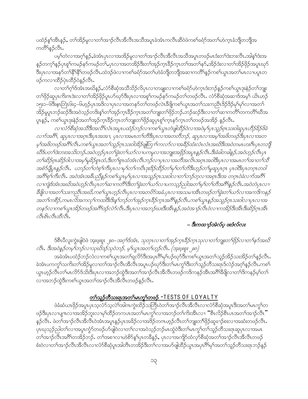ပထံဉ်န1်အီၤန္ဉာ်, တၫ်အိဉ်မူလၢတၫ်အၫဉ်လီၤအိလီၤအသိအပူၤခဲအံၤကလီၤဆီ၀ဲဖဲကစၫ်ခရံာ်အတ႑်ဟဲက္ၤခံဘျီတဘျီအ ကတိ်နေ့ဉ်လီး.

ပမ့ါ်တဲလၢအဂ္ဂါန္ဉ်,နဲအံၤပှၤလၢအအိဉ်မူလၢတၢ်အၫဉ်လီၤအိလီၤအသိအပူၤတဖဉ်မၤဒံးတၢ်ဒဲးဘးလီၤ.အါနၤ်ဒံးအ န5ုတက့ౕ)နဉ်ပှၤစူ်ကမဉ်နာ်ကမဉ်တ႑်ႇပှၤလၢအတအိဉ်ဒီးတ႑်အုဉ်က္πဒိဉ်က္πတ႑်အတ႑်နှာ် အိဉ်ဒံးလၢတ႑်အိဉ်ဖှိဉ်အပူးဃုဉ် .<br>ဒီးပုၤလၢအနဉ်တ႑်နိ<sup>႖</sup>န္ဓိ႖်တဖဉ်လီၤ.ထဲဒဉ်ဖဲလၢကစၫ်ခရာ်အတၤ်ဟဲခံဘိုတဘိုုအဆၢကတိ႖န္ဉာကစ႑်ယွၤအတ႑်မၤလၢပပ္ပုတ ဖဉ်ကလၢထိဉ်ပုံၤထိဉ်ဝဲနဉ်လီၤ.

လၢတၫ်ဂ့ၫ်ဒ်အံၤအဃိနဉ်ႇလံာ်စိဆုံအသိသိဉ်လိပုၤလၢတချူးလၢကစၢ်ခရံာ်ဟဲက္ၤဒံးဘဉ်နဉ်ကစၢ်ယွၤဒုးနဲဉ်တၢ်ဘျုး တၫိဖှိဉ်ဆူပှၤကိးကဒဲးလၢတၫ်အိဉ်ဖှိဉ်ပူးဟ်ဃုာ်ဒီးပှၤလၢအစူၫ်ကမဉ်နာ်ကမဉ်တၫ်တဖဉ်လီၤ. လံာ်စီဆုံအဆၢဒ်အမှ်၊ ယိၤဟဉ် ၁၅း၁–၆ဒိးငွ၊ဘြံၤ၆း၄–၆ဟ့ဉ်ပုၤအဒိလၢပုၤလၢအတနဉ်တၫ်တဖဉ်လဲၤနိဖျိကစၢိယ္ပၤအတ႑်သးကညီၤဒိဉ်ဒိဉ်မှ၊်မှ၊်လၢအတ႑် အိဉ်မူပူးဘဉ်ဆဉ်ဒီးအဝဲသ့ဉ်တဒ်းနှၤ်တၤ်အှဉ်ကူးခိဉ်ကူးအတၤ်ဘျူးတၤ်ဖိုဉ်ဘဉ်…ာဉ်ဆဉ်ဒီးလၤတၤ်ဆၤကတိၤ်တကတိၤ်ဃိအ ပူးနှဉ်, ကစါယွာဒုးနဲ့ဉ်အတၢ်အှဉ်ကူးခိဉ်ကူတာ၊်ဘူးတ၊်ဖိုဉ်ဆူပုၤစူ၊်ကူးနှာ်ကူးတ၊်တဖဉ်အအိဉ် နှဉ်လီး.

လ ၊လံ5စိဆုံအသိဒီးအလိ<sup>ရ</sup>လံၤအပူၤပထံဉ်ဘဉ်လ ၊ကစ<sup>ရ</sup>ယွၤတဲဖျံထိဉ်ဝဲလ ၊အဝဲမှ ၊်ပှၤသူဉ်စုၤ*သးဝါဆူပုၤပာိဉ်နိဉ်*ဖိခဲ လฑ်အဂိီး, ဆူပုၤလၢအဂ္ဂၤဒီးပုၤအအၢ, ပုၤလၢအမၤတၫ်တိဒီးပုၤလၢအတတိဘဉ်, ဆူပုၤလၢအမ္ ၊်အဖိတဖဉ်ဒီးပုၤလၢအတ မ့်၊အဖိတဖဉ်အဂီိ၊လိၤ.ကစ္၊ယွၤအတ႑်သူဉ်ဂူၤသးဝါအိဉ်ဖျံတြ႑ၤ်ကလာ်လၤအခဵိဉ်ထံးလံၤလံၤအဃိဒိးအဝဲတမၤဟးဂဵၤပုၤတဘိုု ဃိဒ်ပတ႑်ဒဲးဘးအသိးဘဉ်ႉအဝဲဟ္ဥပု႑တ႑်ခဲ့းတ႑်ယာလ႑ပကမူလ႑အဘျူးအဖြဉ်အပူ႑န္ဥလိ႑.ဒီးခံခါတခါန္ဥ,အဝဲဟ္ဥလိ႑ပု႑ တ႑်ဆိဉ်စုၤဆိဉ်ဝါလ ၊အမ္ဂါမူခိဉ်စုၤထံ,ဒီးတ႑်စုၤထံအံၤလီၤဘဉ်လ ပုၤလ ၊အတိအလိၤအဂ္ဂၤအဝါဒီးပုၤလ ၊အမၤတ ၊်အ ၊တ႑်သီ အစံ5်ပျီပူးနှ5်လီး. ပဘ5်တ1်တဲစ့1်ကီးပုၤလ႑မှ1်တ1်ကပီးဒုးဒိ5်ထိ5်တ1်မှ1်တ1်ဘိဒီးဟွ5်တ1်မူဆူပုၤဂ္ဂၤ ပှၤဝါဒီးပုၤတဂ္ဂၤတဝါ အဂ်ီ1စ့်၊ကီးလီး. အဝဲအံၤအခ်ီပညီနဉ်ကစါယွၤမ့္ပြာလၢအသူဉ်ဂွၤသးဝါလၢတၫ်ဘဉ်တွလၢအစူၤဒီးအ တဂူၤဝဲခဲလၫာ်အဂ်ီ1 လၢကျဲဒ်အံၤအဃိအဝဲဟ္နဉ်လိၤပုၤတ႑်ဆၢကတိႝၤ်ဒီးတ႑်ခဲ့းတ႑်ယဉ်လၢပကသ္ဉဉ်ညါ့အတ႑်မှု က႑်တိအင်္ဂြန္နဉ်လီၤအဝဲတဲပုၤလၢ ဒီဖျိလၢအတ႑်သးကညီၤအဃိ,ကစ႑်ယွၤဟ့ဉ်လီၤပုၤလၢအတပိဉ်အခံ,ပုၤလၢအသမၢအီၤတဖဉ်တ႑်ခွဲးတ႑်ယဉ်လၢအကဒိကနဉ် အတ႑်ကစီဉ်,ကမၤလိအကလှ႑်ကထါဒီးဒိးန္ ၊်ဘဉ်တ႑်အှဉ်က္ခၤခဵဉ်က္ခၤအဂီၤန္ ဉ်လီၤ.ကစ႑်ယ္ဓၤန္ ဉ်အသူဉ်ဂ္႑သးဝါလ႑ပုၤလ႑အ တနဉ်လ ၊ကစ ်ယွၤအိဉ်တဖဉ်အဂီ ်ဒဉ်လဲဉ်လီး.ဒီးပုၤလ ၊အဘဉ်ဃးဒီးအီးနှဉ်,အဝဲအ ၊ဉ်လီၤဝဲလ ၊ကအိဉ်ဒီးအီးဒီးဆိုဉ့်ဂ္ဂ၊ အီး *&bi&æ&* 

#### – 8:ကထ႑ာဴအဲလ်ပ္ ဖးဒံလ်လး

ဒ်စီၤပီလူးကွဲးဖျါဝဲဖဲ အူးဖူးစူး ုးရ-*အဂ္ဂါဒ်အံၤ, သုတုၤလၫတ<sup>၎</sup>အှဉ်က္*ၤ*ခိဉ်က္ၤသုလ႑တ႑ဘူူးတ႑်ဖိုဉ်လ႑တ႑နှာ်အဃိ* လီး. ဒီးအဝဲနဉ်တမ့်ကဉ်လၢသုဃိဒဉ်သုဝဲဘဉ်, မ့္ပ်ယ္လၤအတ႑်ဟ္နဉ်လီး. (အူးဖူးစူး ၂း၈)

အခဲအံၤပထံဉ်ဘဉ်လံလၢကစၫ်ယွၤအတၫ်ရလိာဒီးအပှၤဂိၢမုၢိပဉ်ဃှာ်ဒီးကစၫ်ယွၤအတ႑်သူဉ်အိဉ်သးအိဉ်တ႑်နဉ်လီၤ ခဲအံၤပကကွ1်သကိႏတ1်အိဉ်မူလၢတ1်အၫဉ်လီၤအိလီၤအပူၤပဉ်ဃှာ်ဒီးတ1်မၤကွ1်ဒီးတ1်သူဉ်တိသးရၤဒ်လဲဉ်အဂ့1်နဉ်လီၤ.ကစ1် ယွာဟူဉ်လီၤတၫ်မာလိ႒်ဒ်သိးဒီးပုာလၢအဘဉ်ထွဲဒီးအတ႑်အၫဉ်လီၤအိလီၤတဖဉ်ကဒိကနဉ်အီၤအဂီၢိနိဖျိလၢတ႑်ဒိကနဉ်မ့ၢ်တ႑် လၫအဘဉ်ထွဲဒီးကစ<sup>႑</sup>ယ္မွၤအတ<sup>ြ</sup>အၫဉ်လီၤအိလီၤတဖဉ်နဉ်လီၤ*.* 

#### တ႑်သူဉ်တိသးရၤအတ႑်မၤက္ဂၤ်တဖဉ် -TESTS OF LOYALTY

ဖဲခံဆံယာဖိုဉ်အပူာပုာသ့လံာ်သ့လဲ1်အါကကွဲးထိဉ်သတြိုဝဲတၤ်အၫဉ်လီၤအီလီၤလၢလံာ်စီဆုံအပူၤဒီးအတၤ်မာကွၤ်တ ဖဉ်ဒီးပှာလာပျπလာအအိဉ်ဘူးလာမှာ်ထိဉ်တကပာအတာ်မာကွာ်လာအဘဉ်တာ်ကိုးအီာလာ "စီးလိဉ်စီးပာအတာ်အာဉ်လီး" နှဉ်လီၤႉ ဖဲတౕၢအၫဉ်လီၤအိလီၤ၀ဲအံၤအပူၤန္ဉာဴပုၤအခ်ဉ်လၢအဒိဉ်တဂၤဟ္ဥာ်လီၤတၤ်ဘူူးတၤ်ဖိုဉ်ဆူခ႑ာ်စးလၢအဆံးတဖဉ်လီၤႉ ပုၤဃုသူဉ်ညါတ႑်လၢအပူၤကၠႆာ်တဖဉ်ပာ်ဖျါဝဲလၢတ႑်လၢအဝဲသူဉ်ဘဉ်မၤထွဲဝဲဒီးတ႑်မၤကၠၫ်တ႑်သူဉ်တီသးရၤဆူပုၤလၢအမၤ တၫ်အၫဉ်လီၤအဂိ်ါတအိဉ်ဘဉ်ႉ တၫ်အစၢလၢဟဲစိ႒်နှၤ်ပုၤတခ်ိန္၄်ႇ ပုၤလၢအကျိဉ်ထံလ့ာ်စီဆုံအတ႑်အၫဉ်လီၤအိလီၤတဖဉ် စံးဝဲလၢတ<sup>်</sup>၊အၫဉ်လီၤအိလီၤလၫလံာ်စိဆုံပူၤအါတီၤတအိဉ်ဒီးတ႑်လၢအပာ်ဖျါထိဉ်ယွၤအပှၤဂိ<sup>ရ</sup>မှ<sup>ြ</sup>အတ႑်သူဉ်တိသးရၤဘဉ်နဉ်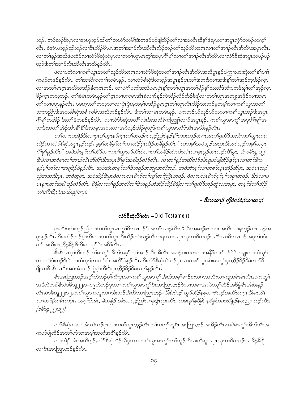ဘဉ်ႉ ဘဉ်ဆဉ်ဒီးပုၤလၢအဃုသ့ဉ်ညါတၫ်တယံာ်တမိၢိဒံးတဖဉ်ဟ်ဖျ်ထိဉ်တ႑်လၢအလီၤဆိန္<sup>ရ</sup>ဒံးပှၤလၢအပူၤကွံာ်တဖဉ်တက့<sup>၎</sup> လီၤ. ခဲအံၤပသ္ဉဉ်ညါဘဉ်လၢစီၤလိဉ်စီၤပၤအတ<sup>ၡ</sup>အၫဉ်လီၤအိလိၤလိဉ်ဘဉ်တၢိသူဉ်တီသးရာလၢတၢိအၫဉ်လီၤအိလီၤအပူၤလီၤ. လၢတၫ်နဉ်အဃိဖဲပထံဉ်လၢလံာ်စီဆုံတဲပုၤလၢကစၢ်ယွာမာကွၢ်အပုၤဂိၢ်မှၢ်လၢတၢ်အၢဉ်လီၤအီလီၤလၢလံာ်စိဆုံအပူၤတဖဉ်ပဉ် ၰာ်ဒီးတၫ်အၫဉ်လီၤအီလီၤအသိန္ဉာ်လီၤ.

ဖဲလၢပတဲလၢကစၫ်ယွာအတ႑်သူဉ်တိသးရာလၢလံာ်စိဆုံအတ႑်အၫဉ်လီၤအီလီၤအသိပူာနဉ်ပကြားဟးဆုံးတ႑်နှၤ်ပ႑ာ ကမဉ်တဖဉ်နဉ်လီၤႉ တၫ်အဆိကတ႑ာ်တမံၤန္ဉဉ်ႇ လ႑လံာ်စီဆုံဒီတဘ့ဉ်အပူၤန္ဉာိပုၤတၫ်ဒဲးဘးဖိလ႑အဒိးန္႑်တ႑်အုဉ်က္ၤခ်ီဉ်က္ၤ လၫအတ<sup>ရု</sup>မၤဂ္ဂၤအဃိတအိဉ်နိုတဂၤဘဉ်ႉ လ႑ပဂံ၂ပဘါအဃိပမၤပုံၤန္ ၊်ကစၥ်ယ္ဂၤအတ႑်မိဉ်န္ ၊်သးလီဒ်သိဴးပကဒိႏန် ၊်တ႑်အုဉ်က္၊ ခြိဉ်က္ၤတသ့ဘဉ်ႉ တၫ်ခံမံၤတမံၤန္ဉာိတ႑်က္ၤလၢပကမၤအိၤခဲလ႑ာ်နှဉ်ကဲထိဉ်လိဉ်ထိဉ်ခ်ိဖြိုလၤကစၫ်ယွၤအဘျုးအဖြဉ်လၢအမၤ ာ<br>တြလ ၁၀ပူကနည်လီး ပမာဂ္ဂာတက်သွလ ၁လ ၁ပုံ၊ ပှဲ၊ မဲ့တမ့် ပအိဉ်မူမာဂ္ဂာတက်ဘုလီ၊ ထိဉ်ဘးဘဉ်မဲ့တမ့် လ ၁ကစ ်ယွာ အတ ၊ သးကညီၤဒီးအသးစိဆုံအစိ ကမီၤအဃိဘဉ်နဉ်လီၤ. ဒီးတ<sup>၎</sup>သၢမံၤတမံၤနဉ်, ပကဘဉ်ဟ်သူဉ်ဟ်သလၢကစ<sup>၎</sup>ယွၤအဲဉ်<sup>ဌ</sup>းအပှၤ .<br>ဂြိမု်ကအိဉ် ဒီးတ<sup>ရဒ္ဌ</sup>ကနဉ်နဉ်လီၤ. လၫလံာ်စိဆုံအလိ်လံၤဒီးအသိခံကတြူၫ်လၫာ်အပူၤန္ဉာ်, ကစၢိယ္မၤမၤကွ<sup>ြ</sup>အပှၤဂိ်ါမု်အ သးဒီးအတၫ်အဲဉ်အီၤနိ<sup>ုင္ခ</sup>ိုဒီးသန္ၤအသးလၢအဝဲသုဉ်အိဉ်မူထွဲဒ်ကစၢ်ယွၤမၤလိာ်အီၤအသိးနဉ်လီၤ.

တ႑်လၤယအဲဉ်ဒိုးလၤပ္၊စူ ဂ်က္၊ နဉ်က္၊ တ႑်တဖဉ်ကသ္ဉာညါဝဲနှဉ်နီ ဂ်ာက၊ ဘဉ်တက၊အတ႑်ရှလိဉ်သးဒီးကစ႑်ယွ၊ တစး ထိဉ်လၢလံာ်စီဆုံအပူးနှဉ်ဘဉ်. မွမှ် ကခ်ိမှ် က႑်လၢထိဉ်ပုံးထိဉ်တခ်ိနှဉ်လီး. "ယကမ္ဂါအဝဲသုဉ်အယွဴးဒီးအဝဲသုဉ်ကမ္ဂါယပုံး .<br>8 မု နေ့ဉလီး " အဝဲအီးမ့ ဂ်တ ဂ်တိာ်လ ၊ကစ ကြွးပာတိလီးဝဲလ ၊တ ၊အခ်ီဉ်ထံးလံးလံးလ ၊ဇူးဒွဉ်တၤသဉ်လီ မူး, ဒီး ၁မိးရှ ၁၂, ဒီးဖဲလ ၊အဝဲမၤတ ၊်အ႑ာဴလီၤအီလီၤဒီးအပုၤဂိၢမှ ၊်အခါဒဉ်လဲ၁်လီၤ. လ ၊တ႑်နဉ်အဃိလံာ်ဝမ်ၤရူပာဖျ်ထိဉ်နှ ်ပုၤလ ၊တ ၊်ဒိက နဉ်မှ1တ1်လ ၊အရူဒိဉ်ဝဲနဉ်လီး အဝဲအံၤတမ္ ၊်တ1်ဒိကနဉ်အဘျုးအဃိဘဉ်. အဝဲအံၤမ္ ၊်လ ၊ကစ ၊်ယွၤအဲဉ်ဆိပှၤ, အဝဲမၤဘဉ် ထွဲအသးဒီးပှၤ, အဝဲတ္ဝှၤ, အဝဲအိဉ်ဒီးပွၤဖဲလၢပလဲၤခ်ီက်တ႑်လူ႑်တ႑်တြီၤတဖဉ်, ဖဲလၢပလဲၤခ်ီက်ပှ႑်မှ႑်ကန႑တဖဉ်, ဒီးဖဲလၢပ -<br>မၤန πတ<sup>6</sup>အခါ ဒဉ်လဲ၁်လီၤ. ဒီဖြလ 1တ ်နှဉ်အဃိတ ်ဒိကနဉ်ဟဲဒနဉ်ထိဉ်ဒီဖြလ 1တ ်ရှလိ၁်ဘဉ်ထွဲသးအပူၤ, တမ့််၊ဒ်တ ်သိဉ် တ႑်သီအိုဉ်ဝဲအသိးနဉ်ဘဉ်.

# – 8:mထ႑ာဴ ကိုဝဲလ်စံဉ်ဟၤထ႑ာဴ

#### <u> ಬೆಂಗಿನಿಫಿನಿಗಿನಿ – Old Testament</u>

ပုၤကိးဂၤဒဲးသုဉ်ညါလၫကစါယွၤမၤကွၫ်စီၤအၤဒဉ်ဒ်အတၫ်အၫဉ်လီၤအိလီၤအခ႑ာ်စးတဂၤအသိးလၢဇ့ၤဒ့ဉ်တၤသဉ်အ ပူးန5်လီး. ဒီးပထံဉ်ဘဉ်စ့်ဂြားလၫကစၫ်ယွာကိုးထိဉ်တ႑်သူဉ်တိသးရာလၫအပှာဃုထၫဖိတဖဉ်အဂိ်ါလၫစီးအားဒဉ်အပူၤဒ်ပစံး တၫ်အသိးပုၤဟိဉ်ခိဉ်ဖိကိုးကလှာ်ဒဲးအဂိၢ်လိၤ.

စီၤနိအၤစ့ါကီးဘဉ်တ<sup>ို</sup>မၤကွ<sup>ှ</sup>အီၤဒ်အမ့ှါတၢိအၢဉ်လီၤအိလီၤအခၢဉ်စးတဂၤလၢအနိ<sup>ရ</sup>ကစၢ်ဒဉ်ဝဲဖဲတချုးလၢထံလုဉ် ဘၢတၫ်ဒံးဘဉ်ဒီးဖဲလၢထံလုာ်ဘၢတၫ်စံၤအလိၢ်ခံနဉ်လိၤႉ ဒီးလံာ်စိဆုံတဲဘဉ်ပှၤလၢကစၫ်ယွၤဆဲးမၤကွၢ်ပှၤဟိဉ်8ဉ်ဖိခဲလၢာ်ခိ ဖြိုလၢစီးနိုအာဒီးအဝဲအံၤဘဉ်ထွဲစ့<sup>၎</sup>ကီးဒီးပှၤဟိဉ်<sup>8</sup>ဉ်ဖိခဲလၢာ်နဉ်လီၤ<sup>့</sup>

စီၤအာဘြာဟဉ်အဂ္ဂါတဲဘဉ်စ့ါကီးပုၤလၢကစါယွာမာကွါအီၤဒ်အမ့ါခၢဉ်စးတဂၤအသိးလၢကျဲအမံၤမံၤလီၤ.ပကကွါ အဒိထဲတခါ&ၤဖဲ၁မ်ိဳးရှု၂၂း၁–၁၉တဲဘဉ်ပှၤလၢကစၫ်ယွၤမၤကွ႑်စီၤအာဘြၤဟဉ်ဖဲလၢအမၢအလဲၤလု႑်ထိဉ်အဖိခွါစီၤအံးစဲးနဉ် လီး.ဖဲ၁မိၫရ္ ၂ ႏ၁၂,ကစ<sup>5</sup>ယ္လာကလူးတဂၤစံးဘဉ်အိၤစီၤအားဘြၤဟဉ်–*ဒြီးစံးဝဲဒဉ်,ယှဉ်ထိဉ်နစုလၤဗိသဉ်အလိၤတဂ္ဂၤ,ဒီးမၤဒီ*း၊ လၢတၫ်နိတ်မီၤတဂူၤ. အဂ္ဂါဒ်အီၤ. ခဲကနံဉ် အီၤယသ္ဉာ်ညါလ႑နပျံံ၊ယွၤလီၤ. ယမၤန္နၫန်ဖိခွါ, နဖိခွါတဂၤဃိနဉ်နတညး ဘဉ်လီၤ.  $($ 2019 ( $J$ 

လံာ်စီဆုံတဆၢအံၤတဲဘဉ်ပှၤလၢကစၢ်ယွၤဟ့ဉ်လီၤတၢ်ကလုၢ်ဆူစီၤအာဘြၤဟဉ်အအိဉ်လီၤ.အဝဲမၤကွၢ်အိၤဒ်သိးအ ကပာ်ဖျါထိဉ်အတ႑်ပာ်သးအမှၤ်အတိအဂိၢ်နဉ်လီၤ.

လၫကျဲဒ်အံၤအသိးနဉ်ႇလံာ်စီဆုံသိဉ်လိပှၤလၫကစၢ်ယွၤမၤကွၢ်တၢ်သူဉ်တိသးတိဆူအပှၤဃုထၢဖိတဖဉ်အအိဉ်ခီဖြိ လၢစီးအာဘြာဟဉ်နဉ်လီး.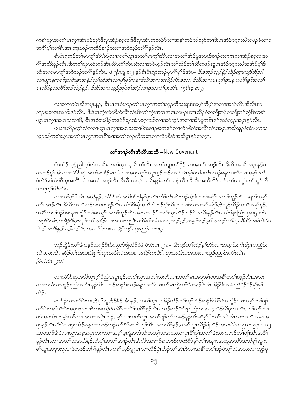ကစၢိယ္ပၤအတၫ်မၤကွၢ်အံၤပဉ်ဃုာ်ဒီးပှၤအံဉ်စရ္ဝားဖိဒီးပှၤအံၤတဃဉ်ဖိလၢအန္1ဘဉ်သါဃုာ်တၫ်ဒီးပှၤအံဉ်စရလးဖိတဖဉ်ခဲလၫာ် အဂ်ိဳးမဲ့ လာစီးအာဘြာဟဉ်ကဲထိဉ်ခၢဉ်စးလာအဝဲသုဉ်အဂိါနဉ်လီး.

စီးမိၤရူဘဉ်တၫ်မၤကွၫ်အီးခီဖိုလၤကစၫ်ယွၤအတ႑်မၤကွၫ်အီၤလၢအတ႑်အိဉ်မူအပူၤဒ်ခ႑ာ်စႏတဂၤလၢအံဉ်စရလးအ ဂိၢိအသိးနဉ်လိၤ<sup>်</sup>ဒီးကစါယွၤတဲဘဉ်အီၤလိၤတံၢ်လိၤဆဲးလၢအဝဲဟုဉ်လိၤတၢ်သိဉ်တၢ်သိတဖဉ်ဆူပှၤအံဉ်စရလးဖိအအိဉ်မ့<sup>၎ဌ်</sup> သိးအကမၤကွ<sup>ရ</sup>အဝဲသုဉ်အ<sup>ရွ</sup>ိနဉ်လီၤ. ဖဲ ၅မိၤရ္ ၈း၂ နဉ်စီၤမိၤရှစံးဘဉ်ပှၤဂိၢမုၢ်ဒ်အံၤ– *ဒီးနဘဉ်သုဉ်နိဉ်ထိဉ်က္ၤကျဲဒိဘိညါ* လ ၊ယ္စၤနကစ<sup>႑</sup>ဒုးလဲၤနၤအနံဉ်လွှံ<sup>ရ</sup>ဆံအံၤလ ၊ပှ မု ကန ၊ဒ်သိးအကဒုးဆိဉ်လီၤနသး, ဒ်သိးအကမၤကွ<sup>ဴ၊</sup>နၤ,နကတိၢိန္ ၊အတ ် မၤလိ5်နတတိၤ်ဘဉ်လဲဉ်နှဉ်, ဒ်သီးအကသ္ဉဉ်ညါတ႑်အိဉ်လ႑နသးကံ႑ိပူၤလီၤ. (၅မိၤရ္ ၈း၂)

လၢတၫ်တမံၤဃိအပူၤန္>်ာ, စီၤပၤဒၤဝံးဘဉ်တၫ်မၤကွၫ်အတ႑်သူဉ်တိသးရၤဒ်အမှၢ်ဘိမုၢ်အတၫ်အ႑ာ်လီၤအိလီၤအ ခၢဉ်စးတဂၤအသိးနဉ်လိၤႉ ဒိ<sup>ု့</sup>ဒ်ပှ<sup>ု</sup>ကွဲးလံာ်စိဆုံလိ<sup>ု</sup>လံၤဒီးတ<sup>ို</sup>ကွဲးအဂုၤအဂၤတဖဉ်ယπထိဉ်ဝဲတဘိျီဘဉ်တဘိျီဘဉ်ထွဲဒီးကစ<sup>ု</sup> ယ္ပၤမၤက္ပါအပှၤဃုထၢဖိ, စီၤဒၤပံးအဖိခွါတဖဉ်ဒီးပှၤအံဉ်စရလးဖိလၤအဝဲသ့ဉ်အတၤ်အိဉ်မူတစိၤဒဉ်အဝဲသ့ဉ်အပူၤန္ဉာ်လီၤ ပယπထိံဉိတ့်<sup>ရ</sup>လံကစ<sup>ရ</sup>ယ္ပၤမၤက္ဂ<sup>ရ</sup>အပ္ပၤဃုထၫ<sup>ဖြ</sup>အခ႑ာ်စႏတဖဉ်လၫလံာ်စိဆုံအလိ်ရလံၤအပူၤအသိႏႈန္<sup>ဉိ</sup>ခဲ့အံၤပကဃု သ့ဉ်ညါကစ<sup>ှ</sup>ယွာအတ်မာကွှာအပှာဂိ<sup>ုမှ</sup>ြအတ<sup>်</sup>သူဉ်တိသးရာလၢလံာ်စိဆုံအသိပူာနှဉ်တက့**်.** 

#### <u>တ္က်အာဉ်လီးအီလီးအသီ –New Covenant</u>

ဒ်ပထံဉ်သ့ဉ်ညါတ့််လံအသိႏႇ့ကစဉ်ယွာလူလီာဂဉ်လီာအတဉ်ဘျုးတဉ်ဖှိဉ်လၢအတဉ်အာဉ်လီာအိလိာအသိအပူာနှဉ်ပ တထံဉ်န5်၊အီၤလၤလံ၁စိဆုံအတSမာနိဉ်မာဃါလၢအပူၤကွံာ်အပူၤန္ဉာ်တဉ် အဝဲအံၤမ့Sဝဲတိဝဲလီၤ.ဘဉ်မနုၤအဃိလၢအမဲ့Sဝဲတိ ဝဲလဲဉ်.ဒ်လံာ်စီဆုံအလိ<sup>ရ</sup>လံၤအတ<sup>ရ</sup>အၫဉ်လီၤအီလီၤတဖဉ်အသိးနဉ်ႇတ<sup>ရ</sup>အၫဉ်လီၤအီလီၤအသီလိဉ်ဘဉ်တ<sup>ရ</sup>မၤကွ<sup>ရ</sup>တ<sup>ရ</sup>သူဉ်တိ သးရာစ္<sup>၎</sup>ကီးလ်ိဳး.

လၢတၫ်ဂ့ါဒ်အံၤအဃိနဉ်, လံာ်စီဆုံအသိဟ်ဖျနှ်၊ပှၤလီၤတံၢ်လီၤဆဲးဘဉ်ထွဲဒီးကစၢ်ခရံာ်အတၫ်သူဉ်တိသးရၤဒ်အမှၤ် တၫ်အၫဉ်လီၤအိလီၤအသိခ႑ာ်စးတဂၤနဉ်လီၤ. လံာ်စိဆုံအသိတဲဘဉ်စ့ၢ်ကိႏပုၤလၢဖဲလၢကစၢ်ခရံာ်ဟဲသူဉ်ထိဉ်အဘိအမှၢ်နှဉ်, အနိ<sup>ု</sup>ကစၫ်ဒဉ်ဝဲမၤနπကွံာ်တၫ်မၤကွၫ်အတၫ်သူဉ်တိသးရၤတဖဉ်ဒ်ကစၫ်ယွၤလိဉ်ဘဉ်ဝဲအသိးနဉ်လိၤႉ လိာ်ငှ၊ဘြံၤ ၄း၁၅ စီးဝဲ – အဂ္ဂ<sup>ဌ</sup>ဒ်အီး,ပအိဉ်ဒီးပွၤလု က ်အဓိဉ်လ ၊အသီးကညီၤပင်္ဂါစ ်ာါစ ၊တသွဘဉ်နှဉ်,တမ့ ်ဘဉ်,မ့<sup>်</sup>၊အဘဉ်တ ်လွပစိက်းအမံၤဒဲးဒ်ပ ဝဲဒဉ်အသိးနည်ဘဉ်ဆဉ်ဒီး, အတ<sup>ု</sup>ဒဲးဘးတအိဉ်ဘဉ်. (စုံးဘြီး၊ ၄း၁၅)

ဘဉ်ထွဲဒီးတౕาဒိကနၣ်သရဉ်စီၤပီလူးပာ်ဖျါထိဉ်ဝဲဖဲ ဖံလံးပံၤ ၂း၈− *ဒီးဘဉ်တ႑်ထံဉ်န႑်အိၤလၤအက္႑်အဂဵၤဒ်ပှၤကညီအ* သိးသတးဒီး, ဆီဉ်လီၤအသးဒီးစူ ဂြဲတုၤအဒိးသံအသး, အခိဉ်တလိ9်, တုၤအဒိးသံအသးလ႑တူဉ်စုညါအလိၤလီၤ.  $\begin{pmatrix} \mathring{\partial} \mathring{\Delta} \mathring{\mathscr{S}} \mathring{\mathscr{S}} \mathring{\mathscr{S}} \mathring{\mathscr{S}} \mathring{\mathscr{S}} \mathring{\mathscr{S}} \mathring{\mathscr{S}} \end{pmatrix}$ 

လၢလံာ်စိဆုံအသိယ္ပၤဂ့ၫ်ပိညါအပူၤန္ဉာ်ႇကစၫ်ယ္ပၤအတ႑်သးတိလၤအတ႑်မၤအပူၤမ့ၫ်ဝဲဖဲအနိ<sup>႖</sup>ကစ႑်ဟ္ဉာ်လီၤအသး လၫကသံလၫထူဉ်စုညါအလိၤနှဉ်လီၤႉ ဘဉ်ဆဉ်ဒီးဘဉ်မနျးအဃိလ႑တ႑်မၤတွဲတ႑်ဒိကနဉ်ဝဲအံၤအိဉ်ဒီးအခီပညီဒိဉ်ဒိဉ်မှ႑မှြ လဲဉ်.

စးထိိဉ်လၢတ<sup>၎</sup>ဒဲးဘးဟဲနုာ်ဆူဟိႆဉ်<sup>8</sup>ဉ်အံၤန္ဉာ်, ကစ<sup>၎</sup>ယွπဒုးအိဉ်ထိဉ်တ႑်လုၤ်ထိဉ်ဆဉ်ဖိကိံ<sup>ရဖိ</sup>အသွံဉ်လၢအမ့<sup>၎</sup>တၤ်ပျ<sup>၎</sup> တၫၳအားဒ်သိးဒီးအပှၤဃုထၫ<sup>8</sup>ကမၤထွဲဝဲတ8်ၫတလိ<sup>ု</sup>အဂ်ိ<sup>န္</sup>နဉ်လိၤ<sup>့</sup> ဘဉ်ဆဉ်ဒီးဒ်ငံ့၊ဘြၤ၁၀း၁–၄သိဉ်လိပှၤအသိးႇတၫ်လုၫတ႑ ဟ်အဝဲအံၤတမ့်ၢိတၤ်လၤအလၤအပှဲၤဘဉ်, မ့ါ်လၤကစါယွၤအတၤ်ပျာ်တၤ်ကမဉ်နဉ်လြီၤဆီနံၤ်အ်၊ အဝဲအံၤလၤအဘိအမု၊်အ ၯူးနဉ်လီး.ဒီးဖဲလၫၦၤအံဉ်စရလးတဖဉ်ဘဉ်တ<sup>ှ</sup>စိဉ်မၢကဲကု<sup>ိ</sup>၊အီၤအကတိႝ<sup>ု</sup>နဉ်ႇကစ<sup>်</sup>၊ယွာလိဉ်ဖျါထိဉ်အသးဖဲဝံယရှါယာ၅၃း၁–၁၂ ,အဝဲအဲဉ်ဒိးဝဲလၢယ္ပၤအခ့အပှၤတဂၤလၢအမ့ါမ့ၤရုံအၤဒ်သိးကတူါသံအသးလၢပှၤဂိါမုါအတါဒဲးဘးကဘဉ်တၢိပျါအိၤအဂိါ နှဉ်လီၤႉလၢအတၫ်သံအဃိန္ဉာ်,ဘီမှၢ်အတၫ်အၢဉ်လီၤအိလီၤအခၢဉ်စးတဖဉ်ကဟဲစိ႒်န္1်တၫ်မၤန္ πအထူအယိ႒်အဘီမှၢ်ဆူက .<br>စါယွာအပှာဃုထာ<sup>8</sup>တဖဉ်အဂိါနဉ်လီာကစါယ့ဉ်ရူးမာလာထိဉ်ပှဲာထိဉ်တါအံာဖဲလာအနိ<sup>6</sup>ကစါဒဉ်ဝဲတူါသံအသးလာထူဉ်စု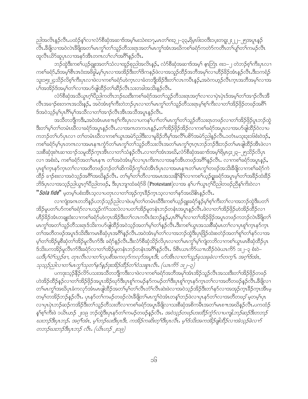ညါအလိၤနဉ်လီၤႉပထံဉ်နှၤ်လၫလံာ်စီဆုံအဆ႑ဒ်အမ့ၤ်မးသဲ၈း၁၇ႇမၤတၤ်၈း၃၂–၃၃ႇရိမ္ၤ၆း၁၀ဒိး၁ပ္းတရူး၂း၂၂–၂၅အပူၤနှဉ် .<br>လီၤ.နိဖျိလၤအဝဲလဲၤနိဖျိအတၫ်မၤကွၫ်တၫ်သူဉ်တိသးရၤအတ႑်မၤကွၫ်အံၤအဃ်ကစၫ်ခရံာ်ကတဲာ်ကတိၤတ႑်ပျာ်တ႑်ကမဉ်လီၤ ထူလီၤယိာ်ဆူပုၤလၢအနာ်အီၤတဂၤလၢ်လၢ်အဂ်ိဳးနဉ်လီၤ.

ဘဉ်ထွဲဒီးကစါယ့ဉ်ရူုးအတၫ်သံလၢထူဉ်စုညါအလိၤန္ဉဉ်, လံာ်စီဆုံအဆၢဒ်အမှၤ် ဇူးဘြံၤ ၈း၁–၂ တဲဘဉ်စ့ၢ်ကိဳးပုၤလၢ ကစါ်ခရံာ်,ဒ်အမှါစီၤဒၤဝံးအဖိခွါ,မ့ါပုၤလၢအအိဉ်ဒီးတါဒိကနဉ်ဖဲလၢအသူဉ်ထိဉ်အဘိအမှါလၢဟိဉ်8ိဉ်အံၤန္ဉာ်လီၤ.ဒီး၁ကရံဉ် သူး၁၅း၂၄သိဉ်လိစ့်ၫကီးပုၤလၢဖဲလၢကစၫ်ခရံဉ်ဟဲကူၤလၢခံတဘိုုအိဉ်ဒီးတ႑်လၤကပိၤန္ဥ်ႇအဝဲကဟူဉ်လီၤကူၤအဘိအမှ႑်လၢအ ပါအအိဉ်ဒ်အမဲ့ါတါလၢအဟ်ဖျါထိဉ်တါဆိဉ်လီၤသးတခါအသိးန္ဉာလီၤ.

လံာ်စီဆုံအသိယွာဂ့ါပိညါကတိၤဘဉ်ဃးဒီးကစါခရံာ်အတါသူဉ်တိသးရာအဂ့ါလၫလၫပုံၤပုံၤဒ်အမ့ါတါအၫဉ်လီၤအိ လီၤအခၫဉ်စးတဂၤအသိးနှဉ်, အဝြိအံၤစ့္ကြားတဲဘဉ်ပုၤလၢတ႑်မၤက္ဂၤ်တ႑်သူဉ်တိသးရာမ့္ပ်စ္ဥ္တ်ကြီးလၤတ႑အဉ်ပုံဉ်တဖဉ်အရိွ ဒ်အဝဲသူဉ်မှ\ပုၤဂိ်\မှ\အသီလၢတ\အၫဉ်လီၤအီၤအသီအပူၤန္ဉဉ်လီၤ.

အသိတဘိုုကဒီးႇအဝဲအံၤမၤစ πစ့ၢ်ကိဳးပုၤလၢပကန1်ပၢၢ်တ႑်မၤက္ဂၤ်တ႑်သူဉ်တိသးရၤတဖဉ်လၢတ႑်အိဉ်ဖိုဉ်ပူၤဘဉ်ထွဲ ဒီးတၫ်မှ႞တ႞တမံၤဃိလၢခရံှာ်အပူၤန္ဉာ်လီၤႉလၢအဂၤတကပၤန္ဉာ်ႇတ႑်အိဉ်ဖိုဉ်အိဉ်လၢကစၢ်ခရံှာ်အပူၤလၢအပာ်ဖျါထိဉ်ဝဲလၢပ ကဘဉ်တၫ်ဟ်ပုၤလၢ တၫ်တမံၤဃိလၢကစၫ်ယွၤအမဲာ်ညါဒီးလၢမှုခိဉ်ဘီမှၫ်အလိ႑်ပစိဉ်အမဲဉ်ညါန္ ဉ်လိၤ.၁တံၤမသူး၃း၁၆စံးဝဲဒဉ်, ကစါ်ခရံာ်မှပြုတကလၢအမာနုπကွိာ်တါမာကွါတါသူဉ်တီသးလိၤအတါမာကွါဂူာဂူာဘဉ်ဘဉ်ဒီးဘဉ်တါမာဖျိထိဉ်အီာဖဲလၢ သးစိဆုံဒုးဂဲၤဆၢထၫဉ်သမှုထိဉ်က္ၤအိၤလၢတၫ်သံနှဉ်လိၤႉလၢတၫ်အံၤအဃိႇလံာ်စိဆုံအဆၢဒ်အမှၤ်ရိမ္၊၄း၂၃–၂၅သိဉ်လိပု၊ လၢ အစံး၀ဲ, ကစါ်ခရံာ်အတါမၤနπ တါအ၀ဲအံၤမ့ါလၢပုၤကိႏၵၤလၢအနာ်အီၤတဖဉ်အဂိါန္ဉာ်လိၤႉ လၢကစါ်ခရံာ်အပူၤန္နဉ်, ပုၤစူ်က္နာနှာ်က္နာတၤ်လၢအတိတဖဉ်ဘဉ်တၤ်ဆိကမိဉ်ကွၤ်ထံအိၤဒ်ပုၤလၢအမၤန္ πတၤ်မၤကွၤ်တဖဉ်အသိးခ်ီဖျိလၢကစၤ်ခရံာ်ကဲ ထိဉ် ခ႑ာ်စးလၢအဝဲသုဉ်အဂိ်ါအဃိန္ဉာလီၤ. တ႑်မ့္ပ်ာတ႑်တိလၢအမၤအသးနိ<sup>႖</sup>န္ဓိ<sup>႖</sup>လၢကစ႑်ယ္ဉာ်ရူးခရံာ်အပူၤမ့္ပ်ာတ႑်အခ်ီဉ်ထံးခ်ီဉ် ဘိဒ်ပုၤလၢအသ့ဉ်ညါယွၤဂ့ါပိညါတဖဉ်, ဒီးပုၤဘျာထံခရံာ်ဖိ (Protestant)လၢအ န1်ပၢါယွၤဂ့ါပိညါတဖဉ်ညိနှ1်ကိုးဝဲလ႑ <mark>"*Sola fide*"</mark> မ့တမ့်ျပစံးအိၤသ့လၢပတုၤလၢတၫ်အှဉ်က္ၤခိုဉ်က္ၤသ့လၢတၫ်နဉ်အဃိ&ၤန္ဉ်လီၤ*န* 

လၫကျဲအကတဘိန္ဉာိပဘဉ်သ့ဉ်ညါလၫဖဲပမ့်ၫ်တ႑်တမံၤဃိဒီးကစ႑်ယှဉ်ရှူးခရံဉ်နှဉ်မ့ၢ်စ့ၫ်ကိဳးတ႑်လၢအဘဉ်ထွဲဒီးပတ႑် အိဉ်မူပတၫ်ပာ်ကစၢ်ခရံာ်လၢပသူဉ်ကံၤ်သးလဲလၢပတၤ်အိဉ်မူတနံၤဘဉ်တနံၤအပူၤန္ဉာ်လီၤ.ဖဲလၢတၤ်အိဉ်ဖိုဉ်ဟဲအိဉ်ထိဉ်လၢ ဟိဉ်<sup>8ွ</sup>ဉ်အံၤတချူးဒံးလၢကစါ်ခရံာ်ဟဲက္ဥအိဉ်ဒီးတၤ်လၤကပီၤဒံးဘဉ်နဉ်ႇပုၤဂိါမု်လၢတၤ်အိဉ်ဖိုဉ်အပူၤတဖဉ်ကဘဉ်လဲၤဒိဖိျတၤ် မၤကွၢ်အတၢ်သူဉ်တိသးရာဒ်သိႏကဟ်ဖျထိဉ်အဝဲသ့ဉ်အတၢ်မ့ၢ်တၢ်နှဉ်လီၤ.ဒီးကစၢ်ယွာအသးစိဆုံမာတၢ်လၢပုာစူ၊်က္ၤနှာ်ကွာ တၫ်အတိတဖဉ်အပူၤဒ်သိးဒီးကမၤစီဆုံပုၤအဂိၢိန္ဉာလိၤႉအဝဲအံၤမ့ၢ်တၫ်လၢအဘဉ်ထွဲဒီးပုၤဖြဉ်ထဲးစတဲဉ်အတ႑်စူၫ်တ႑်နှာ်လၢအ မ့်ၫတၫ်အိဉ်မူစီဆုံတၫ်အိဉ်မူလီၤက်ဒီး ခရံာ်နှဉ်လီၤ.ဒီးလံာ်စီဆုံသိဉ်လိပုၤလၤတၫ်မၤကွၢ်မ့ၢ်ကျဲတဘိလၤကစၫ်ယွၤမၤစီဆုံထိဉ်ပုၤ .<br>ဒ်သိးပကအိဉ်မူလီၤဂာ်ဒီးခရံာ်လၢတၫ်အိဉ်မူတနံၤဘဉ်တနံၤအဂါန်ဉလီၤ. ဒ်စီၤယၤက်ိ်ာယπထိဉ်ဝဲဖဲယၤကိ်ာ ၁း၂−၃ စံးဝဲ− ယဒီပု1်ဝဲ1်သူဉ်ဧၢ, တုၤလီၤလၢတ႑်လှပစိအကလှဉ်ကလှဉ်အပူၤဒိး, ဟ်အီၤလၢတ႑်သူဉ်ခုသးခုခဲလ႑ာ်တက္႑်. အဂ္ဂါဒ်အံၤ, သုသူဉ်ညါလၢတ႑်မၤက္ဂ႑်သုတ႑်နှာ်နှဉ်ဒုးအိဉ်ထိဉ်တ႑်စံသးစူၤလီၤ. (ယၤကိဉ် ၁း၂–၃)

ပကဒုးသ့ဉ်နိဉ်လိဉ်ပသးအသိတဘိုုကဒီးလၢဖဲလၢကစၫ်ခရံှာအဘိအမှၢ်အံၤအိဉ်သူဉ်လီၤအသးဒီးတၫ်အိဉ်ဖိုဉ်တဖဉ် ၯဲအိဉ်ထိဉ်နဉ်လၢတၫ်အိဉ်ဖှိဉ်အပူၤအိဉ်ဃုာ်ဒီးပုၤစူၫ်ကမဉ်နာ်ကမဉ်တၫ်ဒီးပုၤစူၫ်ကူၤနှာ်ကွၤတ႑်လၢအတိတဖဉ်နဉ်လိၤ<sup>့ဒွ</sup>ဖျ်လၢ တ<sup>ျ</sup>မာကွ<sup>ရ</sup>အဃိပှာခံကလုာ်အံၤမာဖျါထိဉ်အတ<sup>ု</sup>မှာတြလိပ်တိ<sup>ု</sup>လိုးဆဲးဖဲလၢအဝဲသုဉ်အိဉ်ဒီးတ<sup>ရ</sup>နာ်လၢအအုဉ်ကူးခြိဉ်ကွာအီၤမ့ တမ့်ၫ်တအိဉ်ဘဉ်နဉ်လီၤ. ပုၤနာ်တ႑်ကမဉ်တဖဉ်လဲၤဒီဖျိတ႑်မၤကွ႑်ဝဲအံၤတန္1်ဘဉ်ဖဲလၤပုၤနာ်တ႑်လၤအတိတဖဉ္ မ့တမ့္ပ်ပုၤ လၢပုၤပုဲၤဘဉ်ဆဉ်ကအိဉ်ဒီးတၫ်သူဉ်တိသးတိလၢကစၫ်ခရံဉ်အပူၤခီဖျိလၢသးစိဆုံအစိကမိၤအတ႑်မၤစ႑ာအဃိန္ဉ်လီၤႉပကထံဉ် နှ<sup>ရ</sup>စ္<sup>ရ</sup>ကီးဖဲ ၁ယိၤဟဉ် ၂း၁၉ ဘဉ်ထွဲဒီးပုၤနှာ်တ<sup>ရ</sup>ကမဉ်တဖဉ်နှဉ်လီၤ*. အဝဲသူဉ်တဖဉ်ဟးထိဉ်ကွံဉ်လၤပကျါ,ဘဉ်ဆဉ်ဒီးတဘဉ်* ဃးဘဉ်ဒီးပုၤဘဉ်. အဂ္ဂါအံၤ, မ့ါဘဉ်ဃးဒီးပုၤဒီး, ကအိဉ်ကဆိးတ့ၫ်ဒီးပုၤလီၤ. မ့ၫ်ဒ်သိးအကအိဉ်ဖျံထိဉ်လၤအဲသုဉ်ခဲလ႑ာ် တဘဉ်ဃးဘဉ်ဒီးပုၤဘဉ် လီၤ. (ယိၤဟဉ် ၂း၁၉)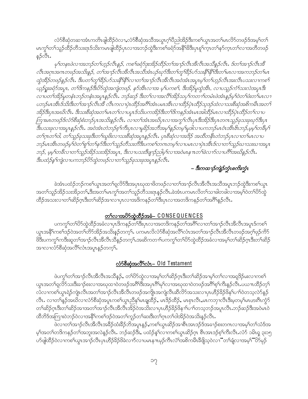လံာ်စီဆုံတဆၢအံၤကတိၤဖျါထိဉ်ဝဲလၢႇလံာ်စီဆုံအသိအယွၤဂ့ၢ်ပီညါအိဉ်ဒီးကစၢ်ယွၤအတၢ်မၤလိာ်တဖဉ်ဒ်အမ့ၢ်တၢ် မၤကွ<sup>၎</sup>တၫ်သူဉ်ထိဉ်တိသးရၤဒ်သိးကမၤဖျ်ထိဉ်ပှၤလၫအဘဉ်ထွဲဒီးကစၫ်ခရံဉ်အနိ<sup>ု</sup>ဒ်ဒီးပှၤစုၫ်က္ၤတၫ်နဉ်က္ၤတၫ်လ<sup>ျ</sup>အတိတဖဉ်  $500.$ 

မှา်တနၤဖဲလၢအဘဉ်တၫ်ဟ္ဥာ်လီၤန္ဥ, ကစၫ်ခရံဉ်ဒုးအိဉ်ထိဉ်တၫ်အ႑ာလီၤအီလီၤအသိန္ဥာလီၤ. ဒ်တၫ်အ႑ာလီၤအိ လီၤအဂုၤအဂၤတဖဉ်အသိးနဉ်, တ႑်အ႑ာဴလီၤအီလီၤအသိအံၤပဉ်ဃှာ်ဒီးတ႑်တူၫိနိဉ်ပာ်သးနို႑်နှီၫ်ဒီးတ႑်မၤလၢအကဘဉ်တ႑်မၤ ထွဲအိဉ်တဖဉ်နဉ်လီး. ဒီးပတ1်တူ1်ီခိုပဉ်သးနီ1နီ1်လ1တ1်အ႑ာ်လီးအီလီးအဝဲအံးအပူးမ့1်တ1်ဟုဉ်လီးအးလီးပသးလ1ကစ1် ယူဉ်ရူးခရံဉ်အပူး, တ<sup>ရု</sup>ဒ္ဓိကနဉ်ဒီးပိဉ်ထွဲအကျဲတဖဉ်, နဉ်အီးလၢအ မူးပကစ႑်, ဒီးအိဉ်မူထွဲအီး, လၢပသူဉ်ကံ<sup>ရ</sup>သးလဲအပူးဒီး လ ၊ပတ ်၊အိဉ်မူတနံၤဘဉ်တနံၤအပူၤန္နဉ်လီး. ဘဉ်ဆဉ် ဒီးတ ်လ ၊အလီ ်၊အိဉ်သပု ်ကတ ၢ ၊်တမံၤဖဲအံၤန္နဉ်မ့ ််ဝဲတ ်ပီးတ ်မၤလ ၊ ပဘဉ်မၤအီၤဒ်သိးဒီးတ<sup>ရု</sup>အ႑ာ်လီၤအီ လီၤကလ႑ပုံၤထိဉ်အဂိ<sup>ရ</sup>အံၤပမၤအီၤလ႑ထိဉ်ပုံၤထိဉ်သူဒဉ်ထဲလ႑သးစိဆုံအစိကမီၤအတ<sup>ငှ</sup> အိဉ်ဒီးပုၤအဃိလီၤ. ဒီးသးစီဆုံအတ<sup>ု</sup>မၤတ<sup>ု</sup>လ ၊ပပူၤဒ်သိးပကအိဉ်ဒီးတ<sup>ု</sup>ဒိကနဉ်အံၤမၤအါထိဉ်မၤလၢထိဉ်ပုၤထိဉ်တ<sup>ု</sup>လ၊ ကြားမာတဖဉ်ဒ်လံဉ်စိဆုံစံးဘဉ်ပှၤအသိးနှဉ်လီး . လကာ်ဒြာံၤအဃိပ္ပာလၢအကွ်လီၤပှၤဒိးအိဉ်ဒီးပွၤတဂၤသူဉ်ခုသးခုဃုဉ်ဒီးပွၤ ဒီးပသးခုလ႑အပူ႑န္နဉ်လီး အဝဲအံၤတဲဘဉ်စ့ၫ်ကီးပုၤလ႑မှုခိဉ်အဘီအမှ႑်နှဉ်တမ့ြမှုဒါလ႑ပကဘဉ်မၤဝံၤအီၤ၆ၤဘဉ်,မ့မ့္ပ်က္ခခ်ိမ့ြ တ1်ဂ္ဂၤတ1်ဝါ, တ1်သူဉ်ခုသးခုဒီးတ1်ဃူဖိုးလ႑သးစီဆုံအပူၤန္နဉ်လီၤ. ပုၤစီဆုံလ႑အဒိဉ် အထိတနိၤတဲဘဉ်ပုၤလ႑တ1်မၤလ႑ပ ဘဉိမၤဒဒီၤတဖဉ်မှလဲတရစု တရနဉ်ဒီးတရသူဉ်တီသးတိဒီးပကစရတကတမှရလ ၊ပမၤလ ၊ပုဲ၊ ဒဒိၤဒ်လ ၊တရသူဉိယ၊သးဃ ၊အပူ၊ ဘဉ်, မမ္-်ကခ်ီလ 1တ ်သူဉ်အိဉ်သးအိဉ်အပူၤ, ဒီးလ 1ပသးဒိဗျ 1ဉ်ညှါမှ ်လ 1အဝဲမၤန 11 တ ်ခဲလ 1ဉ်လ 1ပဂိ်္ဂါအဃိန္ ဉ်လီၤ. ဒီးပထံဉ်နဂ်ကျဲလ ၊ပကဘဉ်ပိဉ်ထွဲတဖဉ်လ ၊တ႑်သူဉ်ခုသးခုအပူၤန္နဉ်လီး

– ဒီးကထ႑ာ်ကျဲဉ်က္ခံၤစက်းက္ခံၤ

ခဲအံၤပထံဉ်ဘဉ်ကစါယွၤအတၫ်ရှလိ>်ဒီးအပုၤဃုထၢဖိတဖဉ်လၢတၫ်အၢဉ်လီၤအီလီၤအသိအပူၤဘဉ်ထွဲဒီးကစၢ်ယွၤ အတၫ်သူဉ်အိဉ်သးအိဉတ႑် ဒီးအတ႑်မၤကွၢ်အတ႑်သူဉ်တီသးရာနဉ်လီၤ.ခဲအံၤပကမၤလိတ႑်သၢခါတခါလ႑အမှှြဝဲတ႑်တိလွှဲ ထိဉ်အသးလၢတၫ်ဆိဉ်ဂ္ဂၤဒီးတၫ်ဆိဉ်အၫလၢပုၤလၢအဒိကနဉ်တၫ်ဒီးပုၤလၢအတဒိကနဉ်တၫ်အဂိႝၤ်နှဉ်လီၤ.

## <u>တ<br />
တေလာအပိုက်ထဲတီဉ်အခံ- CONSEQUENCES</u>

ပကကွ<sup>ရ</sup>တ<sup>ရ</sup>တ်တွဲထိဉ်အခံလၫပှၤဒိကနဉ်တ<sup>ရဒ္</sup>းပှာလၢအတဒိကနဉ်တ<sup>ရ</sup>အဂိ<sup>ရ</sup>လၫတ<sup>ရ</sup>အၫဉ်လီၤအိလီၤအပူၤဒ်ကစ<sup>၎</sup> ယ္ဇာအနိ<sup>၎</sup>ကစၫ်ဒၣၲဝဲအတၫ်တိ9်အိဉ်အသိးနဉ်တက့်ၫ်ႇ ပကမာလိလံာ်စီဆုံအလိၤ်လံၤအတၫ်အၫဉ်လီၤအီလီၤတဖဉ်အဂ္ဂါဖုဉ်ကိ5် .<br>ဖိဒီးပကကွ<sup>ရ</sup>ကဒီးဆူတ<sup>ရ</sup>အၫဉ်လီၤအီလီၤသိန်ှဉ်တက့်ၤအဆိကတၫၢိပကကွ<sup>ရ</sup>တ<sup>ရ</sup>တ်ပိုတဲ့ထိဉ်အခံလၢအမ့<sup>ရ</sup>တၫ်ဆိဉ်ဂ္**ဂဒီးတ်၊ဆိ**ဉ် အၫလၫလႆာ်စိဆုံအလိ်ုလံၤအပူၤန္နာ်တက္်ု.

## <u> လံာ်စီဆုံအလိ်ါလံ၊ – Old Testament</u>

ဖဲပက္ဂၤ်တၤ်အၫဉ်လီၤအီလီၤအသိန္ဉွ်, တၤ်ဟိသွဲလၤအမ့ၤ်တၤ်ဆိဉ်ဂ္ၤဒီးတၤ်ဆိဉ်အၢမ့ၤ်တၤ်လၤအရှုဒိဉ်မးလၤကစၤ် ယ္ဇာအတၫ်ရူလိ>်သးဒီးခ႑ာ်စးလၢအဃုထၢဝဲတဖဉ်အဂိ်ၫ်ဒီးအပုာဂိ်ၫမှၤ်လၢအဃုထၢဝဲတဖဉ်အဂိၢိစ့ၫ်ကိဳးန္ဉာ်လီၤႉပယ႑ာထိဉ်တ့႑် လံလၢကစၫ်ယွၤရဲဉ်ကျဲၤလီၤအတၫ်အၢဉ်လီၤအိလီၤတဖဉ်အကျိုၤအကျဲလီၤဆီလ်ိာ်အသးလၤပုၤဟိဉ်<sup>ဌ</sup>ဉ်ဖိနှၤ်ပၢၤါဝဲတသ့လဲာ်နဉ် လီၤႉ လၢတၫ်နဉ်အဃိလၢလံာ်စိဆုံအပူၤကစၫ်ယွၤညီနုၤ်မၤချထိဉ်,မၤဒိဉ်ထိဉ်,မၤစှၤလီၤႇမၤကဘုၢလိၤဒိီးမ့တမ့ၤ်မၤဟးဂီၤကွံာ် တၫ်ဆိဉ်ဂူၤဒီးတၫ်ဆိဉ်အၫအတၫ်အၫဉ်လီၤအိလီၤအိဉ်ဝဲအသိးလ႑ပုၤဟိဉ်ခိဉ်ဖိန႑ၤ်ပ႑္ပတသ့ဘဉ်အပူၤလီၤ.ဘဉ်ဆဉ်ဒီးအဝဲမၤဝဲ ထိဘိဒ်အကြားဝဲဘဉ်ဝဲလၢအနိ<sup>၎</sup>ကစါဒဉ်ဝဲအတ<sup>၎</sup>ကူဉ်တ<sup>၎</sup>ဆးဒီးတ<sup>၎</sup>ဂ္ဂၤတ<sup>၎</sup>ဝါအိဉ်ဝဲအသိးနဉ်လီၤ

ဖဲလၢတၫ်အၢဉ်လီၤအိလီၤအခ်ိဉ်ထံးခ်ိဉ်ဘိအပူၤန္ဉွာဴႇကစၫ်ယွၤဆိုဉ်အၢစိၤအၤဒဉ်ဒ်အခၢဉ်စးတဂၤလၢအမ့ၢ်တၫ်သံဒ်အ မ့်)အတဉ်တဒိကနဉ်တဉ်အဘူးအလဲနဉ်လီၤ. ဘဉ်ဆဉ်ဒီး, ပထံဉ်နှံ့)လၢကစဉ်ယွာဆိဉ်ဂွာ စီၤအာဒဉ်စ့ှ်ကီးလီၤ.လံာ် ၁မိၤရှ ၃း၁၅ ဟ်ဖျါထိဉ်ဝဲလၢကစၫ်ယွာအာဉ်လီာပုာဟိဉ်ခိဉ်ဖိခဲလာာ်လာပမာနπမှဉ်ကီာလံံာအစိကမိႆာခ်ိဖျိသ့ဝဲလၢ"တၫ်ချံလာအမ့်ာ်"ပိဉ်မှဉ်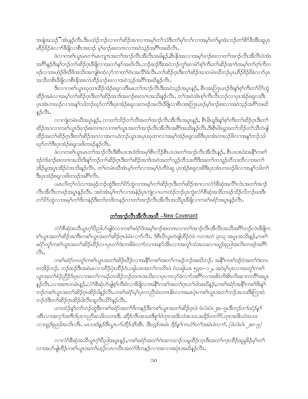အချီအသဉ်"အံၤန္ဉာလီၤ.ဒီးပထံဉ်ဘဉ်လၢတၫ်ဆိဉ်အၢလၢအမ့ၢ်တၫ်သံဒီးတၢိမုၢ်လၢ်လၢအမ့ၢ်တၢ်မူအံၤဘဉ်တၢ်စိာ်ခီအီၤဆူပှၤ ဟိဉ်ခိဉ်ခဲလၢာ်ခ်ီဖြိုလၢစီးအားဒဉ် မ့ှ်ာခၢဉ်စးတကလၢအဝဲသုဉ်အဂိါအဃိလီး.

ဖဲလၢကစါယွာမာဂၢါမာကျπအတၤ်အာဉ်လီာအိလီာအခါနဉ်,စီာနိုအာလာအမှါခၢဉ်စးလၢတါအာဉ်လီာအိလီာဝဲအံာ အဂိ်\နဉ်ဒိးနှ`ါဘဉ်တ`ါဆိဉ်ဂ္ဂၤဒီဖျိလၢအတ`ါနဉ်အဃိလိၤႉဘဉ်ဆဉ်ဒီးအဝဲဘဉ်ကွ`ါဆၢမဲာ်စ့`ါကိီးတ`ါဆိဉ်အၢဒ်အမ့`ါတ`ါဂ့်ါကိတ ဖဉ်လၢအဟံဉ်ဖိဃိဖိအသိးအကျဖဲထံလှာ်ဘၢတၫ်စံ၊အလိံၫ်ခံလီၤ.တၫ်ဆိဉ်ဂူၤဒီးတၫ်ဆိဉ်အၢတမံၤဃိဘဉ်ပုၤဟိဉ်နိဉ်ဖိခဲလ႑ာ်ပုၤ အသိတစ်ၤဒီဖျိလၢစီၤနိအၤကဲထိဉ်ခ႑ာ်စးလၢအဝဲသူဉ်အဂိါအဃိန္ဉ်လီၤ.

ဒီးလၢကစၢ်ယွာဃုထၢထိဉ်အံဉ်စရူလးဒီးမာတၫ်အၫဉ်လီၤဒီးအဝဲသ့ဉ်အပူာန္၄်, စီၤအာဘြာဟဉ်ဒိးနှၤ်စ့ၢ်ကီးတၤ်ပိဉ်ထွဲ ထိဉ်အခံလၢအမ့<sup>၎</sup>တၫ်ဆိဉ်ဂ္**ဂဒီးတၫ်ဆိဉ်အၫဒ်အခ႑ာ်စးတဂၤအသိးန္**ဉ်လီၤႉ တၫ်အဝဲအံၤစ့ၫ်ကီးလ်ိဳၤဘဉ်လၢပုၤအံဉ်စရ္ပလးဒီး ပှၤအံၤတဃဉ်လၢအနၵ်သါဘဉ်ဃှာ်တ<sup>်ခြ</sup>ီးပှၤအံဉ်စရလးတဖဉ်အလိၤ<sup>ခွဲဖြ</sup>ုလၢစီၤအာဘြၤဟဉ်မ့<sup>ရ</sup>ခၢဉ်စးလၢအဝဲသွဉ်အ<sup>ဝဲရှ</sup>အဃိ နဉ်လီၤ.

လၢကျဲတမံၤဃိအပူၤန္ဉာ်, လၢတၫ်သိဉ်တၫ်သိအတၫ်အၫဉ်လီၤအိလီၤအပူၤန္ဉာ်, စီၤမိၤရူဒိးန္1စ့ၫ်ကီးတ႑်ဆိဉ်ဂ္ၤဒီးတ႑် ဆိဉ်အၫလၫကစၫ်ယွၤဒ်ခ႑ာ်စးတဂၤလၫကစၫ်ယွၤအတၫ်အ႑ာ်လီၤအိလီၤအစိၫ်အသိးနှဉ်လီၤ.ဒိးစီၤမိၤရူအတ႑်သိဉ်တ႑်သိတဲဖျါ ထိဉ်အတၫ်ဆိဉ်ဂ္ $\mathbb{1}$ ဒိုးတၫ်ဆိဉ်အၤလၤအကဟဲဘဉ်ယွ $\mathbb{1}$ အပုၤဃုထၤလၤအမှ $\mathbb{1}$ အဉ်စရူလးဖိဒိီးပုၤအႆၤတဃဉ်ဖိလၤအနၤ်ဘဉ်သါ ၰာ်တၫ်ဒီးပုၤအံ့ဉ်စရူလးဖိတဖဉ်နဉ်လီၤ.

.<br>ဖဲလၢကစၫ်ယွာမာတၫ်အၫဉ်လီၤဒီးစီးပာအငံးဒ်အမှS်စီးလိဉ်စီးပာအတၫ်အၫဉ်လီၤအိလီၤန္ဉ\$, စီးပာအငံးအနိ<sup>5</sup>ကစ႑် ဒဉ်ဝဲဒ်ခ႑ာ်စးတဂၤအသိးဒိးန္ ်ဘဉ်တ႑်ဆိဉ်ဂုၤဒိီးတ႑်ဆိဉ်အ႑ဒ်အဝဲအတ႑်သူဉ်တိသးတိဒိီးအတ႑်တသူဉ်တိသးတိလ႑အတ႑် .<br>အိβ်မူအပူၤအိβ်ဝဲအသိးနβ်လီၤႉ တၫ်တမံၤဃိအံၤမ့ၢ်တၫ်လၢအမ့ၢ်ဝဲတိဝဲဆူပြာ၊အံဉိစရလးဖိဒီးပှၤအံၤတဃဉ်ဖိလၢအန္1သါတ႑် ဒီးပုၤအံ့ဉ်စရူလးဖိတဖဉ်အရိ<sup>ု</sup>လီၤ**.** 

ပမၤလိတ့ၫ်လံလၢအဖုဉ်ဘဉ်ထွဲဒီးတၫ်ိပ်ာ်ထွဲလၢအမ့ၢ်တၫ်ဆိဉ်ဂ္ဂၤဒီးတၫ်ဆိဉ်အၢလၢလံာ်စိဆုံအလိံၤလံၤအတ႑်အၫဉ် လီၤအီလီၤတဖဉ်အပူၤန္ဉာ်လီၤႉ အဝဲအံၤမ့္်ာက်လ႑အနဲဉ်ပုၤကျဲလ႑ပကထံဉ်ဘဉ်ပုၤက္ပဲးလံာ်စိဆုံအသိတဖဉ်သိဉ်လိဘဉ်ဃးဒီး တၫိပိာ်ထွဲလၢအမ့ၢ်တၫ်ဒိကနဉ်ဒီးတၫ်တဒိကနဉ်လၢတၫ်အၫဉ်လီၤအိလီၤအသိပူၤခီဖျိလၢကစၫ်ခရံာ်အပူၤန္ဉာ်လီၤ.

#### တSအာဉ်လီးအီလီးအသီ –New Covenant

လံာ်စီဆုံအသိယွၤဂ့ါပိညါပာ်ဖျါဝဲလၢကစါခရံာ်ဒ်အမ့ါခ႑ာ်စးတဂၤလၢတါအ႑ာ်လီၤအိလီၤအသိအဂိါဘဉ်လဲၤခ်ီဖျိက စါယွာအတါဆို၌အာဒီးကစါယွာအတါဆို၌ကခံမံာလၢာလီး အိပ်ပြီလူးတဲဖျံထိဉ်ဝဲဖဲ ကလာတံ ၃း၁၃ အပူာအသိးနဉ်,ကစ<sup>်</sup>၊ ခရံာ်တူ<sup>ရ</sup>ကစ<sup>ရ</sup>ယ္ဂၤအတၫ်ဆိဉ်ဃိဉ်လၫပုၤတ<sup>႖</sup>ဒဲးဘးဖိခဲလၫာ်လၢအနဉ်အိၤလၢအတူၫ်သံအသးလၫထူဉ်စုညါအလိၤတဖဉ်အဂိႝၤ Sı.

ကစါ်ခရံာ်တတူါကစါယွာအတါဆိဉ်ဃိဉ်လၢအနိ<sup>ရ</sup>ကစါအတါကမဉ်ဘဉ်အဃိဘဉ်. အနိ<sup>ရ</sup>ကစါဒဉ်ဝဲအတါဒဲးဘး တအိဉ်ဘဉ်. ဘဉ်ဆဉ်ဒီးအဝဲမာလၢထိဉ်ပုံာထိဉ်ဝံယရှါယာအတSကတိၤဖဲ ဝံယရှါယာ ၅၃း၁–၁၂, အဝဲမ့SပှာလၢအတူSကစ§ ယ္ဇၤအတၫ်စံဉ်ညီဉ်ဒ်ပုၤလၢအတၫ်ကမဉ်တအိဉ်ဘဉ်တဂၤအသိးလၢပုၤကလှာ်ခဲလၫာ်အဂ်ိၫ်လၢအစိၤကိႏစိၤကိႏဆၢကတိႝၤ်အပူၤ နှဉ်လီၤႉလၢအဂၤတမံၤန္ဉဉ်ႇလံာ်စိဆုံဟ်ဖျစ့်ၫကီးဝဲလၢခ်ိဖျိလၢအနိ<sup>႖</sup>ကစၫ်အတ႑်ဂ္ၤတ႑်ဝါအဃိန္ဉ်ႇကစ႑်ခရံာ်အနိ႑်ကစ႑်ဒိးန္႑ ဘဉ်ကစါယွာအတါဆိဉ်ဂူာဆိဉ်ဝါနဉ်လီာ.ကစါခရံှာမှပြာကညီထဲတဂၤဓိၤလာအမာပုံၤကစါယွာအတါဘဉ်အသးဒီးကြားဝဲ ဘဉ်ဝဲဒီးတ႑်ဆိဉ်ဂ္ $\alpha$ ဆိဉ်ဝါလီၤထူလီၤယိဉ်နဉ်လီၤ $\centerdot$ 

ပကထံဉ်နှၤ်တၫ်ဘဉ်ထွဲဒီးကစၫ်ခရံဉ်အတၤ်ဒိကနဉ်ဒီးကစၤ်ယွၤအတၤ်ဆိဉ်ဂုၤဖဲ ဖံလံးပံၤုး၈–၉း*ဒီးဘဉ်တၤ်ထံဉ်နှ*ြ အီၤလၢအက္ခ္အ၊အဂ်ိဳးဒ်ပုၤကညီအသိးသတးဒီး, ဆီဉ်လီၤအသးဒီးစူၫ်ဝဲတုၤအဒိးသံအသး,အဓိဉ်တလိဉ်,တုၤအဒိးသံအသး လၢထူဉ်စုညါအလိၤလိၤ. မၤသးဒ်နှဉ်ဒီးယွၤပာ်ထိဉ်ထိအိၤ, ဒီးဟူဉ်အမံၤ ဒိဉ်နှၤ်ကယဲၤ်တၤ်အမံၤခဲလ႑ာ်. (ဖံလံးပံၤ ုး၈–၉)

လၢလံာစိဆုံအသိယွၤဂ့ၫ်ပိညါအပူၤန္နဉ်ႇကစၫ်ခရံာ်အတ႑်ဂဲၤဆၢထ႑ာ်သမှုထိဉ်က္ၤဒီးအတ႑်က္ၤထိဉ်ဆူမှုခိဉ်မ့႑်တ႑် လၢအဟ်ဖျါထိဉ်ကစါယွာအတါဟ့ဉ်လာကပီးအတ<sup>ရ</sup>ဒ်ကနဉ်လၢအလၢအပှဲၤအဃိနဉ်လီၤ.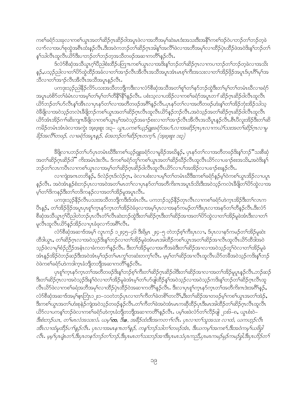ကစါ်ခရံာ်သးခုလၢကစါယွာအတါဆိဉ်ဂုၤဆိဉ်ဝါအပူာဖဲလၢအဘိအမှါဆဲးမာဒံးအသးဒီးအနိ<sup>ု</sup>ကစါဒဉ်ဝဲပၢဘဉ်တါဘဉ်တဲ့ခဲ လၫာ်လၢအပ<sup>ြ</sup>စုထွဲအရိ<sup>ု</sup>ထီးနဉ်လီၤ.ဒီးအဝဲကဘဉ်တ<sup>ြ</sup>ဆိဉ်ဂုၤအါန<sup>ှ</sup>အလိ်<sup>ရ</sup>ပဲလၢအဘိအမုၢ်လၢထိဉ်ပှဲ၊ထိဉ်ပဲအဝဲဒိးနှၤ်ဘဉ်တ<sup>၎</sup> နှ်သါလီၤထူလီၤယိ႒်ဒီးပၢဘဉ်တၢ်ဘဉ်တဲ့အသီတဖဉ်အဆၢကတိႝၤ်န္ဉာ်လီၤႉ

ဒ်လံာ်စီဆုံအသိယွၤဂ့ါပိညါစံးထိဉ်ပတြ πကစါယွၤလၢအဒိးန္ ါဘဉ်တ႑်ဆိဉ်ဂ္ၤလၢကပၢဘဉ်တ႑်ဘဉ်တဲ့ခဲလၢအသိး န္}ႇပသ္}ညါလၫတ<sup>၎</sup>ပိ႒်ထွဲထိဉ်အခံလၫတ<sup>၎</sup>အၫဉ်လီၤအိလီၤအသိအပူၤအံၤမၤစ့ၢ်ကိႏၶာသးလၫတၫ်အိဉ်ဖိုဉ်အပူၤဒ်ပုၤ<sup>8ှ</sup>မှၫ်အ သိလၢတၫ်အၫဉ်လီၤအိလီၤအသိအပူၤန္ဉဉ်လီၤ.

ပကဒုးသုဉ်ညါနိဉ်လိ််ပသးအသိတဘိုုကဒီးလၢလံာ်စိဆုံအသိအတၢ်စူၫ်တ႑်နှာ်ဘဉ်ထွဲဒီးတ႑်မှုၫ်တ႑်တမံၤဃိလၢခရံှာ် အပူးဟဲစိဉ်တ1်ခံမံၤလၤအမှ1်တ1်မ့1်တ1်တိနိ1နိ1နဉ်လီး. ပစံးသွလၤပအိဉ်လၤကစ1်ခရံဉ်အပူးတ1်ဆိဉ်ဂုံးဆိဉ်ဝါလီၤထူလီၤ ယိဉ်ဘဉ်တၫ်ဟ်လီၤန္1်အီၤလၢပုၤနှာ်တ႑်လၢအတိတဖဉ်အဂိ်ါန္ဉာ်လီၤ.ပုၤနှာ်တ႑်လၢအတိတဖဉ်ဟံးန္1်တ႑်အိဉ်ဘုံးအိဉ်သါသ့ ဝဲခ်ိဖြိုလ<sup>ှ</sup>အဝဲသ့ဉ်တလဲၤခီဖျိဘဉ်ကစၢိယ္ပၤအတ<sup>ၡ</sup>ဆိဉ်ဂၤလီၤထူလီၤယိ9်နှဉ်ဘဉ်လီၤ.အဝဲသ့ဉ်အတၢ်ဆိဉ်ဂ္ဂ၊ဆိဉ်ဝါလီၤထူလီၤ ယိာ်အံၤအိဉ်ဂၢါဆိုးကျπန္တီဖြလၤကစါယွာမ့ါအဝဲသူဉ်အခၢဉ်စီးလၤတါအၫဉ်လီၤအီလီၤအသီပူၤန္ဉာလီၤ စီၤပီလူးအိဉ်ဒီးတၤ်ဆိ ကမိဉ်တမံၤဒာံၤဖဲလၢအကွဲး အူးဖူးစူး ၁း၃– *ယွၤ,ပကစ<sup>႑</sup>ယွဉ်ရှူးခရံဉ်အပ<sup>႑</sup>,လၢအဆိဉ်ဂ္႑ပုၤလၢကယဲ<sup>႑</sup>သးအတ<sup>႑တ္တ</sup>ဉ်ဂ္႑လ႑မှု* ခိဉ်အလီ (ဘဗဉ်, လၢခရံဉ်အပူးနှဉ်, မ်အဘဉ်တ႑်ဆိဉ်ဂူးတက္နှ, (အူးဖူးစူး ၁း၃)

ခ်ိဖြိုလၢပဘဉ်တၫ်ဟ်ပုၤတမံၤဃိဒီးကစၫ်ယ့ဉ်ရူးခရံှာ်လၢမှုခိဉ်အဃိန္၄်, ပုၤနှာ်တၫ်လၢအတိတဖဉ်ဒိးန္1ဘဉ််ံသးစိဆုံ အတ႑်ဆိဉ်ဂ္Ωဆိဉ်ဝါ" ကိုးအမံၤဒဲးလီၤ. ဒ်ကစၫ်ခရံဉ်တူၤ်ကစ႑်ယွၤအတ႑်ဆိဉ်ဃိဉ်လီၤထူလီၤယိဉ်လၤပခ႑ဉ်စးအသိးႇအဝဲဒိုးနှ႑ ဘဉ်တၫ်လၤကပိၤလၢကစၫ်ယွၤလၢအမ့ၢ်တၫ်ဆိဉ်ဂ္ဂၤဆိဉ်၀ါလီၤထူလီၤယိဉ်လၢပၫ်အအိဉ်လၢပခၢဉ်စးနဉ်လီၤ.

လၫကျဲအကတဘိန္၇်, ဒ်လဲှဉ်ဂုၤဒ်လဲှဉ်ဂုၤ, ဖဲလ႑ပစံးလ႑ပမ့္ပါတ႑်တမံၤဃိဒီးးကစ႑်ခရံာ်န္ ဉ်မ္ ါဝဲကစ႑်ယွၤအိဉ်လ႑ပပူၤ နှဉ်လီၤႉ အဝဲအံၤန္ဉာ်စံးဘဉ်ပုၤလၢအဝဲအတၫ်မၤတၫ်လၢပုၤနှာ်တၫ်အတိကိႏၵၤအပူၤဒ်သိးဒီးအဝဲသ္ဉာ်ကလဲၤဒီဖျိတၫ်ပိ႒်ထွဲလၢအ မ့္ပ်က္ဥပ္ပြဲထုန္ဥဒ္မႈထဥ္ပလည္ပတ္စပါးလုပ္ငန္းလုပ္ငန္း

ပကဒုးသုဉ်နိဉ်လိံၤပသးအသိတဘိုုကဒိီးဒ်အံၤလိၤႉ ပကဘဉ်သုဉ်နိဉ်တုၤလိၤလၢကစၫ်ခရံာ်ဟဲက္ၤအိဉ်ဒီးတ႑်လၤက ပီးန**ှ်,** တ<sup>ရ</sup>အိဉ်ဖိုဉ်အပူးပုၤစူါက္နာနာ်ကွာတ<sup>ရ</sup>အိဉ်ဝဲခံဖုလၢအမ့္ပ်ပုၤလၢအနာ်ကမဉ်တ<sup>ရဒ္ဒိ</sup>းပှာလၢအနာ်တ<sup>ရ</sup>တိနဉ်လီး ဒီးလံာ် စိဆုံအသိယွၤဂ့ါ်၀ိညါတဲဘဉ်ပုၤလိၤတံါလီၤဆဲးဘဉ်ထွဲဒီးတၫ်ဆိဉ်ဂူၤဒီးတၫ်ဆိဉ်အၫအတ႑်ပိဉ်ထွဲလ႑တ႑်အိဉ်မှုခဲအံၤဒီးလ႑တ႑် မူလီၤထူလီၤယိ>်နဉ်အိဉ်လၢပုၤခံဖုလၢာ်အရိ<sup>၎</sup>လီၤ.

လံာ်စီဆုံအဆၤဒ်အမ့<sup>ရ</sup> လူၤကဉ် ၁၂း၄၅–၄၆ ဒီးရိမ့ၤ ၂း၄–၅ တဲဘဉ်စ့<sup>ရ</sup>ကီးပှၤလၢ,ဒ်ပှၤလၢနာ်ကမဉ်တ<sup>ရ</sup>အိဉ်မူဆဲး ထိဒါယွၤ, တ႑်ဆိဉ်ဂ္ဂၤလၢအဝဲသူဉ်ဒိးန္ ၊်ဘဉ်လၢတ႑်အိဉ်မူခဲအံၤမၤအါထိဉ်ကစ႑်ယွၤအတ႑်ဆိဉ်အၫလိၤထူလီၤယိဉ်ထိဒါအဝဲ သ့ဉ်ဖဲလၢမှၢိစံဉ်ညှိဉ်အနံၤလၢခံကတၢၢိန္ဉာလီၤႉ ဒီးတၢ်အိဉ်မူလၢအကီအခဲဒီးတၢ်ဆိဉ်အၢလၢအဝဲသွဉ်တူၫ်ဝဲလၢတၢ်အိဉ်မူခဲ အံၤန္ဥတြိုင်တည်ဆည်ဒီးအဝဲအံၤမ္ဒုဒဥတ္ဥပေတ္ပါတဆုံးတက္ခ်၊ထိုၤ. မုမ္ဒါတ႑ဆိုသြားထိုၤထုလီၤယိဉ်တခ်ိအဝဲသူဥကဒိႏန္ေတာ့ဥ ဝဲဖဲကစ<sup>႑</sup>ခရံာ်ဟဲကဒါက္§ခံဘိုတဘိုုအဆ႑ကတိႝၤန္ ဉ်လီၤ.

ပုၤစူၫ်ကူၤနှာ်ကူၤတၫ်အတိတဖဉ်ဒိးန္1ဘဉ်စ့ၫ်ကီးတ႑်ဆိဉ်ဂူးဆိဉ်ဝါဒီးတ႑်ဆိဉ်အၤလၤအတ႑်အိဉ်မူပူၤန္ဉာ်လီၤ.ဘဉ်ဆဉ် ဒီးတၫ်ဆိဉ်ဂူာလၢအဝဲသူဉ်ဒိးနှၤ်ဝဲလၢတၫ်အိဉ်မူခဲအံၤမ့ၢ်တ႑်ပာ်ဖျါထိဉ်နှၤ်အဝဲသူဉ်လၢအဝဲသူဉ်ကဒိးနှၤ်ဘဉ်တ႑်ဆိဉ်ဂူာလီၤထူ လီၤယိ5ဖဲလၫကစါ်ခရံအဘိအမှါလ႑ထိိဉ်ပဲ၊ ထိဉ်ဝဲအဆ႑ကတိႝၤ်နှဉ်လီၤႉ ဒီးလ႑ပ္ပ႑စူါက္ၤနၥ်က္ၤတၤ်အတိကိႏၵၤဒဲးအဂ်ိါန္ဉာ်, လံာ်စိဆုံအဆၢဒ်အမှါငွေးဘြံၤ၁၂း၁–၁၁တဲဘဉ်ပုၤလၢတၫ်ကိတ႑်ခဲတစိၢ်တလိ႑်နှီးတ႑်ဆိဉ်အၢတဖဉ်မှါကစၢိယ္ပၤအတ႑်အဲဉ်, ဒီးကစါယွာအတါဟံးစုနဲဉ်ကျဲအဝဲသ့ဉ်တဖဉ်နှဉ်လီာ.တါကီတါခဲအဝဲအံာမာကဆိုထိဉ်ပုၤဒီးမာအါထိဉ်တါဆိဉ်ဂွာလီၤထူလီၤ ယိဉ်လၢပကန္1်ဘဉ်ဖဲလၢကစၫ်ခရံဉ်ဟဲက္နာခံဘိုတဘိုုအဆၢကတိႝၤန္နဉ်လီၤ. ပမ့္ပ်ဖဴးဖဲလံာ်တ႑်လိဉ်ဖျါ ၂၁း၆–၈, ယွၤစံးဝဲ– းစံးဘဉ်ယာ, တ<sup>ုံ</sup>မာလံအသးလံ. ယမ့္**က**, ဒီးခ, အခိဉ်ထံးဒီးအကတ႑်လီး. ပုၤလၢတ႑်သူအသး လၢထံ, ယကဟ္နဉ်လီး အီၤလၢထံမူထိဉ်ပ႑ာနှဉ်လီၤ. ပုၤလၢအမၤန πတ႑်နှဉ်, ကန5်တဉ်သါတ႑်တဖဉ်အံၤ, ဒီးယက်မှၤ်အကစ႑်,ဒီးအဝဲကမ္ ယ8်ခွါ လီး. မွမ္နမ္နက္စုံတ1်,ဒီးပုံးတနၥ်ဘ္၀်တ္(ဘု)်,ဒီးပုံးမၤတ္(သးဘု)်အၫဒီးပုံးမၤသံပုံးကုညီ,ပုံးမၤကမဉ်မှဉ်ကမဉ်ခွါ,ဒီးပုံးဟိဉ်တ1်